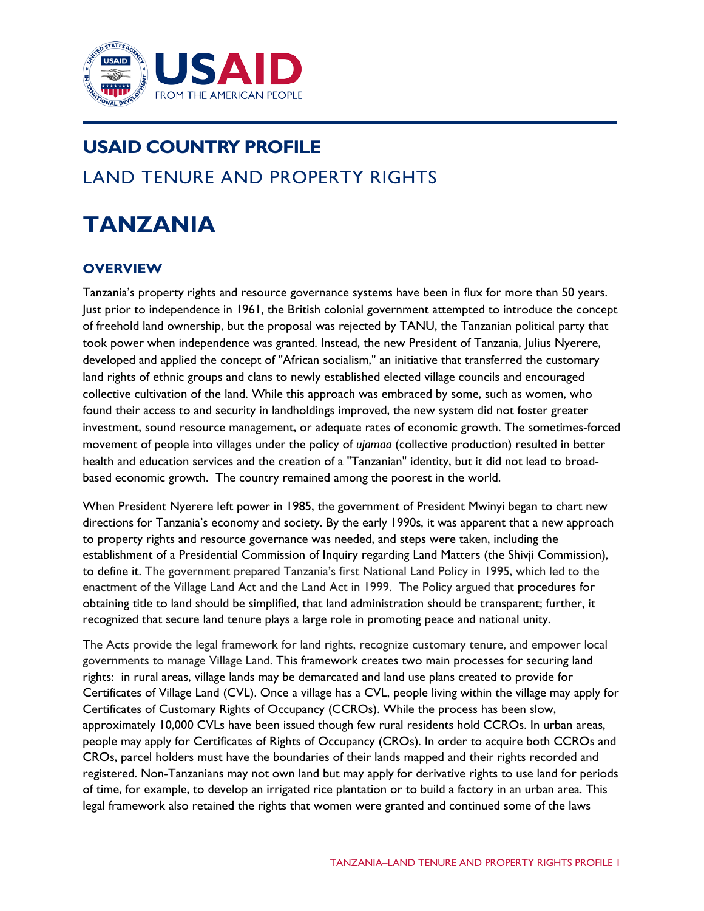

# **USAID COUNTRY PROFILE** LAND TENURE AND PROPERTY RIGHTS

# **TANZANIA**

## **OVERVIEW**

Tanzania's property rights and resource governance systems have been in flux for more than 50 years. Just prior to independence in 1961, the British colonial government attempted to introduce the concept of freehold land ownership, but the proposal was rejected by TANU, the Tanzanian political party that took power when independence was granted. Instead, the new President of Tanzania, Julius Nyerere, developed and applied the concept of "African socialism," an initiative that transferred the customary land rights of ethnic groups and clans to newly established elected village councils and encouraged collective cultivation of the land. While this approach was embraced by some, such as women, who found their access to and security in landholdings improved, the new system did not foster greater investment, sound resource management, or adequate rates of economic growth. The sometimes-forced movement of people into villages under the policy of *ujamaa* (collective production) resulted in better health and education services and the creation of a "Tanzanian" identity, but it did not lead to broadbased economic growth. The country remained among the poorest in the world.

When President Nyerere left power in 1985, the government of President Mwinyi began to chart new directions for Tanzania's economy and society. By the early 1990s, it was apparent that a new approach to property rights and resource governance was needed, and steps were taken, including the establishment of a Presidential Commission of Inquiry regarding Land Matters (the Shivji Commission), to define it. The government prepared Tanzania's first National Land Policy in 1995, which led to the enactment of the Village Land Act and the Land Act in 1999. The Policy argued that procedures for obtaining title to land should be simplified, that land administration should be transparent; further, it recognized that secure land tenure plays a large role in promoting peace and national unity.

The Acts provide the legal framework for land rights, recognize customary tenure, and empower local governments to manage Village Land. This framework creates two main processes for securing land rights: in rural areas, village lands may be demarcated and land use plans created to provide for Certificates of Village Land (CVL). Once a village has a CVL, people living within the village may apply for Certificates of Customary Rights of Occupancy (CCROs). While the process has been slow, approximately 10,000 CVLs have been issued though few rural residents hold CCROs. In urban areas, people may apply for Certificates of Rights of Occupancy (CROs). In order to acquire both CCROs and CROs, parcel holders must have the boundaries of their lands mapped and their rights recorded and registered. Non-Tanzanians may not own land but may apply for derivative rights to use land for periods of time, for example, to develop an irrigated rice plantation or to build a factory in an urban area. This legal framework also retained the rights that women were granted and continued some of the laws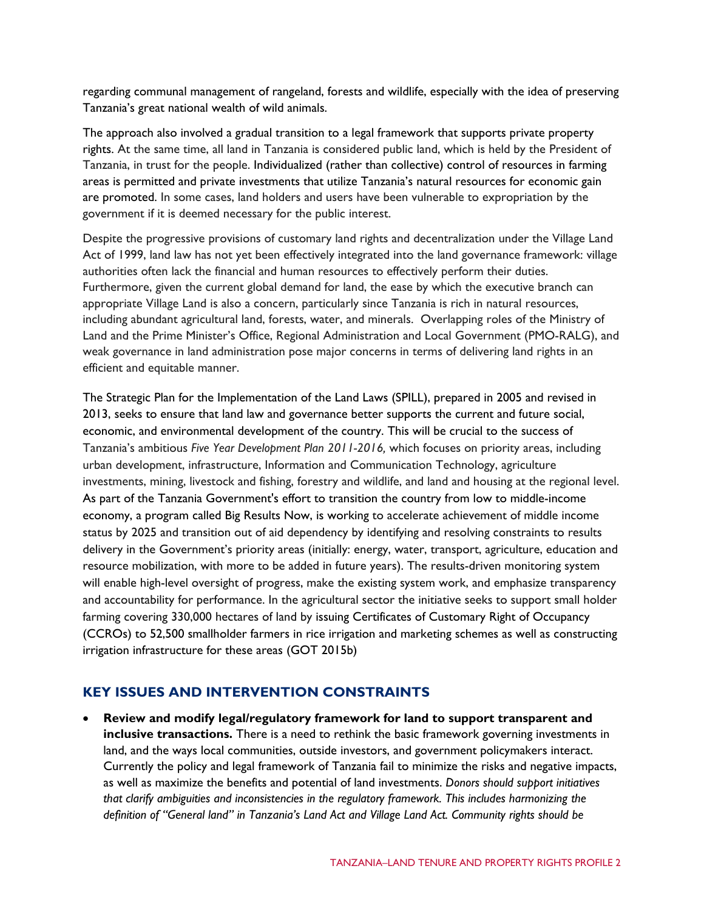regarding communal management of rangeland, forests and wildlife, especially with the idea of preserving Tanzania's great national wealth of wild animals.

The approach also involved a gradual transition to a legal framework that supports private property rights. At the same time, all land in Tanzania is considered public land, which is held by the President of Tanzania, in trust for the people. Individualized (rather than collective) control of resources in farming areas is permitted and private investments that utilize Tanzania's natural resources for economic gain are promoted. In some cases, land holders and users have been vulnerable to expropriation by the government if it is deemed necessary for the public interest.

Despite the progressive provisions of customary land rights and decentralization under the Village Land Act of 1999, land law has not yet been effectively integrated into the land governance framework: village authorities often lack the financial and human resources to effectively perform their duties. Furthermore, given the current global demand for land, the ease by which the executive branch can appropriate Village Land is also a concern, particularly since Tanzania is rich in natural resources, including abundant agricultural land, forests, water, and minerals. Overlapping roles of the Ministry of Land and the Prime Minister's Office, Regional Administration and Local Government (PMO-RALG), and weak governance in land administration pose major concerns in terms of delivering land rights in an efficient and equitable manner.

The Strategic Plan for the Implementation of the Land Laws (SPILL), prepared in 2005 and revised in 2013, seeks to ensure that land law and governance better supports the current and future social, economic, and environmental development of the country. This will be crucial to the success of Tanzania's ambitious *Five Year Development Plan 2011-2016,* which focuses on priority areas, including urban development, infrastructure, Information and Communication Technology, agriculture investments, mining, livestock and fishing, forestry and wildlife, and land and housing at the regional level. As part of the Tanzania Government's effort to transition the country from low to middle-income economy, a program called Big Results Now, is working to accelerate achievement of middle income status by 2025 and transition out of aid dependency by identifying and resolving constraints to results delivery in the Government's priority areas (initially: energy, water, transport, agriculture, education and resource mobilization, with more to be added in future years). The results-driven monitoring system will enable high-level oversight of progress, make the existing system work, and emphasize transparency and accountability for performance. In the agricultural sector the initiative seeks to support small holder farming covering 330,000 hectares of land by issuing Certificates of Customary Right of Occupancy (CCROs) to 52,500 smallholder farmers in rice irrigation and marketing schemes as well as constructing irrigation infrastructure for these areas (GOT 2015b)

## **KEY ISSUES AND INTERVENTION CONSTRAINTS**

• **Review and modify legal/regulatory framework for land to support transparent and inclusive transactions.** There is a need to rethink the basic framework governing investments in land, and the ways local communities, outside investors, and government policymakers interact. Currently the policy and legal framework of Tanzania fail to minimize the risks and negative impacts, as well as maximize the benefits and potential of land investments. *Donors should support initiatives that clarify ambiguities and inconsistencies in the regulatory framework. This includes harmonizing the definition of "General land" in Tanzania's Land Act and Village Land Act. Community rights should be*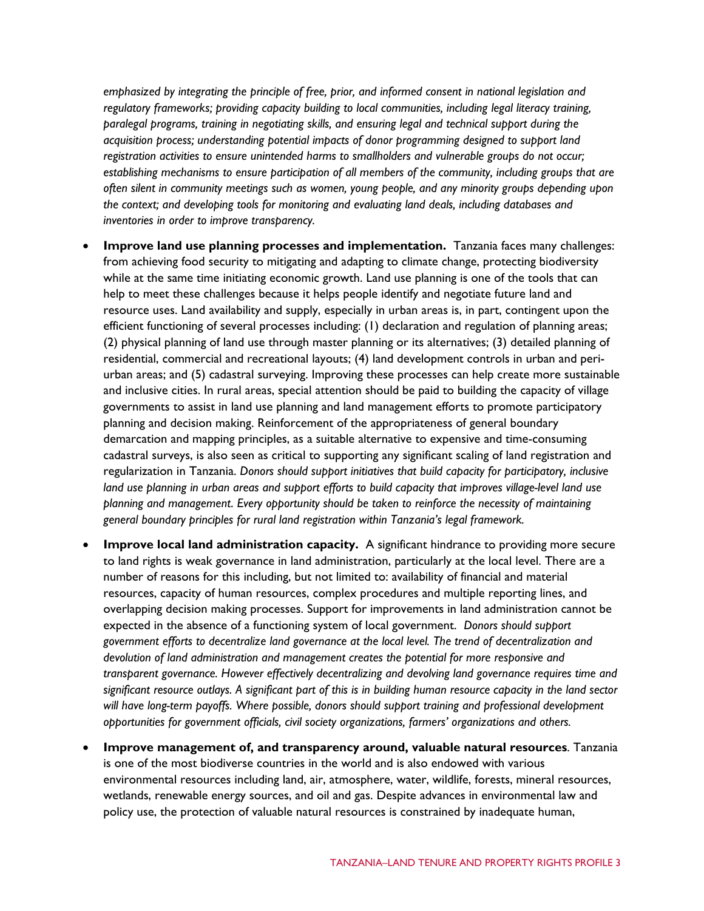*emphasized by integrating the principle of free, prior, and informed consent in national legislation and regulatory frameworks; providing capacity building to local communities, including legal literacy training, paralegal programs, training in negotiating skills, and ensuring legal and technical support during the acquisition process; understanding potential impacts of donor programming designed to support land registration activities to ensure unintended harms to smallholders and vulnerable groups do not occur; establishing mechanisms to ensure participation of all members of the community, including groups that are often silent in community meetings such as women, young people, and any minority groups depending upon the context; and developing tools for monitoring and evaluating land deals, including databases and inventories in order to improve transparency.*

- **Improve land use planning processes and implementation.** Tanzania faces many challenges: from achieving food security to mitigating and adapting to climate change, protecting biodiversity while at the same time initiating economic growth. Land use planning is one of the tools that can help to meet these challenges because it helps people identify and negotiate future land and resource uses. Land availability and supply, especially in urban areas is, in part, contingent upon the efficient functioning of several processes including: (1) declaration and regulation of planning areas; (2) physical planning of land use through master planning or its alternatives; (3) detailed planning of residential, commercial and recreational layouts; (4) land development controls in urban and periurban areas; and (5) cadastral surveying. Improving these processes can help create more sustainable and inclusive cities. In rural areas, special attention should be paid to building the capacity of village governments to assist in land use planning and land management efforts to promote participatory planning and decision making. Reinforcement of the appropriateness of general boundary demarcation and mapping principles, as a suitable alternative to expensive and time-consuming cadastral surveys, is also seen as critical to supporting any significant scaling of land registration and regularization in Tanzania. *Donors should support initiatives that build capacity for participatory, inclusive land use planning in urban areas and support efforts to build capacity that improves village-level land use planning and management*. *Every opportunity should be taken to reinforce the necessity of maintaining general boundary principles for rural land registration within Tanzania's legal framework.*
- **Improve local land administration capacity.** A significant hindrance to providing more secure to land rights is weak governance in land administration, particularly at the local level. There are a number of reasons for this including, but not limited to: availability of financial and material resources, capacity of human resources, complex procedures and multiple reporting lines, and overlapping decision making processes. Support for improvements in land administration cannot be expected in the absence of a functioning system of local government. *Donors should support government efforts to decentralize land governance at the local level. The trend of decentralization and devolution of land administration and management creates the potential for more responsive and transparent governance. However effectively decentralizing and devolving land governance requires time and significant resource outlays. A significant part of this is in building human resource capacity in the land sector will have long-term payoffs. Where possible, donors should support training and professional development opportunities for government officials, civil society organizations, farmers' organizations and others.*
- **Improve management of, and transparency around, valuable natural resources**. Tanzania is one of the most biodiverse countries in the world and is also endowed with various environmental resources including land, air, atmosphere, water, wildlife, forests, mineral resources, wetlands, renewable energy sources, and oil and gas. Despite advances in environmental law and policy use, the protection of valuable natural resources is constrained by inadequate human,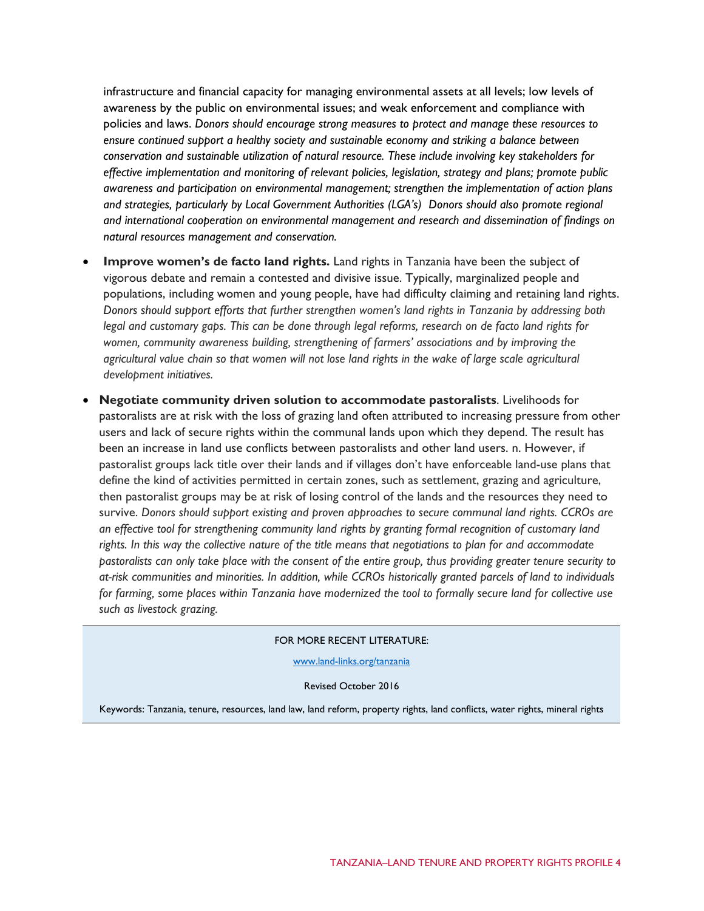infrastructure and financial capacity for managing environmental assets at all levels; low levels of awareness by the public on environmental issues; and weak enforcement and compliance with policies and laws. *Donors should encourage strong measures to protect and manage these resources to ensure continued support a healthy society and sustainable economy and striking a balance between conservation and sustainable utilization of natural resource. These include involving key stakeholders for effective implementation and monitoring of relevant policies, legislation, strategy and plans; promote public awareness and participation on environmental management; strengthen the implementation of action plans and strategies, particularly by Local Government Authorities (LGA's) Donors should also promote regional and international cooperation on environmental management and research and dissemination of findings on natural resources management and conservation.*

- **Improve women's de facto land rights.** Land rights in Tanzania have been the subject of vigorous debate and remain a contested and divisive issue. Typically, marginalized people and populations, including women and young people, have had difficulty claiming and retaining land rights. *Donors should support efforts that further strengthen women's land rights in Tanzania by addressing both legal and customary gaps. This can be done through legal reforms, research on de facto land rights for women, community awareness building, strengthening of farmers' associations and by improving the agricultural value chain so that women will not lose land rights in the wake of large scale agricultural development initiatives.*
- **Negotiate community driven solution to accommodate pastoralists**. Livelihoods for pastoralists are at risk with the loss of grazing land often attributed to increasing pressure from other users and lack of secure rights within the communal lands upon which they depend. The result has been an increase in land use conflicts between pastoralists and other land users. n. However, if pastoralist groups lack title over their lands and if villages don't have enforceable land-use plans that define the kind of activities permitted in certain zones, such as settlement, grazing and agriculture, then pastoralist groups may be at risk of losing control of the lands and the resources they need to survive. *Donors should support existing and proven approaches to secure communal land rights. CCROs are an effective tool for strengthening community land rights by granting formal recognition of customary land rights. In this way the collective nature of the title means that negotiations to plan for and accommodate pastoralists can only take place with the consent of the entire group, thus providing greater tenure security to at-risk communities and minorities. In addition, while CCROs historically granted parcels of land to individuals for farming, some places within Tanzania have modernized the tool to formally secure land for collective use such as livestock grazing.*

#### FOR MORE RECENT LITERATURE:

[www.land-links.org/tanzania](http://usaidlandtenure.net/tanzania)

Revised October 2016

Keywords: Tanzania, tenure, resources, land law, land reform, property rights, land conflicts, water rights, mineral rights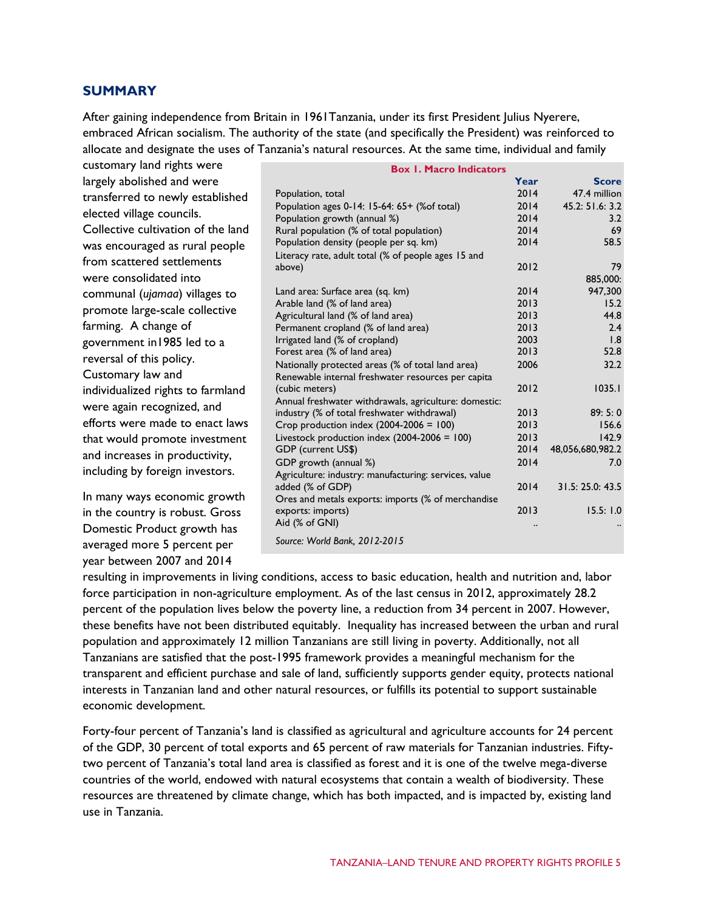## **SUMMARY**

After gaining independence from Britain in 1961Tanzania, under its first President Julius Nyerere, embraced African socialism. The authority of the state (and specifically the President) was reinforced to allocate and designate the uses of Tanzania's natural resources. At the same time, individual and family

| customary land rights were         | <b>Box 1. Macro Indicators</b>                                          |      |                  |  |  |
|------------------------------------|-------------------------------------------------------------------------|------|------------------|--|--|
| largely abolished and were         |                                                                         | Year | <b>Score</b>     |  |  |
| transferred to newly established   | Population, total                                                       | 2014 | 47.4 million     |  |  |
| elected village councils.          | Population ages 0-14: 15-64: 65+ (% of total)                           | 2014 | 45.2: 51.6: 3.2  |  |  |
|                                    | Population growth (annual %)                                            | 2014 | 3.2              |  |  |
| Collective cultivation of the land | Rural population (% of total population)                                | 2014 | 69               |  |  |
| was encouraged as rural people     | Population density (people per sq. km)                                  | 2014 | 58.5             |  |  |
| from scattered settlements         | Literacy rate, adult total (% of people ages 15 and<br>above)           | 2012 | 79               |  |  |
| were consolidated into             |                                                                         |      | 885,000:         |  |  |
| communal (ujamaa) villages to      | Land area: Surface area (sq. km)                                        | 2014 | 947,300          |  |  |
|                                    | Arable land (% of land area)                                            | 2013 | 15.2             |  |  |
| promote large-scale collective     | Agricultural land (% of land area)                                      | 2013 | 44.8             |  |  |
| farming. A change of               | Permanent cropland (% of land area)                                     | 2013 | 2.4              |  |  |
| government in 1985 led to a        | Irrigated land (% of cropland)                                          | 2003 | 1.8              |  |  |
| reversal of this policy.           | Forest area (% of land area)                                            | 2013 | 52.8             |  |  |
| Customary law and                  | Nationally protected areas (% of total land area)                       | 2006 | 32.2             |  |  |
|                                    | Renewable internal freshwater resources per capita<br>(cubic meters)    | 2012 | 1035.1           |  |  |
| individualized rights to farmland  | Annual freshwater withdrawals, agriculture: domestic:                   |      |                  |  |  |
| were again recognized, and         | industry (% of total freshwater withdrawal)                             | 2013 | 89:5:0           |  |  |
| efforts were made to enact laws    | Crop production index $(2004-2006 = 100)$                               | 2013 | 156.6            |  |  |
| that would promote investment      | Livestock production index $(2004-2006 = 100)$                          | 2013 | 142.9            |  |  |
| and increases in productivity,     | <b>GDP</b> (current US\$)                                               | 2014 | 48,056,680,982.2 |  |  |
|                                    | GDP growth (annual %)                                                   | 2014 | 7.0              |  |  |
| including by foreign investors.    | Agriculture: industry: manufacturing: services, value                   |      |                  |  |  |
| In many ways economic growth       | added (% of GDP)                                                        | 2014 | 31.5: 25.0: 43.5 |  |  |
|                                    | Ores and metals exports: imports (% of merchandise<br>exports: imports) | 2013 | 15.5:1.0         |  |  |
| in the country is robust. Gross    | Aid (% of GNI)                                                          |      |                  |  |  |
| Domestic Product growth has        |                                                                         |      |                  |  |  |
| averaged more 5 percent per        | Source: World Bank, 2012-2015                                           |      |                  |  |  |
| year between 2007 and 2014         |                                                                         |      |                  |  |  |

resulting in improvements in living conditions, access to basic education, health and nutrition and, labor force participation in non-agriculture employment. As of the last census in 2012, approximately 28.2 percent of the population lives below the poverty line, a reduction from 34 percent in 2007. However, these benefits have not been distributed equitably. Inequality has increased between the urban and rural population and approximately 12 million Tanzanians are still living in poverty. Additionally, not all Tanzanians are satisfied that the post-1995 framework provides a meaningful mechanism for the transparent and efficient purchase and sale of land, sufficiently supports gender equity, protects national interests in Tanzanian land and other natural resources, or fulfills its potential to support sustainable economic development.

Forty-four percent of Tanzania's land is classified as agricultural and agriculture accounts for 24 percent of the GDP, 30 percent of total exports and 65 percent of raw materials for Tanzanian industries. Fiftytwo percent of Tanzania's total land area is classified as forest and it is one of the twelve mega-diverse countries of the world, endowed with natural ecosystems that contain a wealth of biodiversity. These resources are threatened by climate change, which has both impacted, and is impacted by, existing land use in Tanzania.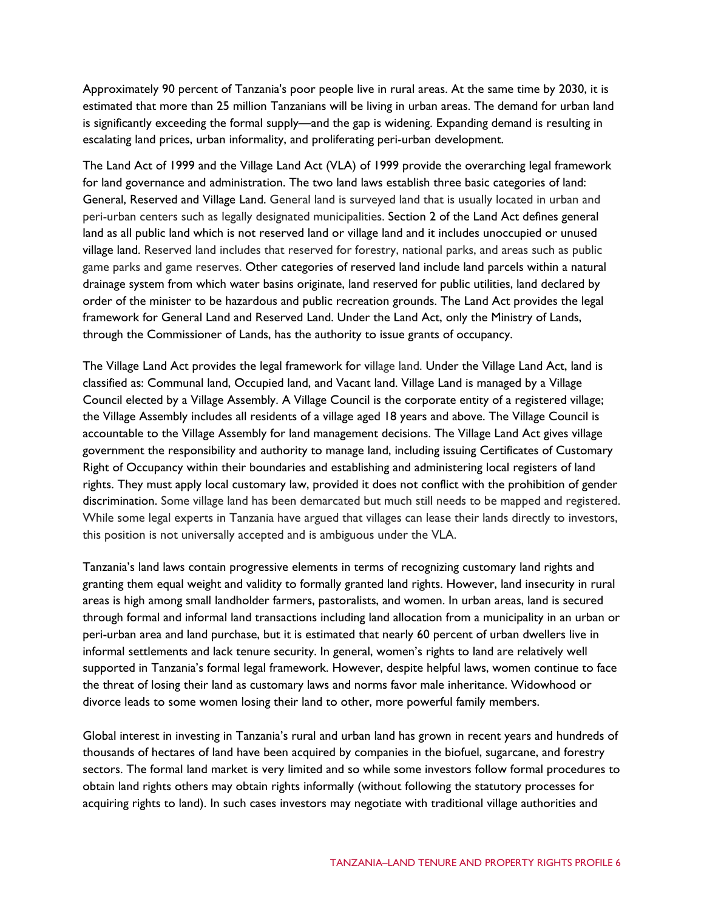Approximately 90 percent of Tanzania's poor people live in rural areas. At the same time by 2030, it is estimated that more than 25 million Tanzanians will be living in urban areas. The demand for urban land is significantly exceeding the formal supply—and the gap is widening. Expanding demand is resulting in escalating land prices, urban informality, and proliferating peri-urban development.

The Land Act of 1999 and the Village Land Act (VLA) of 1999 provide the overarching legal framework for land governance and administration. The two land laws establish three basic categories of land: General, Reserved and Village Land. General land is surveyed land that is usually located in urban and peri-urban centers such as legally designated municipalities. Section 2 of the Land Act defines general land as all public land which is not reserved land or village land and it includes unoccupied or unused village land. Reserved land includes that reserved for forestry, national parks, and areas such as public game parks and game reserves. Other categories of reserved land include land parcels within a natural drainage system from which water basins originate, land reserved for public utilities, land declared by order of the minister to be hazardous and public recreation grounds. The Land Act provides the legal framework for General Land and Reserved Land. Under the Land Act, only the Ministry of Lands, through the Commissioner of Lands, has the authority to issue grants of occupancy.

The Village Land Act provides the legal framework for village land. Under the Village Land Act, land is classified as: Communal land, Occupied land, and Vacant land. Village Land is managed by a Village Council elected by a Village Assembly. A Village Council is the corporate entity of a registered village; the Village Assembly includes all residents of a village aged 18 years and above. The Village Council is accountable to the Village Assembly for land management decisions. The Village Land Act gives village government the responsibility and authority to manage land, including issuing Certificates of Customary Right of Occupancy within their boundaries and establishing and administering local registers of land rights. They must apply local customary law, provided it does not conflict with the prohibition of gender discrimination. Some village land has been demarcated but much still needs to be mapped and registered. While some legal experts in Tanzania have argued that villages can lease their lands directly to investors, this position is not universally accepted and is ambiguous under the VLA.

Tanzania's land laws contain progressive elements in terms of recognizing customary land rights and granting them equal weight and validity to formally granted land rights. However, land insecurity in rural areas is high among small landholder farmers, pastoralists, and women. In urban areas, land is secured through formal and informal land transactions including land allocation from a municipality in an urban or peri-urban area and land purchase, but it is estimated that nearly 60 percent of urban dwellers live in informal settlements and lack tenure security. In general, women's rights to land are relatively well supported in Tanzania's formal legal framework. However, despite helpful laws, women continue to face the threat of losing their land as customary laws and norms favor male inheritance. Widowhood or divorce leads to some women losing their land to other, more powerful family members.

Global interest in investing in Tanzania's rural and urban land has grown in recent years and hundreds of thousands of hectares of land have been acquired by companies in the biofuel, sugarcane, and forestry sectors. The formal land market is very limited and so while some investors follow formal procedures to obtain land rights others may obtain rights informally (without following the statutory processes for acquiring rights to land). In such cases investors may negotiate with traditional village authorities and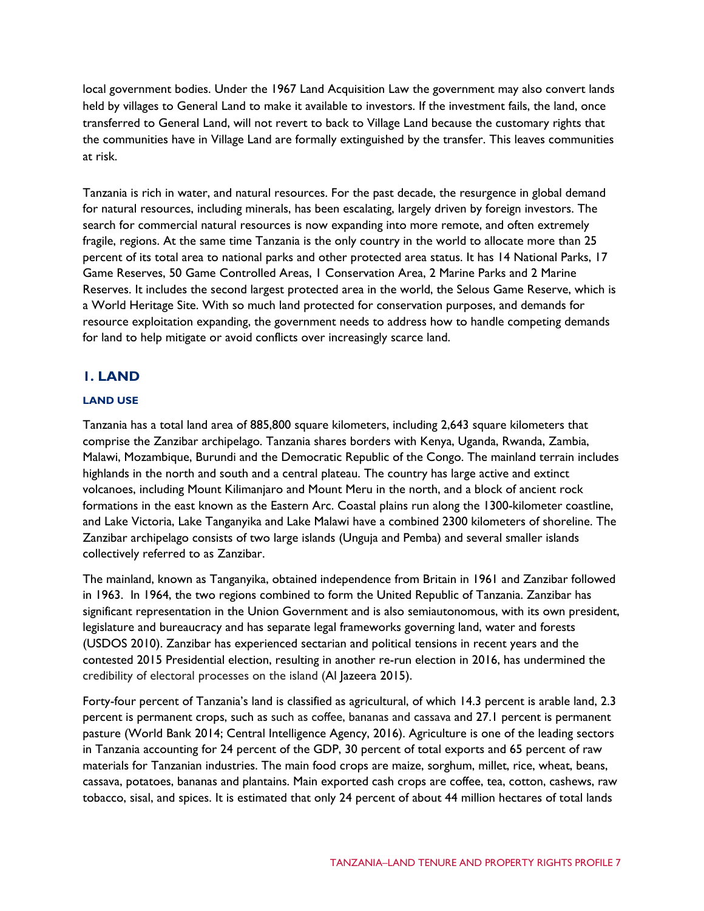local government bodies. Under the 1967 Land Acquisition Law the government may also convert lands held by villages to General Land to make it available to investors. If the investment fails, the land, once transferred to General Land, will not revert to back to Village Land because the customary rights that the communities have in Village Land are formally extinguished by the transfer. This leaves communities at risk.

Tanzania is rich in water, and natural resources. For the past decade, the resurgence in global demand for natural resources, including minerals, has been escalating, largely driven by foreign investors. The search for commercial natural resources is now expanding into more remote, and often extremely fragile, regions. At the same time Tanzania is the only country in the world to allocate more than 25 percent of its total area to national parks and other protected area status. It has 14 National Parks, 17 Game Reserves, 50 Game Controlled Areas, 1 Conservation Area, 2 Marine Parks and 2 Marine Reserves. It includes the second largest protected area in the world, the Selous Game Reserve, which is a World Heritage Site. With so much land protected for conservation purposes, and demands for resource exploitation expanding, the government needs to address how to handle competing demands for land to help mitigate or avoid conflicts over increasingly scarce land.

## **1. LAND**

## **LAND USE**

Tanzania has a total land area of 885,800 square kilometers, including 2,643 square kilometers that comprise the Zanzibar archipelago. Tanzania shares borders with [Kenya,](http://worldpopulationreview.com/countries/kenya-population/) [Uganda,](http://worldpopulationreview.com/countries/uganda-population/) [Rwanda,](http://worldpopulationreview.com/countries/rwanda-population/) [Zambia,](http://worldpopulationreview.com/countries/zambia-population/)  [Malawi,](http://worldpopulationreview.com/countries/malawi-population/) [Mozambique,](http://worldpopulationreview.com/countries/mozambique-population/) [Burundi](http://worldpopulationreview.com/countries/burundi-population/) and the Democratic Republic of the Congo. The mainland terrain includes highlands in the north and south and a central plateau. The country has large active and extinct volcanoes, including Mount Kilimanjaro and Mount Meru in the north, and a block of ancient rock formations in the east known as the Eastern Arc. Coastal plains run along the 1300-kilometer coastline, and Lake Victoria, Lake Tanganyika and Lake Malawi have a combined 2300 kilometers of shoreline. The Zanzibar archipelago consists of two large islands (Unguja and Pemba) and several smaller islands collectively referred to as Zanzibar.

The mainland, known as Tanganyika, obtained independence from Britain in 1961 and Zanzibar followed in 1963. In 1964, the two regions combined to form the United Republic of Tanzania. Zanzibar has significant representation in the Union Government and is also semiautonomous, with its own president, legislature and bureaucracy and has separate legal frameworks governing land, water and forests (USDOS 2010). Zanzibar has experienced sectarian and political tensions in recent years and the contested 2015 Presidential election, resulting in another re-run election in 2016, has undermined the credibility of electoral processes on the island (Al Jazeera 2015).

Forty-four percent of Tanzania's land is classified as agricultural, of which 14.3 percent is arable land, 2.3 percent is permanent crops, such as such as coffee, bananas and cassava and 27.1 percent is permanent pasture (World Bank 2014; Central Intelligence Agency, 2016). Agriculture is one of the leading sectors in Tanzania accounting for 24 percent of the GDP, 30 percent of total exports and 65 percent of raw materials for Tanzanian industries. The main food crops are maize, sorghum, millet, rice, wheat, beans, cassava, potatoes, bananas and plantains. Main exported cash crops are coffee, tea, cotton, cashews, raw tobacco, sisal, and spices. It is estimated that only 24 percent of about 44 million hectares of total lands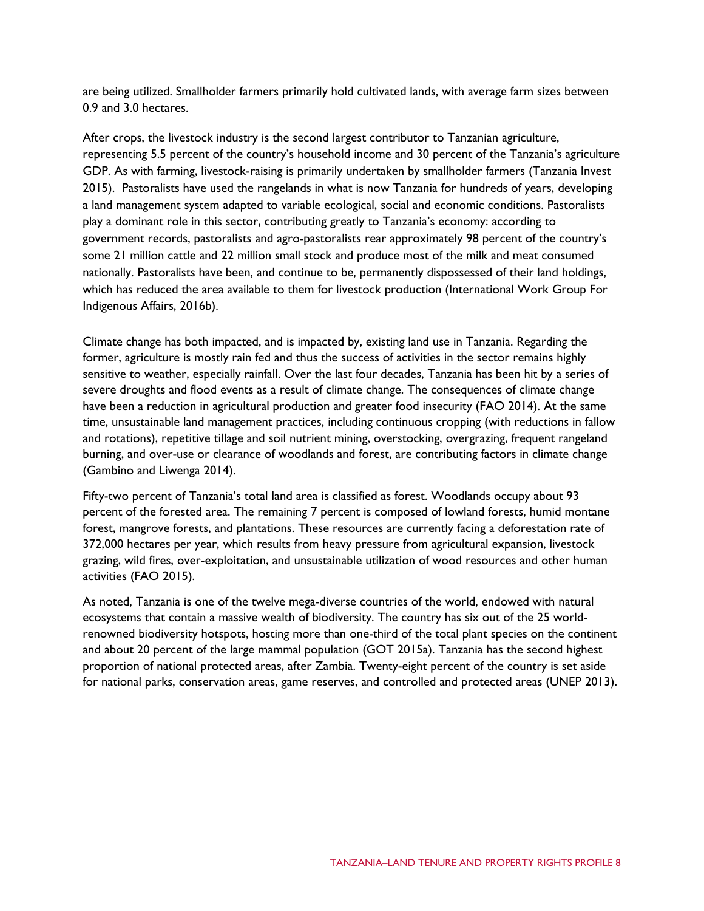are being utilized. Smallholder farmers primarily hold cultivated lands, with average farm sizes between 0.9 and 3.0 hectares.

After crops, the livestock industry is the second largest contributor to Tanzanian agriculture, representing 5.5 percent of the country's household income and 30 percent of the Tanzania's agriculture GDP. As with farming, livestock-raising is primarily undertaken by smallholder farmers (Tanzania Invest 2015). Pastoralists have used the rangelands in what is now Tanzania for hundreds of years, developing a land management system adapted to variable ecological, social and economic conditions. Pastoralists play a dominant role in this sector, contributing greatly to Tanzania's economy: according to government records, pastoralists and agro-pastoralists rear approximately 98 percent of the country's some 21 million cattle and 22 million small stock and produce most of the milk and meat consumed nationally. Pastoralists have been, and continue to be, permanently dispossessed of their land holdings, which has reduced the area available to them for livestock production (International Work Group For Indigenous Affairs, 2016b).

Climate change has both impacted, and is impacted by, existing land use in Tanzania. Regarding the former, agriculture is mostly rain fed and thus the success of activities in the sector remains highly sensitive to weather, especially rainfall. Over the last four decades, Tanzania has been hit by a series of severe droughts and flood events as a result of climate change. The consequences of climate change have been a reduction in agricultural production and greater food insecurity (FAO 2014). At the same time, unsustainable land management practices, including continuous cropping (with reductions in fallow and rotations), repetitive tillage and soil nutrient mining, overstocking, overgrazing, frequent rangeland burning, and over-use or clearance of woodlands and forest, are contributing factors in climate change (Gambino and Liwenga 2014).

Fifty-two percent of Tanzania's total land area is classified as forest. Woodlands occupy about 93 percent of the forested area. The remaining 7 percent is composed of lowland forests, humid montane forest, mangrove forests, and plantations. These resources are currently facing a deforestation rate of 372,000 hectares per year, which results from heavy pressure from agricultural expansion, livestock grazing, wild fires, over-exploitation, and unsustainable utilization of wood resources and other human activities (FAO 2015).

As noted, Tanzania is one of the twelve mega-diverse countries of the world, endowed with natural ecosystems that contain a massive wealth of biodiversity. The country has six out of the 25 worldrenowned biodiversity hotspots, hosting more than one-third of the total plant species on the continent and about 20 percent of the large mammal population (GOT 2015a). Tanzania has the second highest proportion of national protected areas, after Zambia. Twenty-eight percent of the country is set aside for national parks, conservation areas, game reserves, and controlled and protected areas (UNEP 2013).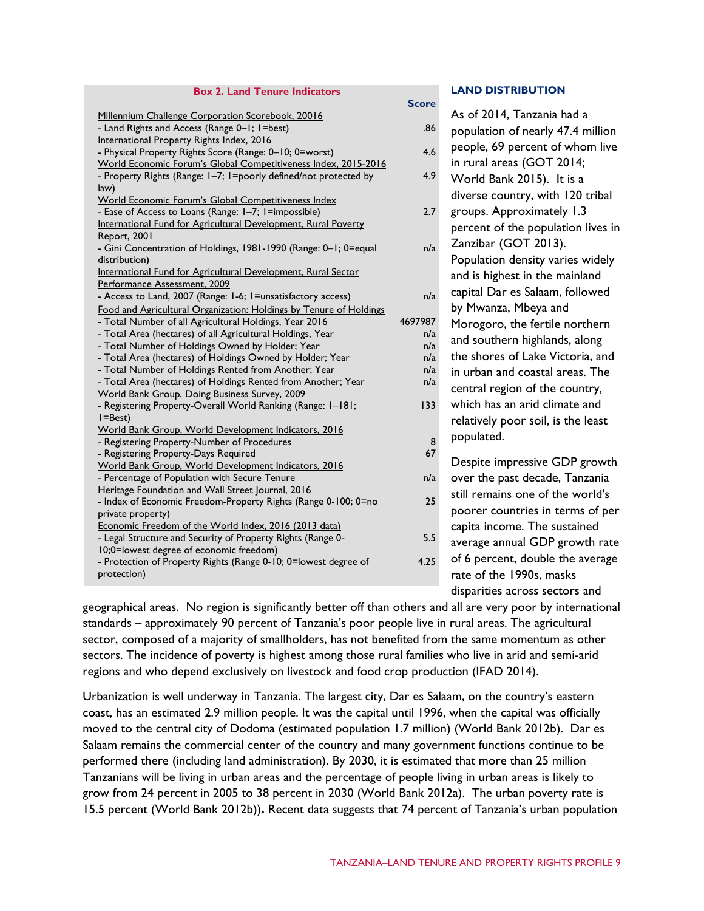#### **Box 2. Land Tenure Indicators**

|                                                                    | ט וט    |
|--------------------------------------------------------------------|---------|
| Millennium Challenge Corporation Scorebook, 20016                  |         |
| - Land Rights and Access (Range 0-1; 1=best)                       | .86     |
| International Property Rights Index, 2016                          |         |
| - Physical Property Rights Score (Range: 0-10; 0=worst)            | 4.6     |
| World Economic Forum's Global Competitiveness Index, 2015-2016     |         |
| - Property Rights (Range: I-7; I=poorly defined/not protected by   | 4.9     |
| law)                                                               |         |
| World Economic Forum's Global Competitiveness Index                |         |
| - Ease of Access to Loans (Range: I-7; I=impossible)               | 2.7     |
| International Fund for Agricultural Development, Rural Poverty     |         |
| Report, 2001                                                       |         |
| - Gini Concentration of Holdings, 1981-1990 (Range: 0-1; 0=equal   | n/a     |
| distribution)                                                      |         |
| International Fund for Agricultural Development, Rural Sector      |         |
| Performance Assessment, 2009                                       |         |
| - Access to Land, 2007 (Range: 1-6; 1=unsatisfactory access)       | n/a     |
| Food and Agricultural Organization: Holdings by Tenure of Holdings |         |
| - Total Number of all Agricultural Holdings, Year 2016             | 4697987 |
| - Total Area (hectares) of all Agricultural Holdings, Year         | n/a     |
| - Total Number of Holdings Owned by Holder; Year                   | n/a     |
| - Total Area (hectares) of Holdings Owned by Holder; Year          | n/a     |
| - Total Number of Holdings Rented from Another; Year               | n/a     |
| - Total Area (hectares) of Holdings Rented from Another; Year      | n/a     |
| World Bank Group, Doing Business Survey, 2009                      |         |
| - Registering Property-Overall World Ranking (Range: 1-181;        | 133     |
| $I = Best$                                                         |         |
| World Bank Group, World Development Indicators, 2016               |         |
| - Registering Property-Number of Procedures                        | 8       |
| - Registering Property-Days Required                               | 67      |
| World Bank Group, World Development Indicators, 2016               |         |
| - Percentage of Population with Secure Tenure                      | n/a     |
| Heritage Foundation and Wall Street Journal, 2016                  |         |
| - Index of Economic Freedom-Property Rights (Range 0-100; 0=no     | 25      |
| private property)                                                  |         |
| Economic Freedom of the World Index, 2016 (2013 data)              |         |
|                                                                    | 5.5     |
| - Legal Structure and Security of Property Rights (Range 0-        |         |
| 10;0=lowest degree of economic freedom)                            | 4.25    |
| - Protection of Property Rights (Range 0-10; 0=lowest degree of    |         |
| protection)                                                        |         |
|                                                                    |         |

#### **LAND DISTRIBUTION**

|                                 | <b>Score</b> |                                    |
|---------------------------------|--------------|------------------------------------|
| ok, 20016                       |              | As of 2014, Tanzania had a         |
| E)                              | .86          | population of nearly 47.4 million  |
| $0; 0 = work$                   | 4.6          | people, 69 percent of whom live    |
| <u>veness Index, 2015-2016</u>  |              | in rural areas (GOT 2014;          |
| ned/not protected by            | 4.9          | World Bank 2015). It is a          |
| veness Index                    |              | diverse country, with 120 tribal   |
| possible)                       | 2.7          | groups. Approximately 1.3          |
| nent, Rural Poverty             |              |                                    |
|                                 |              | percent of the population lives in |
| (Range: 0-1; 0=equal            | n/a          | Zanzibar (GOT 2013).               |
|                                 |              | Population density varies widely   |
| nent, Rural Sector              |              | and is highest in the mainland     |
| sfactory access)                | n/a          | capital Dar es Salaam, followed    |
| s by Tenure of Holdings         |              | by Mwanza, Mbeya and               |
| <b>Year 2016</b>                | 4697987      | Morogoro, the fertile northern     |
| Idings, Year                    | n/a          |                                    |
| ler: Year                       | n/a          | and southern highlands, along      |
| by Holder; Year                 | n/a          | the shores of Lake Victoria, and   |
| nother; Year                    | n/a          | in urban and coastal areas. The    |
| rom Another; Year<br>2009       | n/a          | central region of the country,     |
| ng (Range: I-181;               | 133          | which has an arid climate and      |
|                                 |              | relatively poor soil, is the least |
| <u>dicators, 2016</u>           |              | populated.                         |
| <b>SS</b>                       | 8            |                                    |
|                                 | 67           | Despite impressive GDP growth      |
| dicators, 2016                  |              |                                    |
| ıre                             | n/a          | over the past decade, Tanzania     |
| , 2016<br>ts (Range 0-100; 0=no | 25           | still remains one of the world's   |
|                                 |              | poorer countries in terms of per   |
| 6 (2013 data)                   |              | capita income. The sustained       |
|                                 | - -          |                                    |

average annual GDP growth rate of 6 percent, double the average 5.5 4.25

rate of the 1990s, masks disparities across sectors and

geographical areas. No region is significantly better off than others and all are very poor by international standards – approximately 90 percent of Tanzania's poor people live in rural areas. The agricultural sector, composed of a majority of smallholders, has not benefited from the same momentum as other sectors. The incidence of poverty is highest among those rural families who live in arid and semi-arid regions and who depend exclusively on livestock and food crop production (IFAD 2014).

Urbanization is well underway in Tanzania. The largest city, Dar es Salaam, on the country's eastern coast, has an estimated 2.9 million people. It was the capital until 1996, when the capital was officially moved to the central city of Dodoma (estimated population 1.7 million) (World Bank 2012b). Dar es Salaam remains the commercial center of the country and many government functions continue to be performed there (including land administration). By 2030, it is estimated that more than 25 million Tanzanians will be living in urban areas and the percentage of people living in urban areas is likely to grow from 24 percent in 2005 to 38 percent in 2030 (World Bank 2012a). The urban poverty rate is 15.5 percent (World Bank 2012b))**.** Recent data suggests that 74 percent of Tanzania's urban population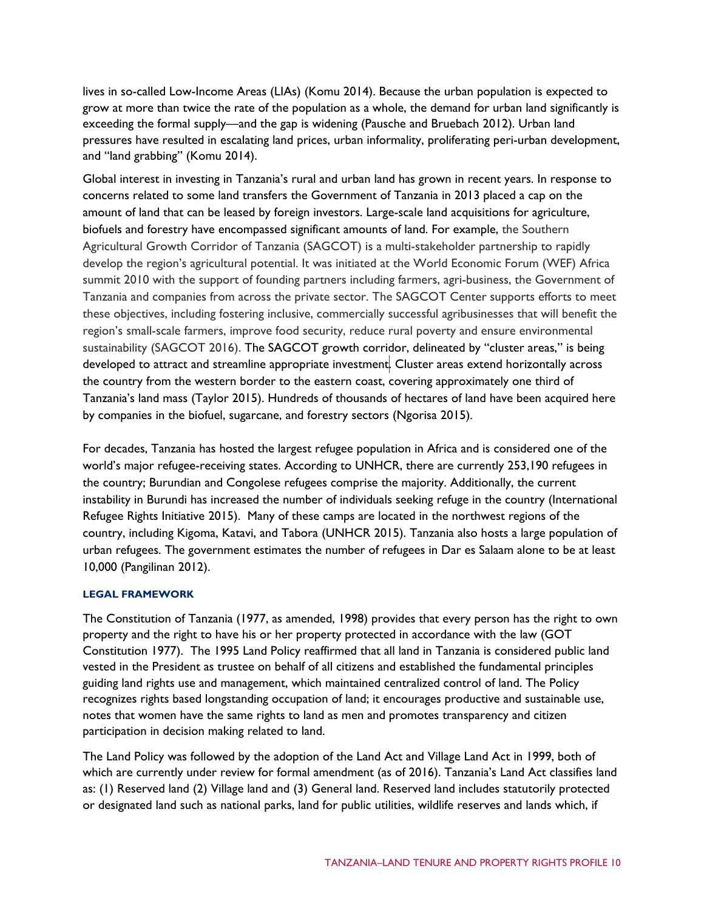lives in so-called Low-Income Areas (LIAs) (Komu 2014). Because the urban population is expected to grow at more than twice the rate of the population as a whole, the demand for urban land significantly is exceeding the formal supply—and the gap is widening (Pausche and Bruebach 2012). Urban land pressures have resulted in escalating land prices, urban informality, proliferating peri-urban development, and "land grabbing" (Komu 2014).

Global interest in investing in Tanzania's rural and urban land has grown in recent years. In response to concerns related to some land transfers the Government of Tanzania in 2013 placed a cap on the amount of land that can be leased by foreign investors. Large-scale land acquisitions for agriculture, biofuels and forestry have encompassed significant amounts of land. For example, the Southern Agricultural Growth Corridor of Tanzania (SAGCOT) is a multi-stakeholder partnership to rapidly develop the region's agricultural potential. It was initiated at the World Economic Forum (WEF) Africa summit 2010 with the support of founding partners including farmers, agri-business, the Government of Tanzania and companies from across the private sector. The SAGCOT Center supports efforts to meet these objectives, including fostering inclusive, commercially successful agribusinesses that will benefit the region's small-scale farmers, improve food security, reduce rural poverty and ensure environmental sustainability (SAGCOT 2016). The SAGCOT growth corridor, delineated by "cluster areas," is being developed to attract and streamline appropriate investment. Cluster areas extend horizontally across the country from the western border to the eastern coast, covering approximately one third of Tanzania's land mass (Taylor 2015). Hundreds of thousands of hectares of land have been acquired here by companies in the biofuel, sugarcane, and forestry sectors (Ngorisa 2015).

For decades, Tanzania has hosted the largest refugee population in Africa and is considered one of the world's major refugee-receiving states. [According to UNHCR,](http://www.unhcr.org/pages/49e45c736.html) there are currently 253,190 refugees in the country; Burundian and Congolese refugees comprise the majority. Additionally, the current instability in Burundi has increased the number of individuals seeking refuge in the country (International Refugee Rights Initiative 2015). Many of these camps are located in the northwest regions of the country, including Kigoma, Katavi, and Tabora (UNHCR 2015). Tanzania also hosts a large population of urban refugees. The government estimates the number of refugees in Dar es Salaam alone to be at least 10,000 (Pangilinan 2012).

#### **LEGAL FRAMEWORK**

The Constitution of Tanzania (1977, as amended, 1998) provides that every person has the right to own property and the right to have his or her property protected in accordance with the law (GOT Constitution 1977). The 1995 Land Policy reaffirmed that all land in Tanzania is considered public land vested in the President as trustee on behalf of all citizens and established the fundamental principles guiding land rights use and management, which maintained centralized control of land. The Policy recognizes rights based longstanding occupation of land; it encourages productive and sustainable use, notes that women have the same rights to land as men and promotes transparency and citizen participation in decision making related to land.

The Land Policy was followed by the adoption of the Land Act and Village Land Act in 1999, both of which are currently under review for formal amendment (as of 2016). Tanzania's Land Act classifies land as: (1) Reserved land (2) Village land and (3) General land. Reserved land includes statutorily protected or designated land such as national parks, land for public utilities, wildlife reserves and lands which, if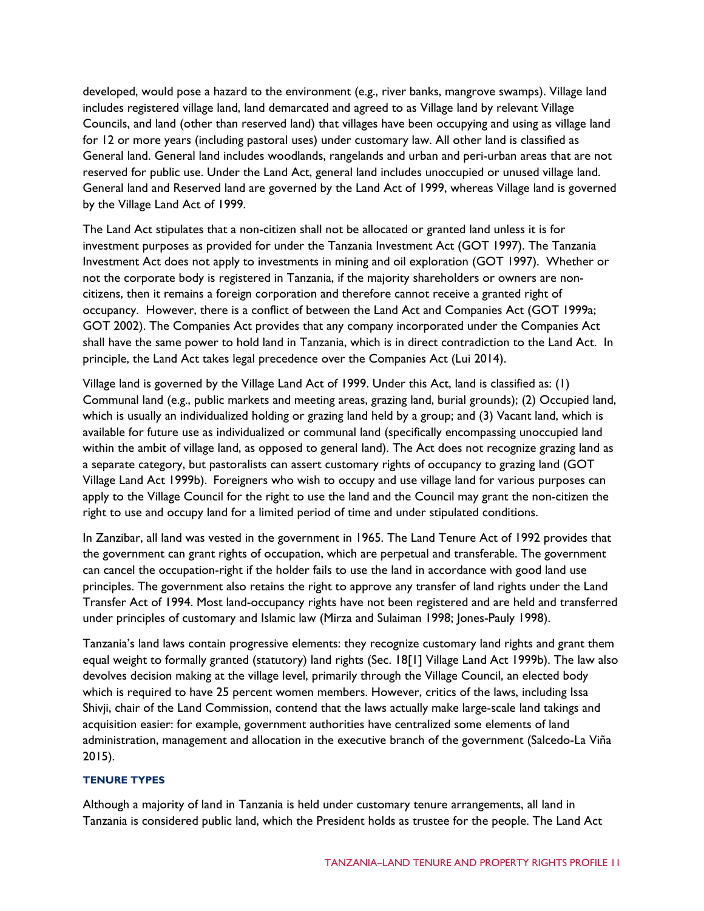developed, would pose a hazard to the environment (e.g., river banks, mangrove swamps). Village land includes registered village land, land demarcated and agreed to as Village land by relevant Village Councils, and land (other than reserved land) that villages have been occupying and using as village land for 12 or more years (including pastoral uses) under customary law. All other land is classified as General land. General land includes woodlands, rangelands and urban and peri-urban areas that are not reserved for public use. Under the Land Act, general land includes unoccupied or unused village land. General land and Reserved land are governed by the Land Act of 1999, whereas Village land is governed by the Village Land Act of 1999.

The Land Act stipulates that a non-citizen shall not be allocated or granted land unless it is for investment purposes as provided for under the Tanzania Investment Act (GOT 1997). The Tanzania Investment Act does not apply to investments in mining and oil exploration (GOT 1997). Whether or not the corporate body is registered in Tanzania, if the majority shareholders or owners are noncitizens, then it remains a foreign corporation and therefore cannot receive a granted right of occupancy. However, there is a conflict of between the Land Act and Companies Act (GOT 1999a; GOT 2002). The Companies Act provides that any company incorporated under the Companies Act shall have the same power to hold land in Tanzania, which is in direct contradiction to the Land Act. In principle, the Land Act takes legal precedence over the Companies Act (Lui 2014).

Village land is governed by the Village Land Act of 1999. Under this Act, land is classified as: (1) Communal land (e.g., public markets and meeting areas, grazing land, burial grounds); (2) Occupied land, which is usually an individualized holding or grazing land held by a group; and (3) Vacant land, which is available for future use as individualized or communal land (specifically encompassing unoccupied land within the ambit of village land, as opposed to general land). The Act does not recognize grazing land as a separate category, but pastoralists can assert customary rights of occupancy to grazing land (GOT Village Land Act 1999b). Foreigners who wish to occupy and use village land for various purposes can apply to the Village Council for the right to use the land and the Council may grant the non-citizen the right to use and occupy land for a limited period of time and under stipulated conditions.

In Zanzibar, all land was vested in the government in 1965. The Land Tenure Act of 1992 provides that the government can grant rights of occupation, which are perpetual and transferable. The government can cancel the occupation-right if the holder fails to use the land in accordance with good land use principles. The government also retains the right to approve any transfer of land rights under the Land Transfer Act of 1994. Most land-occupancy rights have not been registered and are held and transferred under principles of customary and Islamic law (Mirza and Sulaiman 1998; Jones-Pauly 1998).

Tanzania's land laws contain progressive elements: they recognize customary land rights and grant them equal weight to formally granted (statutory) land rights (Sec. 18[1] Village Land Act 1999b). The law also devolves decision making at the village level, primarily through the Village Council, an elected body which is required to have 25 percent women members. However, critics of the laws, including Issa Shivji, chair of the Land Commission, contend that the laws actually make large-scale land takings and acquisition easier: for example, government authorities have centralized some elements of land administration, management and allocation in the executive branch of the government (Salcedo-La Viña 2015).

#### **TENURE TYPES**

Although a majority of land in Tanzania is held under customary tenure arrangements, all land in Tanzania is considered public land, which the President holds as trustee for the people. The Land Act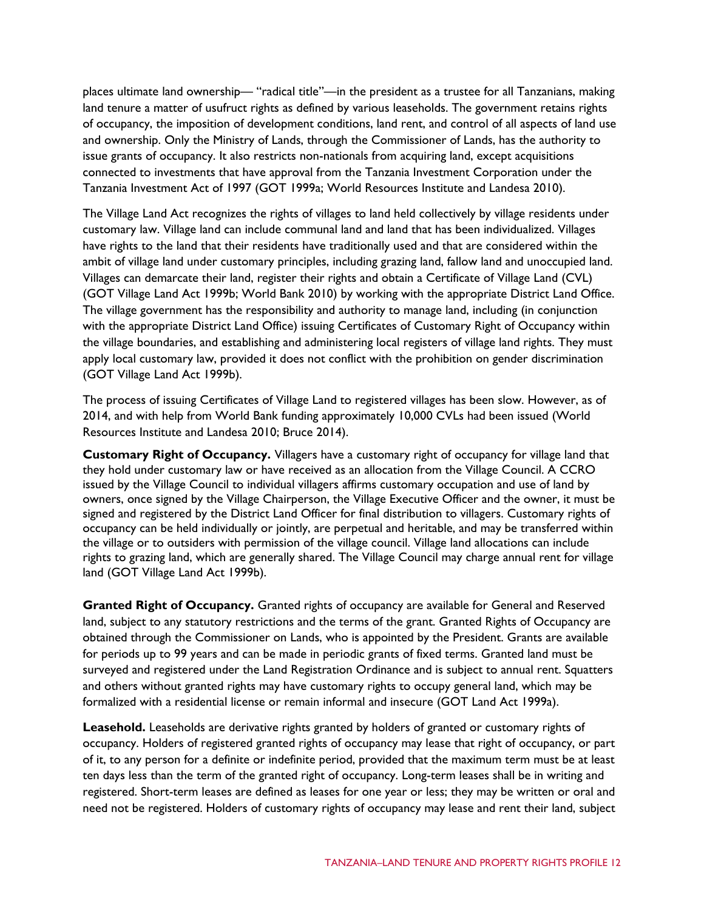places ultimate land ownership— "radical title"—in the president as a trustee for all Tanzanians, making land tenure a matter of usufruct rights as defined by various leaseholds. The government retains rights of occupancy, the imposition of development conditions, land rent, and control of all aspects of land use and ownership. Only the Ministry of Lands, through the Commissioner of Lands, has the authority to issue grants of occupancy. It also restricts non-nationals from acquiring land, except acquisitions connected to investments that have approval from the Tanzania Investment Corporation under the Tanzania Investment Act of 1997 (GOT 1999a; World Resources Institute and Landesa 2010).

The Village Land Act recognizes the rights of villages to land held collectively by village residents under customary law. Village land can include communal land and land that has been individualized. Villages have rights to the land that their residents have traditionally used and that are considered within the ambit of village land under customary principles, including grazing land, fallow land and unoccupied land. Villages can demarcate their land, register their rights and obtain a Certificate of Village Land (CVL) (GOT Village Land Act 1999b; World Bank 2010) by working with the appropriate District Land Office. The village government has the responsibility and authority to manage land, including (in conjunction with the appropriate District Land Office) issuing Certificates of Customary Right of Occupancy within the village boundaries, and establishing and administering local registers of village land rights. They must apply local customary law, provided it does not conflict with the prohibition on gender discrimination (GOT Village Land Act 1999b).

The process of issuing Certificates of Village Land to registered villages has been slow. However, as of 2014, and with help from World Bank funding approximately 10,000 CVLs had been issued (World Resources Institute and Landesa 2010; Bruce 2014).

**Customary Right of Occupancy.** Villagers have a customary right of occupancy for village land that they hold under customary law or have received as an allocation from the Village Council. A CCRO issued by the Village Council to individual villagers affirms customary occupation and use of land by owners, once signed by the Village Chairperson, the Village Executive Officer and the owner, it must be signed and registered by the District Land Officer for final distribution to villagers. Customary rights of occupancy can be held individually or jointly, are perpetual and heritable, and may be transferred within the village or to outsiders with permission of the village council. Village land allocations can include rights to grazing land, which are generally shared. The Village Council may charge annual rent for village land (GOT Village Land Act 1999b).

**Granted Right of Occupancy.** Granted rights of occupancy are available for General and Reserved land, subject to any statutory restrictions and the terms of the grant. Granted Rights of Occupancy are obtained through the Commissioner on Lands, who is appointed by the President. Grants are available for periods up to 99 years and can be made in periodic grants of fixed terms. Granted land must be surveyed and registered under the Land Registration Ordinance and is subject to annual rent. Squatters and others without granted rights may have customary rights to occupy general land, which may be formalized with a residential license or remain informal and insecure (GOT Land Act 1999a).

Leasehold. Leaseholds are derivative rights granted by holders of granted or customary rights of occupancy. Holders of registered granted rights of occupancy may lease that right of occupancy, or part of it, to any person for a definite or indefinite period, provided that the maximum term must be at least ten days less than the term of the granted right of occupancy. Long-term leases shall be in writing and registered. Short-term leases are defined as leases for one year or less; they may be written or oral and need not be registered. Holders of customary rights of occupancy may lease and rent their land, subject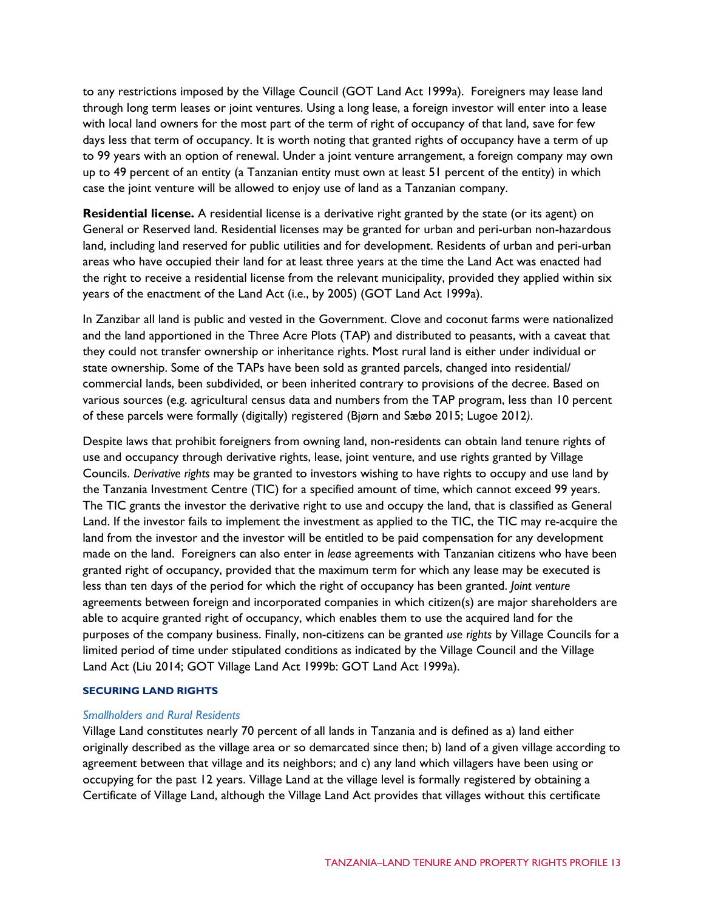to any restrictions imposed by the Village Council (GOT Land Act 1999a). Foreigners may lease land through long term leases or joint ventures. Using a long lease, a foreign investor will enter into a lease with local land owners for the most part of the term of right of occupancy of that land, save for few days less that term of occupancy. It is worth noting that granted rights of occupancy have a term of up to 99 years with an option of renewal. Under a joint venture arrangement, a foreign company may own up to 49 percent of an entity (a Tanzanian entity must own at least 51 percent of the entity) in which case the joint venture will be allowed to enjoy use of land as a Tanzanian company.

**Residential license.** A residential license is a derivative right granted by the state (or its agent) on General or Reserved land. Residential licenses may be granted for urban and peri-urban non-hazardous land, including land reserved for public utilities and for development. Residents of urban and peri-urban areas who have occupied their land for at least three years at the time the Land Act was enacted had the right to receive a residential license from the relevant municipality, provided they applied within six years of the enactment of the Land Act (i.e., by 2005) (GOT Land Act 1999a).

In Zanzibar all land is public and vested in the Government. Clove and coconut farms were nationalized and the land apportioned in the Three Acre Plots (TAP) and distributed to peasants, with a caveat that they could not transfer ownership or inheritance rights. Most rural land is either under individual or state ownership. Some of the TAPs have been sold as granted parcels, changed into residential/ commercial lands, been subdivided, or been inherited contrary to provisions of the decree. Based on various sources (e.g. agricultural census data and numbers from the TAP program, less than 10 percent of these parcels were formally (digitally) registered (Bjørn and Sæbø 2015; Lugoe 2012*)*.

Despite laws that prohibit foreigners from owning land, non-residents can obtain land tenure rights of use and occupancy through derivative rights, lease, joint venture, and use rights granted by Village Councils. *Derivative rights* may be granted to investors wishing to have rights to occupy and use land by the Tanzania Investment Centre (TIC) for a specified amount of time, which cannot exceed 99 years. The TIC grants the investor the derivative right to use and occupy the land, that is classified as General Land. If the investor fails to implement the investment as applied to the TIC, the TIC may re-acquire the land from the investor and the investor will be entitled to be paid compensation for any development made on the land. Foreigners can also enter in *lease* agreements with Tanzanian citizens who have been granted right of occupancy, provided that the maximum term for which any lease may be executed is less than ten days of the period for which the right of occupancy has been granted. *Joint venture* agreements between foreign and incorporated companies in which citizen(s) are major shareholders are able to acquire granted right of occupancy, which enables them to use the acquired land for the purposes of the company business. Finally, non-citizens can be granted *use rights* by Village Councils for a limited period of time under stipulated conditions as indicated by the Village Council and the Village Land Act (Liu 2014; GOT Village Land Act 1999b: GOT Land Act 1999a).

#### **SECURING LAND RIGHTS**

#### *Smallholders and Rural Residents*

Village Land constitutes nearly 70 percent of all lands in Tanzania and is defined as a) land either originally described as the village area or so demarcated since then; b) land of a given village according to agreement between that village and its neighbors; and c) any land which villagers have been using or occupying for the past 12 years. Village Land at the village level is formally registered by obtaining a Certificate of Village Land, although the Village Land Act provides that villages without this certificate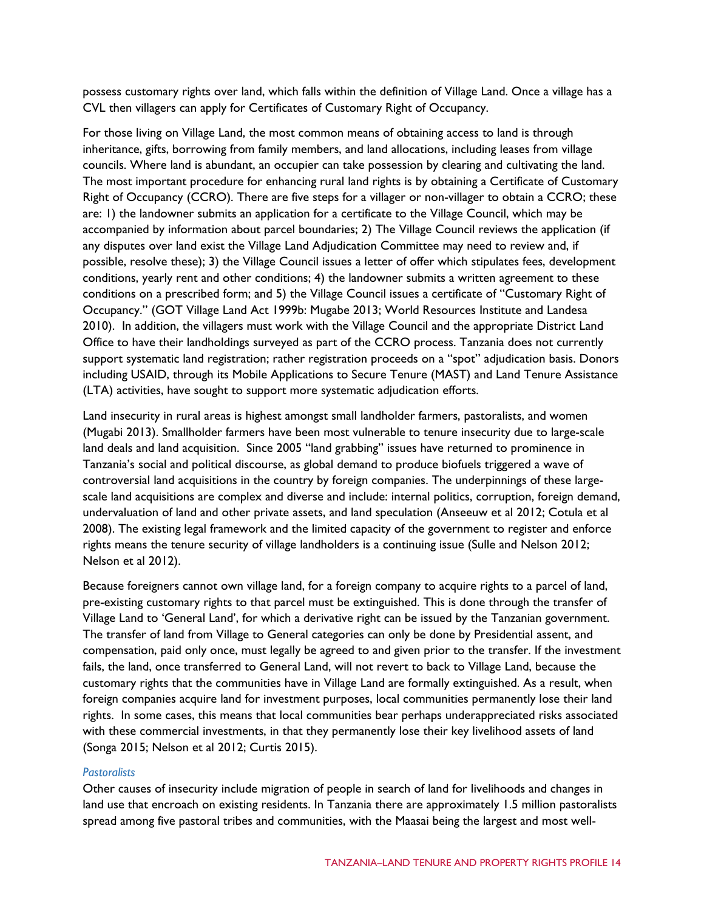possess customary rights over land, which falls within the definition of Village Land. Once a village has a CVL then villagers can apply for Certificates of Customary Right of Occupancy.

For those living on Village Land, the most common means of obtaining access to land is through inheritance, gifts, borrowing from family members, and land allocations, including leases from village councils. Where land is abundant, an occupier can take possession by clearing and cultivating the land. The most important procedure for enhancing rural land rights is by obtaining a Certificate of Customary Right of Occupancy (CCRO). There are five steps for a villager or non-villager to obtain a CCRO; these are: 1) the landowner submits an application for a certificate to the Village Council, which may be accompanied by information about parcel boundaries; 2) The Village Council reviews the application (if any disputes over land exist the Village Land Adjudication Committee may need to review and, if possible, resolve these); 3) the Village Council issues a letter of offer which stipulates fees, development conditions, yearly rent and other conditions; 4) the landowner submits a written agreement to these conditions on a prescribed form; and 5) the Village Council issues a certificate of "Customary Right of Occupancy." (GOT Village Land Act 1999b: Mugabe 2013; World Resources Institute and Landesa 2010). In addition, the villagers must work with the Village Council and the appropriate District Land Office to have their landholdings surveyed as part of the CCRO process. Tanzania does not currently support systematic land registration; rather registration proceeds on a "spot" adjudication basis. Donors including USAID, through its Mobile Applications to Secure Tenure (MAST) and Land Tenure Assistance (LTA) activities, have sought to support more systematic adjudication efforts.

Land insecurity in rural areas is highest amongst small landholder farmers, pastoralists, and women (Mugabi 2013). Smallholder farmers have been most vulnerable to tenure insecurity due to large-scale land deals and land acquisition. Since 2005 "land grabbing" issues have returned to prominence in Tanzania's social and political discourse, as global demand to produce biofuels triggered a wave of controversial land acquisitions in the country by foreign companies. The underpinnings of these largescale land acquisitions are complex and diverse and include: internal politics, corruption, foreign demand, undervaluation of land and other private assets, and land speculation (Anseeuw et al 2012; Cotula et al 2008). The existing legal framework and the limited capacity of the government to register and enforce rights means the tenure security of village landholders is a continuing issue (Sulle and Nelson 2012; Nelson et al 2012).

Because foreigners cannot own village land, for a foreign company to acquire rights to a parcel of land, pre-existing customary rights to that parcel must be extinguished. This is done through the transfer of Village Land to 'General Land', for which a derivative right can be issued by the Tanzanian government. The transfer of land from Village to General categories can only be done by Presidential assent, and compensation, paid only once, must legally be agreed to and given prior to the transfer. If the investment fails, the land, once transferred to General Land, will not revert to back to Village Land, because the customary rights that the communities have in Village Land are formally extinguished. As a result, when foreign companies acquire land for investment purposes, local communities permanently lose their land rights. In some cases, this means that local communities bear perhaps underappreciated risks associated with these commercial investments, in that they permanently lose their key livelihood assets of land (Songa 2015; Nelson et al 2012; Curtis 2015).

#### *Pastoralists*

Other causes of insecurity include migration of people in search of land for livelihoods and changes in land use that encroach on existing residents. In Tanzania there are approximately 1.5 million pastoralists spread among five pastoral tribes and communities, with the Maasai being the largest and most well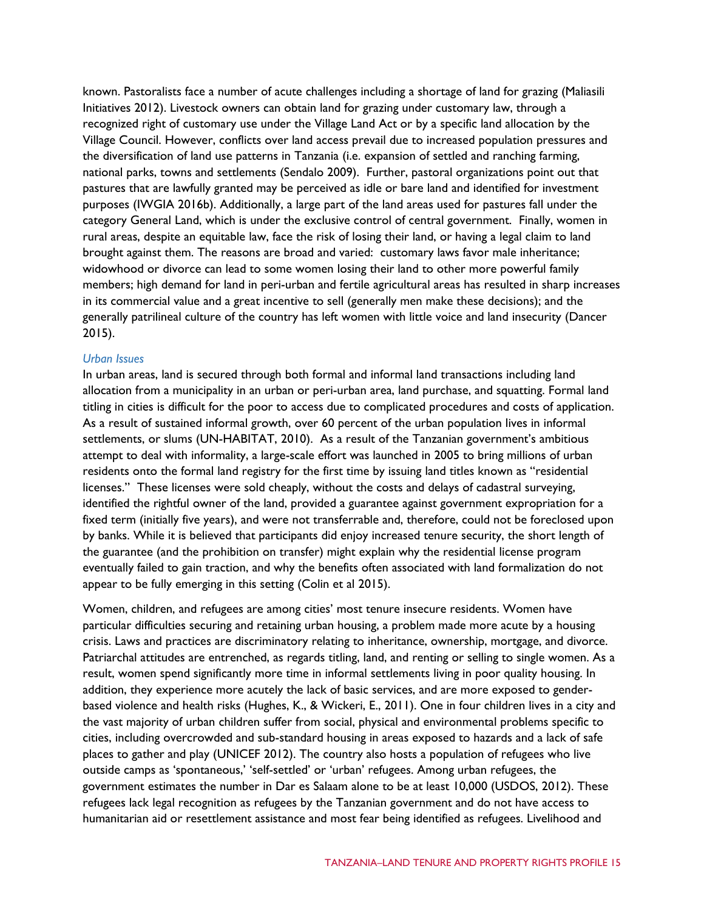known. Pastoralists face a number of acute challenges including a shortage of land for grazing (Maliasili Initiatives 2012). Livestock owners can obtain land for grazing under customary law, through a recognized right of customary use under the Village Land Act or by a specific land allocation by the Village Council. However, conflicts over land access prevail due to increased population pressures and the diversification of land use patterns in Tanzania (i.e. expansion of settled and ranching farming, national parks, towns and settlements (Sendalo 2009). Further, pastoral organizations point out that pastures that are lawfully granted may be perceived as idle or bare land and identified for investment purposes (IWGIA 2016b). Additionally, a large part of the land areas used for pastures fall under the category General Land, which is under the exclusive control of central government. Finally, women in rural areas, despite an equitable law, face the risk of losing their land, or having a legal claim to land brought against them. The reasons are broad and varied: customary laws favor male inheritance; widowhood or divorce can lead to some women losing their land to other more powerful family members; high demand for land in peri-urban and fertile agricultural areas has resulted in sharp increases in its commercial value and a great incentive to sell (generally men make these decisions); and the generally patrilineal culture of the country has left women with little voice and land insecurity (Dancer 2015).

#### *Urban Issues*

In urban areas, land is secured through both formal and informal land transactions including land allocation from a municipality in an urban or peri-urban area, land purchase, and squatting. Formal land titling in cities is difficult for the poor to access due to complicated procedures and costs of application. As a result of sustained informal growth, over 60 percent of the urban population lives in informal settlements, or slums (UN-HABITAT, 2010). As a result of the Tanzanian government's ambitious attempt to deal with informality, a large-scale effort was launched in 2005 to bring millions of urban residents onto the formal land registry for the first time by issuing land titles known as "residential licenses." These licenses were sold cheaply, without the costs and delays of cadastral surveying, identified the rightful owner of the land, provided a guarantee against government expropriation for a fixed term (initially five years), and were not transferrable and, therefore, could not be foreclosed upon by banks. While it is believed that participants did enjoy increased tenure security, the short length of the guarantee (and the prohibition on transfer) might explain why the residential license program eventually failed to gain traction, and why the benefits often associated with land formalization do not appear to be fully emerging in this setting (Colin et al 2015).

Women, children, and refugees are among cities' most tenure insecure residents. Women have particular difficulties securing and retaining urban housing, a problem made more acute by a housing crisis. Laws and practices are discriminatory relating to inheritance, ownership, mortgage, and divorce. Patriarchal attitudes are entrenched, as regards titling, land, and renting or selling to single women. As a result, women spend significantly more time in informal settlements living in poor quality housing. In addition, they experience more acutely the lack of basic services, and are more exposed to genderbased violence and health risks (Hughes, K., & Wickeri, E., 2011). One in four children lives in a city and the vast majority of urban children suffer from social, physical and environmental problems specific to cities, including overcrowded and sub-standard housing in areas exposed to hazards and a lack of safe places to gather and play (UNICEF 2012). The country also hosts a population of refugees who live outside camps as 'spontaneous,' 'self-settled' or 'urban' refugees. Among urban refugees, the government estimates the number in Dar es Salaam alone to be at least 10,000 (USDOS, 2012). These refugees lack legal recognition as refugees by the Tanzanian government and do not have access to humanitarian aid or resettlement assistance and most fear being identified as refugees. Livelihood and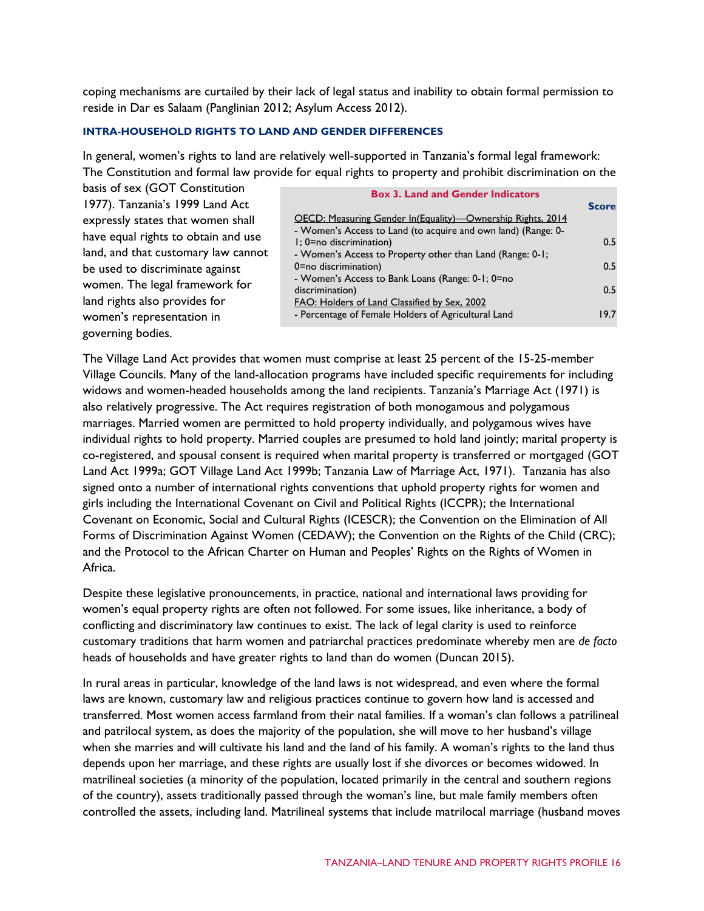coping mechanisms are curtailed by their lack of legal status and inability to obtain formal permission to reside in Dar es Salaam (Panglinian 2012; Asylum Access 2012).

#### **INTRA-HOUSEHOLD RIGHTS TO LAND AND GENDER DIFFERENCES**

In general, women's rights to land are relatively well-supported in Tanzania's formal legal framework: The Constitution and formal law provide for equal rights to property and prohibit discrimination on the

| basis of sex (GOT Constitution      |  |  |  |  |
|-------------------------------------|--|--|--|--|
| 1977). Tanzania's 1999 Land Act     |  |  |  |  |
| expressly states that women shall   |  |  |  |  |
| have equal rights to obtain and use |  |  |  |  |
| land, and that customary law cannot |  |  |  |  |
| be used to discriminate against     |  |  |  |  |
| women. The legal framework for      |  |  |  |  |
| land rights also provides for       |  |  |  |  |
| women's representation in           |  |  |  |  |
| governing bodies.                   |  |  |  |  |

| <b>Box 3. Land and Gender Indicators</b>                      |              |
|---------------------------------------------------------------|--------------|
|                                                               | <b>Score</b> |
| OECD: Measuring Gender In(Equality)—Ownership Rights, 2014    |              |
| - Women's Access to Land (to acquire and own land) (Range: 0- |              |
| I: 0=no discrimination)                                       | 0.5          |
| - Women's Access to Property other than Land (Range: 0-1;     |              |
| 0=no discrimination)                                          | 0.5          |
| - Women's Access to Bank Loans (Range: 0-1; 0=no              |              |
| discrimination)                                               | 05           |
| FAO: Holders of Land Classified by Sex, 2002                  |              |
| - Percentage of Female Holders of Agricultural Land           | 197          |

The Village Land Act provides that women must comprise at least 25 percent of the 15-25-member Village Councils. Many of the land-allocation programs have included specific requirements for including widows and women-headed households among the land recipients. Tanzania's Marriage Act (1971) is also relatively progressive. The Act requires registration of both monogamous and polygamous marriages. Married women are permitted to hold property individually, and polygamous wives have individual rights to hold property. Married couples are presumed to hold land jointly; marital property is co-registered, and spousal consent is required when marital property is transferred or mortgaged (GOT Land Act 1999a; GOT Village Land Act 1999b; Tanzania Law of Marriage Act, 1971). Tanzania has also signed onto a number of international rights conventions that uphold property rights for women and girls including [the International Covenant on Civil and Political Rights](http://www.ohchr.org/en/professionalinterest/pages/ccpr.aspx) (ICCP[R\); the International](http://www.ohchr.org/EN/ProfessionalInterest/Pages/CESCR.aspx)  [Covenant on Economic, Social and Cultural Rights](http://www.ohchr.org/EN/ProfessionalInterest/Pages/CESCR.aspx) (ICESCR); [the Convention on the Elimination of All](http://www.un.org/womenwatch/daw/cedaw/cedaw.htm)  [Forms of Discrimination Against Women](http://www.un.org/womenwatch/daw/cedaw/cedaw.htm) (CEDAW); [the Convention on the Rights of the Child](http://www.ohchr.org/en/professionalinterest/pages/crc.aspx) (CRC); and the Protocol to the African Charter on Human and Peoples' Rights on the Rights of Women in Africa.

Despite these legislative pronouncements, in practice, national and international laws providing for women's equal property rights are often not followed. For some issues, like inheritance, a body of conflicting and discriminatory law continues to exist. The lack of legal clarity is used to reinforce customary traditions that harm women and patriarchal practices predominate whereby men are *de facto*  heads of households and have greater rights to land than do women (Duncan 2015).

In rural areas in particular, knowledge of the land laws is not widespread, and even where the formal laws are known, customary law and religious practices continue to govern how land is accessed and transferred. Most women access farmland from their natal families. If a woman's clan follows a patrilineal and patrilocal system, as does the majority of the population, she will move to her husband's village when she marries and will cultivate his land and the land of his family. A woman's rights to the land thus depends upon her marriage, and these rights are usually lost if she divorces or becomes widowed. In matrilineal societies (a minority of the population, located primarily in the central and southern regions of the country), assets traditionally passed through the woman's line, but male family members often controlled the assets, including land. Matrilineal systems that include matrilocal marriage (husband moves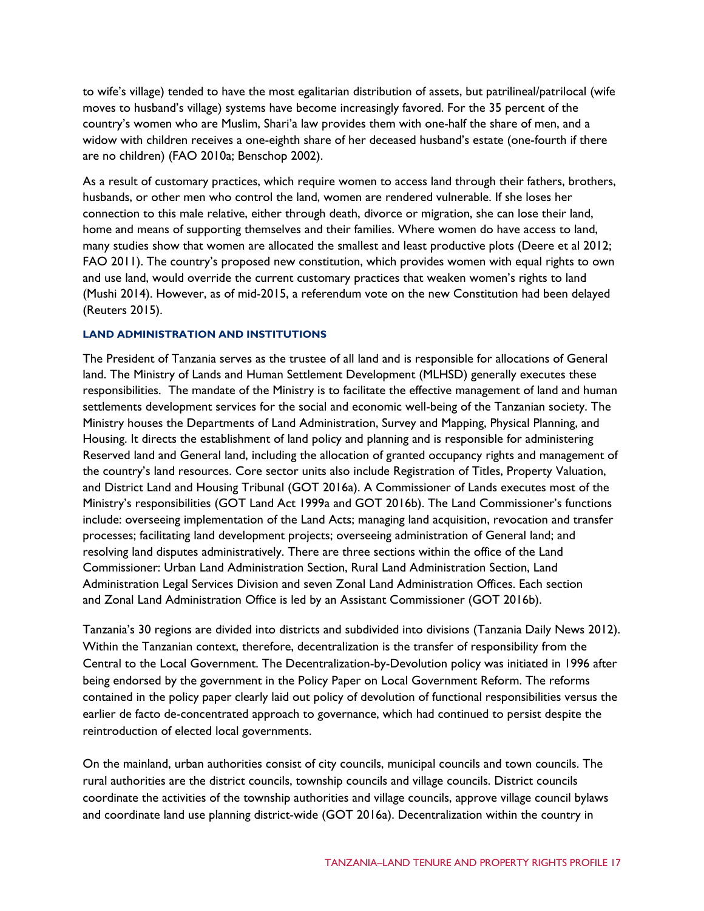to wife's village) tended to have the most egalitarian distribution of assets, but patrilineal/patrilocal (wife moves to husband's village) systems have become increasingly favored. For the 35 percent of the country's women who are Muslim, Shari'a law provides them with one-half the share of men, and a widow with children receives a one-eighth share of her deceased husband's estate (one-fourth if there are no children) (FAO 2010a; Benschop 2002).

As a result of customary practices, which require women to access land through their fathers, brothers, husbands, or other men who control the land, women are rendered vulnerable. If she loses her connection to this male relative, either through death, divorce or migration, she can lose their land, home and means of supporting themselves and their families. Where women do have access to land, many studies show that women are allocated the smallest and least productive plots (Deere et al 2012; FAO 2011). The country's proposed new constitution, which provides women with equal rights to own and use land, [would override the current customary practices that weaken women's rights to land](http://www.constitutionnet.org/news/tanzania-new-constitution-moves-closer-gender-parity) (Mushi 2014). However, as of mid-2015, a referendum vote on the new Constitution had been delayed (Reuters 2015).

#### **LAND ADMINISTRATION AND INSTITUTIONS**

The President of Tanzania serves as the trustee of all land and is responsible for allocations of General land. The Ministry of Lands and Human Settlement Development (MLHSD) generally executes these responsibilities. The mandate of the Ministry is to facilitate the effective management of land and human settlements development services for the social and economic well-being of the Tanzanian society. The Ministry houses the Departments of Land Administration, Survey and Mapping, Physical Planning, and Housing. It directs the establishment of land policy and planning and is responsible for administering Reserved land and General land, including the allocation of granted occupancy rights and management of the country's land resources. Core sector units also include Registration of Titles, Property Valuation, and District Land and Housing Tribunal (GOT 2016a). A Commissioner of Lands executes most of the Ministry's responsibilities (GOT Land Act 1999a and GOT 2016b). The Land Commissioner's functions include: overseeing implementation of the Land Acts; managing land acquisition, revocation and transfer processes; facilitating land development projects; overseeing administration of General land; and resolving land disputes administratively. There are three sections within the office of the Land Commissioner: [Urban Land Administration Section,](http://www.ardhi.go.tz/urban-land-administration-section.html) [Rural Land Administration Section,](http://www.ardhi.go.tz/rural-land-administration.html) [Land](http://www.ardhi.go.tz/legal-matters.html)  [Administration Legal Services Division](http://www.ardhi.go.tz/legal-matters.html) and seven Zonal Land Administration Offices. Each section and Zonal Land Administration Office is led by an Assistant Commissioner (GOT 2016b).

Tanzania's 30 regions are divided into districts and subdivided into divisions (Tanzania Daily News 2012). Within the Tanzanian context, therefore, decentralization is the transfer of responsibility from the Central to the Local Government. The Decentralization-by-Devolution policy was initiated in 1996 after being endorsed by the government in the Policy Paper on Local Government Reform. The reforms contained in the policy paper clearly laid out policy of devolution of functional responsibilities versus the earlier de facto de-concentrated approach to governance, which had continued to persist despite the reintroduction of elected local governments.

On the mainland, urban authorities consist of city councils, municipal councils and town councils. The rural authorities are the district councils, township councils and village councils. District councils coordinate the activities of the township authorities and village councils, approve village council bylaws and coordinate land use planning district-wide (GOT 2016a). Decentralization within the country in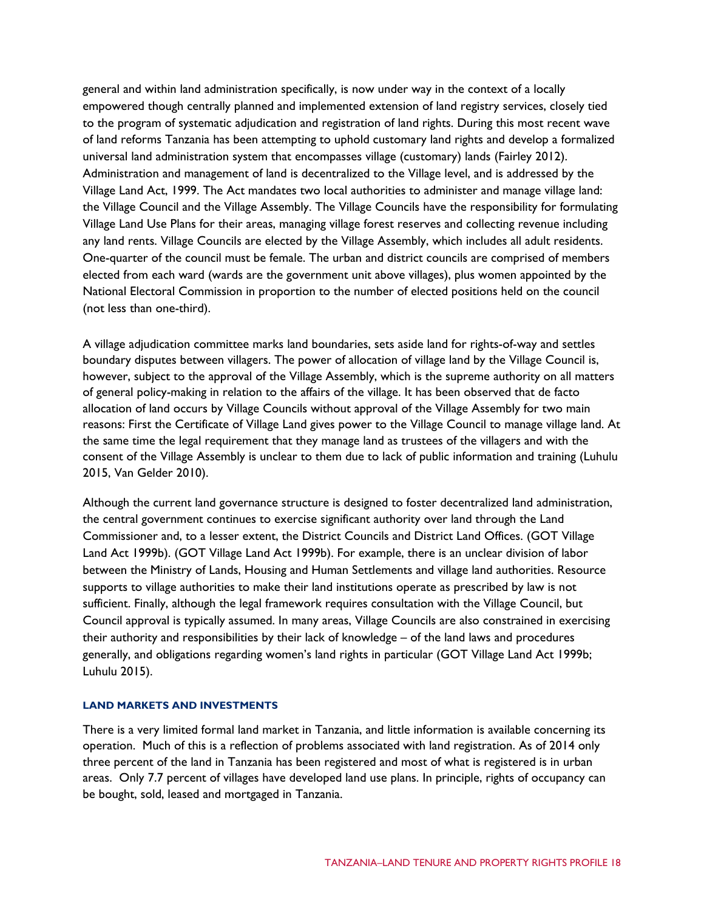general and within land administration specifically, is now under way in the context of a locally empowered though centrally planned and implemented extension of land registry services, closely tied to the program of systematic adjudication and registration of land rights. During this most recent wave of land reforms Tanzania has been attempting to uphold customary land rights and develop a formalized universal land administration system that encompasses village (customary) lands (Fairley 2012). Administration and management of land is decentralized to the Village level, and is addressed by the Village Land Act, 1999. The Act mandates two local authorities to administer and manage village land: the Village Council and the Village Assembly. The Village Councils have the responsibility for formulating Village Land Use Plans for their areas, managing village forest reserves and collecting revenue including any land rents. Village Councils are elected by the Village Assembly, which includes all adult residents. One-quarter of the council must be female. The urban and district councils are comprised of members elected from each ward (wards are the government unit above villages), plus women appointed by the National Electoral Commission in proportion to the number of elected positions held on the council (not less than one-third).

A village adjudication committee marks land boundaries, sets aside land for rights-of-way and settles boundary disputes between villagers. The power of allocation of village land by the Village Council is, however, subject to the approval of the Village Assembly, which is the supreme authority on all matters of general policy-making in relation to the affairs of the village. It has been observed that de facto allocation of land occurs by Village Councils without approval of the Village Assembly for two main reasons: First the Certificate of Village Land gives power to the Village Council to manage village land. At the same time the legal requirement that they manage land as trustees of the villagers and with the consent of the Village Assembly is unclear to them due to lack of public information and training (Luhulu 2015, Van Gelder 2010).

Although the current land governance structure is designed to foster decentralized land administration, the central government continues to exercise significant authority over land through the Land Commissioner and, to a lesser extent, the District Councils and District Land Offices. (GOT Village Land Act 1999b). (GOT Village Land Act 1999b). For example, there is an unclear division of labor between the Ministry of Lands, Housing and Human Settlements and village land authorities. Resource supports to village authorities to make their land institutions operate as prescribed by law is not sufficient. Finally, although the legal framework requires consultation with the Village Council, but Council approval is typically assumed. In many areas, Village Councils are also constrained in exercising their authority and responsibilities by their lack of knowledge – of the land laws and procedures generally, and obligations regarding women's land rights in particular (GOT Village Land Act 1999b; Luhulu 2015).

#### **LAND MARKETS AND INVESTMENTS**

There is a very limited formal land market in Tanzania, and little information is available concerning its operation. Much of this is a reflection of problems associated with land registration. As of 2014 only three percent of the land in Tanzania has been registered and most of what is registered is in urban areas. Only 7.7 percent of villages have developed land use plans. In principle, rights of occupancy can be bought, sold, leased and mortgaged in Tanzania.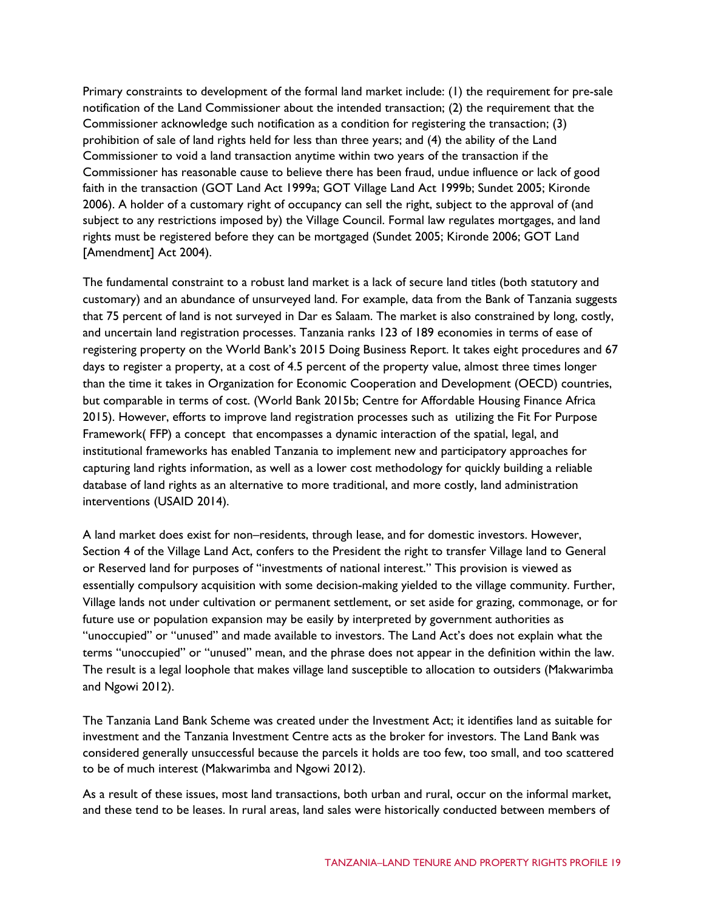Primary constraints to development of the formal land market include: (1) the requirement for pre-sale notification of the Land Commissioner about the intended transaction; (2) the requirement that the Commissioner acknowledge such notification as a condition for registering the transaction; (3) prohibition of sale of land rights held for less than three years; and (4) the ability of the Land Commissioner to void a land transaction anytime within two years of the transaction if the Commissioner has reasonable cause to believe there has been fraud, undue influence or lack of good faith in the transaction (GOT Land Act 1999a; GOT Village Land Act 1999b; Sundet 2005; Kironde 2006). A holder of a customary right of occupancy can sell the right, subject to the approval of (and subject to any restrictions imposed by) the Village Council. Formal law regulates mortgages, and land rights must be registered before they can be mortgaged (Sundet 2005; Kironde 2006; GOT Land [Amendment] Act 2004).

The fundamental constraint to a robust land market is a lack of secure land titles (both statutory and customary) and an abundance of unsurveyed land. For example, data from the Bank of Tanzania suggests that 75 percent of land is not surveyed in Dar es Salaam. The market is also constrained by long, costly, and uncertain land registration processes. Tanzania ranks 123 of 189 economies in terms of ease of registering property on the World Bank's 2015 Doing Business Report. It takes eight procedures and 67 days to register a property, at a cost of 4.5 percent of the property value, almost three times longer than the time it takes in Organization for Economic Cooperation and Development (OECD) countries, but comparable in terms of cost. (World Bank 2015b; Centre for Affordable Housing Finance Africa 2015). However, efforts to improve land registration processes such as utilizing the Fit For Purpose Framework( FFP) a concept that encompasses a dynamic interaction of the spatial, legal, and institutional frameworks has enabled Tanzania to implement new and participatory approaches for capturing land rights information, as well as a lower cost methodology for quickly building a reliable database of land rights as an alternative to more traditional, and more costly, land administration interventions (USAID 2014).

A land market does exist for non–residents, through lease, and for domestic investors. However, Section 4 of the Village Land Act, confers to the President the right to transfer Village land to General or Reserved land for purposes of "investments of national interest." This provision is viewed as essentially compulsory acquisition with some decision-making yielded to the village community. Further, Village lands not under cultivation or permanent settlement, or set aside for grazing, commonage, or for future use or population expansion may be easily by interpreted by government authorities as "unoccupied" or "unused" and made available to investors. The Land Act's does not explain what the terms "unoccupied" or "unused" mean, and the phrase does not appear in the definition within the law. The result is a legal loophole that makes village land susceptible to allocation to outsiders (Makwarimba and Ngowi 2012).

The Tanzania Land Bank Scheme was created under the Investment Act; it identifies land as suitable for investment and the Tanzania Investment Centre acts as the broker for investors. The Land Bank was considered generally unsuccessful because the parcels it holds are too few, too small, and too scattered to be of much interest (Makwarimba and Ngowi 2012).

As a result of these issues, most land transactions, both urban and rural, occur on the informal market, and these tend to be leases. In rural areas, land sales were historically conducted between members of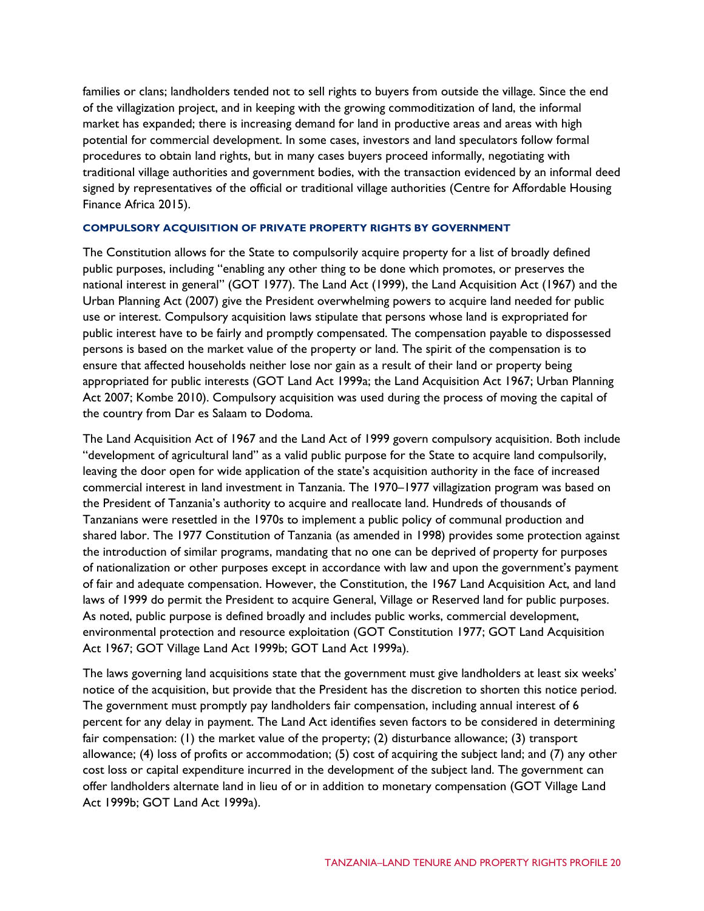families or clans; landholders tended not to sell rights to buyers from outside the village. Since the end of the villagization project, and in keeping with the growing commoditization of land, the informal market has expanded; there is increasing demand for land in productive areas and areas with high potential for commercial development. In some cases, investors and land speculators follow formal procedures to obtain land rights, but in many cases buyers proceed informally, negotiating with traditional village authorities and government bodies, with the transaction evidenced by an informal deed signed by representatives of the official or traditional village authorities (Centre for Affordable Housing Finance Africa 2015).

#### **COMPULSORY ACQUISITION OF PRIVATE PROPERTY RIGHTS BY GOVERNMENT**

The Constitution allows for the State to compulsorily acquire property for a list of broadly defined public purposes, including "enabling any other thing to be done which promotes, or preserves the national interest in general" (GOT 1977). The Land Act (1999), the Land Acquisition Act (1967) and the Urban Planning Act (2007) give the President overwhelming powers to acquire land needed for public use or interest. Compulsory acquisition laws stipulate that persons whose land is expropriated for public interest have to be fairly and promptly compensated. The compensation payable to dispossessed persons is based on the market value of the property or land. The spirit of the compensation is to ensure that affected households neither lose nor gain as a result of their land or property being appropriated for public interests (GOT Land Act 1999a; the Land Acquisition Act 1967; Urban Planning Act 2007; Kombe 2010). Compulsory acquisition was used during the process of moving the capital of the country from Dar es Salaam to Dodoma.

The Land Acquisition Act of 1967 and the Land Act of 1999 govern compulsory acquisition. Both include "development of agricultural land" as a valid public purpose for the State to acquire land compulsorily, leaving the door open for wide application of the state's acquisition authority in the face of increased commercial interest in land investment in Tanzania. The 1970–1977 villagization program was based on the President of Tanzania's authority to acquire and reallocate land. Hundreds of thousands of Tanzanians were resettled in the 1970s to implement a public policy of communal production and shared labor. The 1977 Constitution of Tanzania (as amended in 1998) provides some protection against the introduction of similar programs, mandating that no one can be deprived of property for purposes of nationalization or other purposes except in accordance with law and upon the government's payment of fair and adequate compensation. However, the Constitution, the 1967 Land Acquisition Act, and land laws of 1999 do permit the President to acquire General, Village or Reserved land for public purposes. As noted, public purpose is defined broadly and includes public works, commercial development, environmental protection and resource exploitation (GOT Constitution 1977; GOT Land Acquisition Act 1967; GOT Village Land Act 1999b; GOT Land Act 1999a).

The laws governing land acquisitions state that the government must give landholders at least six weeks' notice of the acquisition, but provide that the President has the discretion to shorten this notice period. The government must promptly pay landholders fair compensation, including annual interest of 6 percent for any delay in payment. The Land Act identifies seven factors to be considered in determining fair compensation: (1) the market value of the property; (2) disturbance allowance; (3) transport allowance; (4) loss of profits or accommodation; (5) cost of acquiring the subject land; and (7) any other cost loss or capital expenditure incurred in the development of the subject land. The government can offer landholders alternate land in lieu of or in addition to monetary compensation (GOT Village Land Act 1999b; GOT Land Act 1999a).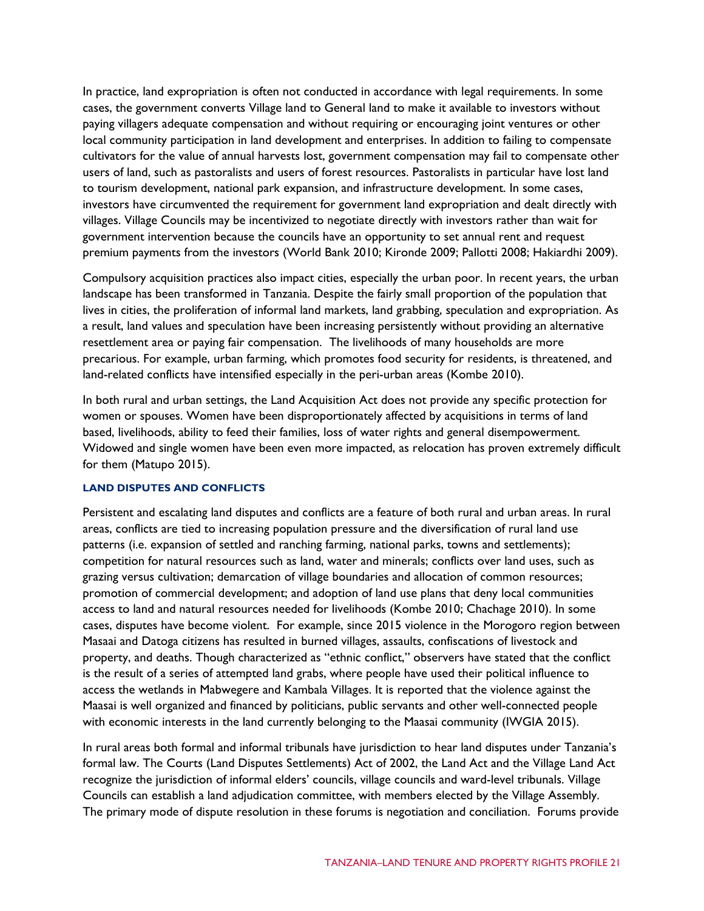In practice, land expropriation is often not conducted in accordance with legal requirements. In some cases, the government converts Village land to General land to make it available to investors without paying villagers adequate compensation and without requiring or encouraging joint ventures or other local community participation in land development and enterprises. In addition to failing to compensate cultivators for the value of annual harvests lost, government compensation may fail to compensate other users of land, such as pastoralists and users of forest resources. Pastoralists in particular have lost land to tourism development, national park expansion, and infrastructure development. In some cases, investors have circumvented the requirement for government land expropriation and dealt directly with villages. Village Councils may be incentivized to negotiate directly with investors rather than wait for government intervention because the councils have an opportunity to set annual rent and request premium payments from the investors (World Bank 2010; Kironde 2009; Pallotti 2008; Hakiardhi 2009).

Compulsory acquisition practices also impact cities, especially the urban poor. In recent years, the urban landscape has been transformed in Tanzania. Despite the fairly small proportion of the population that lives in cities, the proliferation of informal land markets, land grabbing, speculation and expropriation. As a result, land values and speculation have been increasing persistently without providing an alternative resettlement area or paying fair compensation. The livelihoods of many households are more precarious. For example, urban farming, which promotes food security for residents, is threatened, and land-related conflicts have intensified especially in the peri-urban areas (Kombe 2010).

In both rural and urban settings, the Land Acquisition Act does not provide any specific protection for women or spouses. Women have been disproportionately affected by acquisitions in terms of land based, livelihoods, ability to feed their families, loss of water rights and general disempowerment. Widowed and single women have been even more impacted, as relocation has proven extremely difficult for them (Matupo 2015).

#### **LAND DISPUTES AND CONFLICTS**

Persistent and escalating land disputes and conflicts are a feature of both rural and urban areas. In rural areas, conflicts are tied to increasing population pressure and the diversification of rural land use patterns (i.e. expansion of settled and ranching farming, national parks, towns and settlements); competition for natural resources such as land, water and minerals; conflicts over land uses, such as grazing versus cultivation; demarcation of village boundaries and allocation of common resources; promotion of commercial development; and adoption of land use plans that deny local communities access to land and natural resources needed for livelihoods (Kombe 2010; Chachage 2010). In some cases, disputes have become violent. For example, since 2015 violence in the Morogoro region between Masaai and Datoga citizens has resulted in burned villages, assaults, confiscations of livestock and property, and deaths. Though characterized as "ethnic conflict," observers have stated that the conflict is the result of a series of attempted land grabs, where people have used their political influence to access the wetlands in Mabwegere and Kambala Villages. It is reported that the violence against the Maasai is well organized and financed by politicians, public servants and other well-connected people with economic interests in the land currently belonging to the Maasai community (IWGIA 2015).

In rural areas both formal and informal tribunals have jurisdiction to hear land disputes under Tanzania's formal law. The Courts (Land Disputes Settlements) Act of 2002, the Land Act and the Village Land Act recognize the jurisdiction of informal elders' councils, village councils and ward-level tribunals. Village Councils can establish a land adjudication committee, with members elected by the Village Assembly. The primary mode of dispute resolution in these forums is negotiation and conciliation. Forums provide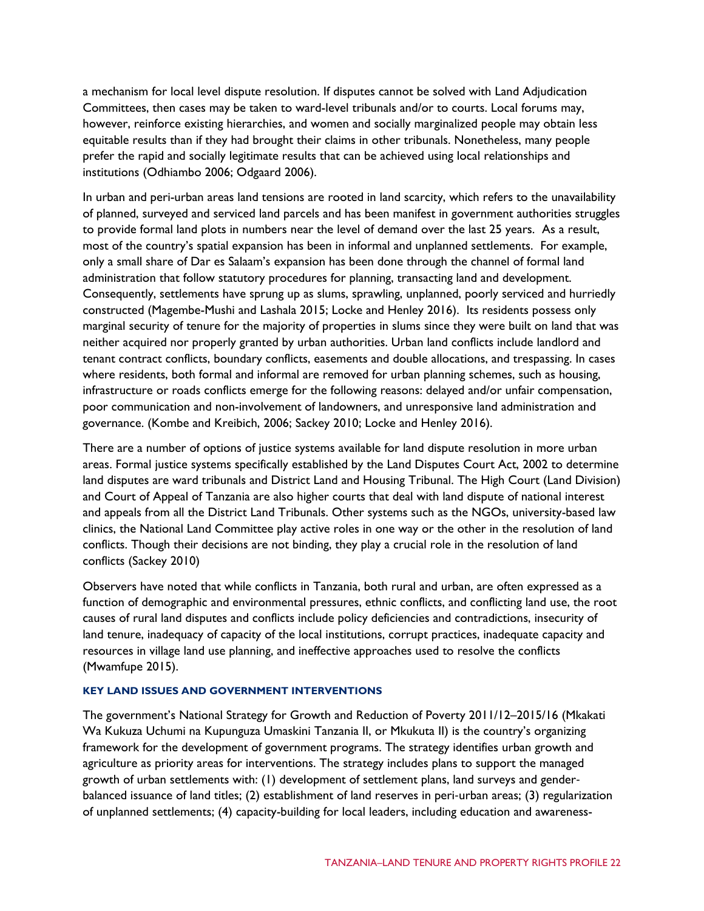a mechanism for local level dispute resolution. If disputes cannot be solved with Land Adjudication Committees, then cases may be taken to ward-level tribunals and/or to courts. Local forums may, however, reinforce existing hierarchies, and women and socially marginalized people may obtain less equitable results than if they had brought their claims in other tribunals. Nonetheless, many people prefer the rapid and socially legitimate results that can be achieved using local relationships and institutions (Odhiambo 2006; Odgaard 2006).

In urban and peri-urban areas land tensions are rooted in land scarcity, which refers to the unavailability of planned, surveyed and serviced land parcels and has been manifest in government authorities struggles to provide formal land plots in numbers near the level of demand over the last 25 years. As a result, most of the country's spatial expansion has been in informal and unplanned settlements. For example, only a small share of Dar es Salaam's expansion has been done through the channel of formal land administration that follow statutory procedures for planning, transacting land and development. Consequently, settlements have sprung up as slums, sprawling, unplanned, poorly serviced and hurriedly constructed (Magembe-Mushi and Lashala 2015; Locke and Henley 2016). Its residents possess only marginal security of tenure for the majority of properties in slums since they were built on land that was neither acquired nor properly granted by urban authorities. Urban land conflicts include landlord and tenant contract conflicts, boundary conflicts, easements and double allocations, and trespassing. In cases where residents, both formal and informal are removed for urban planning schemes, such as housing, infrastructure or roads conflicts emerge for the following reasons: delayed and/or unfair compensation, poor communication and non-involvement of landowners, and unresponsive land administration and governance. (Kombe and Kreibich, 2006; Sackey 2010; Locke and Henley 2016).

There are a number of options of justice systems available for land dispute resolution in more urban areas. Formal justice systems specifically established by the Land Disputes Court Act, 2002 to determine land disputes are ward tribunals and District Land and Housing Tribunal. The High Court (Land Division) and Court of Appeal of Tanzania are also higher courts that deal with land dispute of national interest and appeals from all the District Land Tribunals. Other systems such as the NGOs, university-based law clinics, the National Land Committee play active roles in one way or the other in the resolution of land conflicts. Though their decisions are not binding, they play a crucial role in the resolution of land conflicts (Sackey 2010)

Observers have noted that while conflicts in Tanzania, both rural and urban, are often expressed as a function of demographic and environmental pressures, ethnic conflicts, and conflicting land use, the root causes of rural land disputes and conflicts include policy deficiencies and contradictions, insecurity of land tenure, inadequacy of capacity of the local institutions, corrupt practices, inadequate capacity and resources in village land use planning, and ineffective approaches used to resolve the conflicts (Mwamfupe 2015).

#### **KEY LAND ISSUES AND GOVERNMENT INTERVENTIONS**

The government's National Strategy for Growth and Reduction of Poverty 2011/12–2015/16 (Mkakati Wa Kukuza Uchumi na Kupunguza Umaskini Tanzania II, or Mkukuta II) is the country's organizing framework for the development of government programs. The strategy identifies urban growth and agriculture as priority areas for interventions. The strategy includes plans to support the managed growth of urban settlements with: (1) development of settlement plans, land surveys and gender‐ balanced issuance of land titles; (2) establishment of land reserves in peri‐urban areas; (3) regularization of unplanned settlements; (4) capacity-building for local leaders, including education and awareness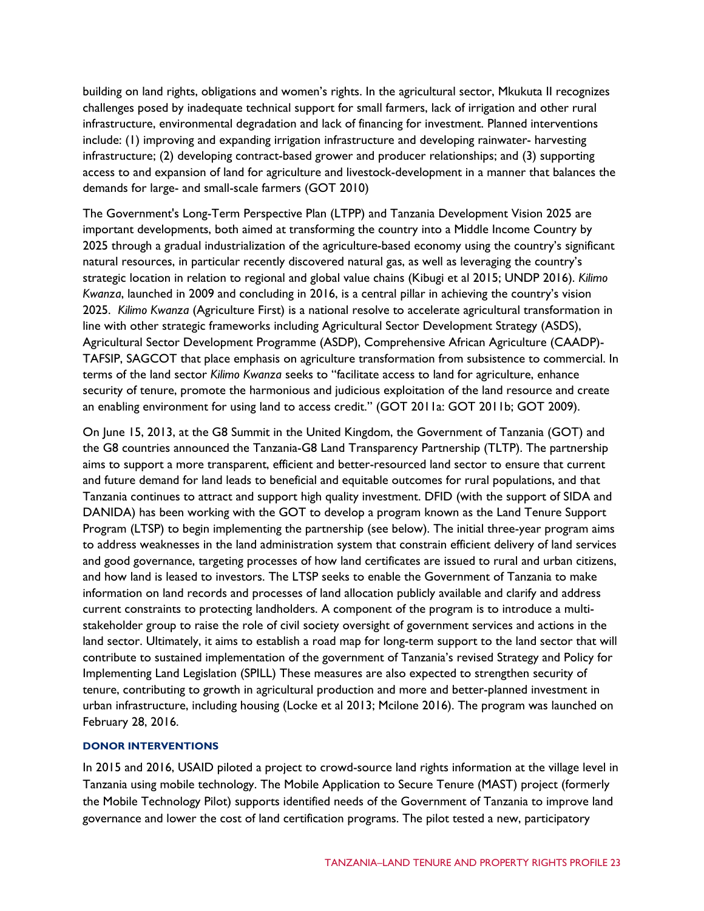building on land rights, obligations and women's rights. In the agricultural sector, Mkukuta II recognizes challenges posed by inadequate technical support for small farmers, lack of irrigation and other rural infrastructure, environmental degradation and lack of financing for investment. Planned interventions include: (1) improving and expanding irrigation infrastructure and developing rainwater- harvesting infrastructure; (2) developing contract-based grower and producer relationships; and (3) supporting access to and expansion of land for agriculture and livestock-development in a manner that balances the demands for large- and small-scale farmers (GOT 2010)

The Government's Long-Term Perspective Plan (LTPP) and Tanzania Development Vision 2025 are important developments, both aimed at transforming the country into a Middle Income Country by 2025 through a gradual industrialization of the agriculture-based economy using the country's significant natural resources, in particular recently discovered natural gas, as well as leveraging the country's strategic location in relation to regional and global value chains (Kibugi et al 2015; UNDP 2016). *Kilimo Kwanza*, launched in 2009 and concluding in 2016, is a central pillar in achieving the country's vision 2025. *Kilimo Kwanza* (Agriculture First) is a national resolve to accelerate agricultural transformation in line with other strategic frameworks including Agricultural Sector Development Strategy (ASDS), Agricultural Sector Development Programme (ASDP), Comprehensive African Agriculture (CAADP)- TAFSIP, SAGCOT that place emphasis on agriculture transformation from subsistence to commercial. In terms of the land sector *Kilimo Kwanza* seeks to "facilitate access to land for agriculture, enhance security of tenure, promote the harmonious and judicious exploitation of the land resource and create an enabling environment for using land to access credit." (GOT 2011a: GOT 2011b; GOT 2009).

On June 15, 2013, at the G8 Summit in the United Kingdom, the Government of Tanzania (GOT) and the G8 countries announced the Tanzania-G8 Land Transparency Partnership (TLTP). The partnership aims to support a more transparent, efficient and better-resourced land sector to ensure that current and future demand for land leads to beneficial and equitable outcomes for rural populations, and that Tanzania continues to attract and support high quality investment. DFID (with the support of SIDA and DANIDA) has been working with the GOT to develop a program known as the Land Tenure Support Program (LTSP) to begin implementing the partnership (see below). The initial three-year program aims to address weaknesses in the land administration system that constrain efficient delivery of land services and good governance, targeting processes of how land certificates are issued to rural and urban citizens, and how land is leased to investors. The LTSP seeks to enable the Government of Tanzania to make information on land records and processes of land allocation publicly available and clarify and address current constraints to protecting landholders. A component of the program is to introduce a multistakeholder group to raise the role of civil society oversight of government services and actions in the land sector. Ultimately, it aims to establish a road map for long-term support to the land sector that will contribute to sustained implementation of the government of Tanzania's revised Strategy and Policy for Implementing Land Legislation (SPILL) These measures are also expected to strengthen security of tenure, contributing to growth in agricultural production and more and better-planned investment in urban infrastructure, including housing (Locke et al 2013; Mcilone 2016). The program was launched on February 28, 2016.

#### **DONOR INTERVENTIONS**

In 2015 and 2016, USAID piloted a project to crowd-source land rights information at the village level in Tanzania using mobile technology. The Mobile Application to Secure Tenure (MAST) project (formerly the Mobile Technology Pilot) supports identified needs of the Government of Tanzania to improve land governance and lower the cost of land certification programs. The pilot tested a new, participatory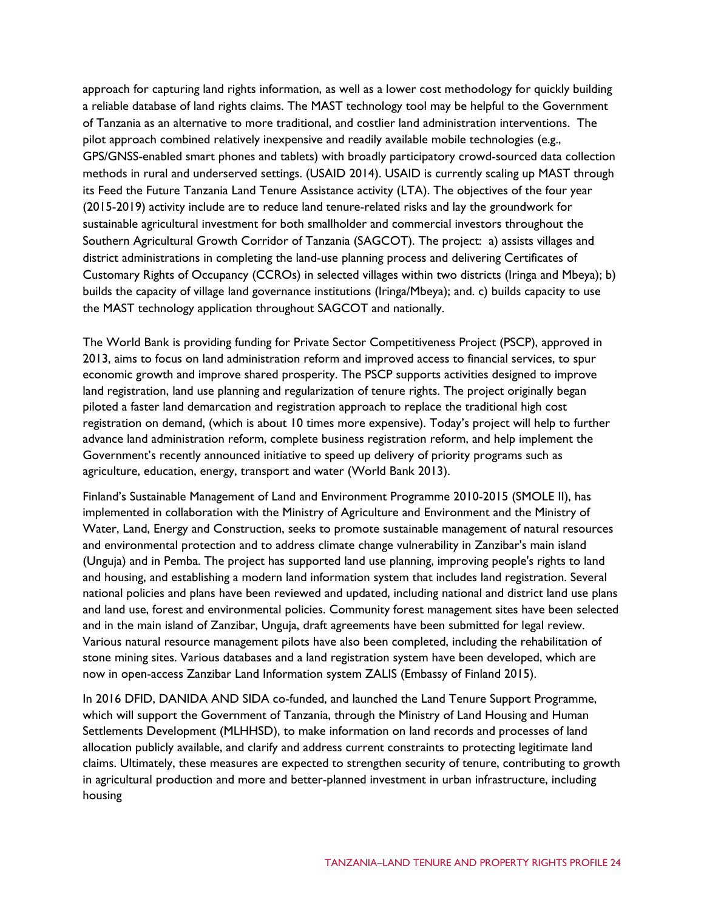approach for capturing land rights information, as well as a lower cost methodology for quickly building a reliable database of land rights claims. The MAST technology tool may be helpful to the Government of Tanzania as an alternative to more traditional, and costlier land administration interventions. The pilot approach combined relatively inexpensive and readily available mobile technologies (e.g., GPS/GNSS-enabled smart phones and tablets) with broadly participatory crowd-sourced data collection methods in rural and underserved settings. (USAID 2014). USAID is currently scaling up MAST through its Feed the Future Tanzania Land Tenure Assistance activity (LTA). The objectives of the four year (2015-2019) activity include are to reduce land tenure-related risks and lay the groundwork for sustainable agricultural investment for both smallholder and commercial investors throughout the Southern Agricultural Growth Corridor of Tanzania (SAGCOT). The project: a) assists villages and district administrations in completing the land-use planning process and delivering Certificates of Customary Rights of Occupancy (CCROs) in selected villages within two districts (Iringa and Mbeya); b) builds the capacity of village land governance institutions (Iringa/Mbeya); and. c) builds capacity to use the MAST technology application throughout SAGCOT and nationally.

The World Bank is providing funding for Private Sector Competitiveness Project (PSCP), approved in 2013, aims to focus on land administration reform and improved access to financial services, to spur economic growth and improve shared prosperity. The PSCP supports activities designed to improve land registration, land use planning and regularization of tenure rights. The project originally began piloted a faster land demarcation and registration approach to replace the traditional high cost registration on demand, (which is about 10 times more expensive). Today's project will help to further advance land administration reform, complete business registration reform, and help implement the Government's recently announced initiative to speed up delivery of priority programs such as agriculture, education, energy, transport and water (World Bank 2013).

Finland's Sustainable Management of Land and Environment Programme 2010-2015 (SMOLE II), has implemented in collaboration with the Ministry of Agriculture and Environment and the Ministry of Water, Land, Energy and Construction, seeks to promote sustainable management of natural resources and environmental protection and to address climate change vulnerability in Zanzibar's main island (Unguja) and in Pemba. The project has supported land use planning, improving people's rights to land and housing, and establishing a modern land information system that includes land registration. Several national policies and plans have been reviewed and updated, including national and district land use plans and land use, forest and environmental policies. Community forest management sites have been selected and in the main island of Zanzibar, Unguja, draft agreements have been submitted for legal review. Various natural resource management pilots have also been completed, including the rehabilitation of stone mining sites. Various databases and a land registration system have been developed, which are now in open-access Zanzibar Land Information system ZALIS (Embassy of Finland 2015).

In 2016 DFID, DANIDA AND SIDA co-funded, and launched the Land Tenure Support Programme, which will support the Government of Tanzania, through the Ministry of Land Housing and Human Settlements Development (MLHHSD), to make information on land records and processes of land allocation publicly available, and clarify and address current constraints to protecting legitimate land claims. Ultimately, these measures are expected to strengthen security of tenure, contributing to growth in agricultural production and more and better-planned investment in urban infrastructure, including housing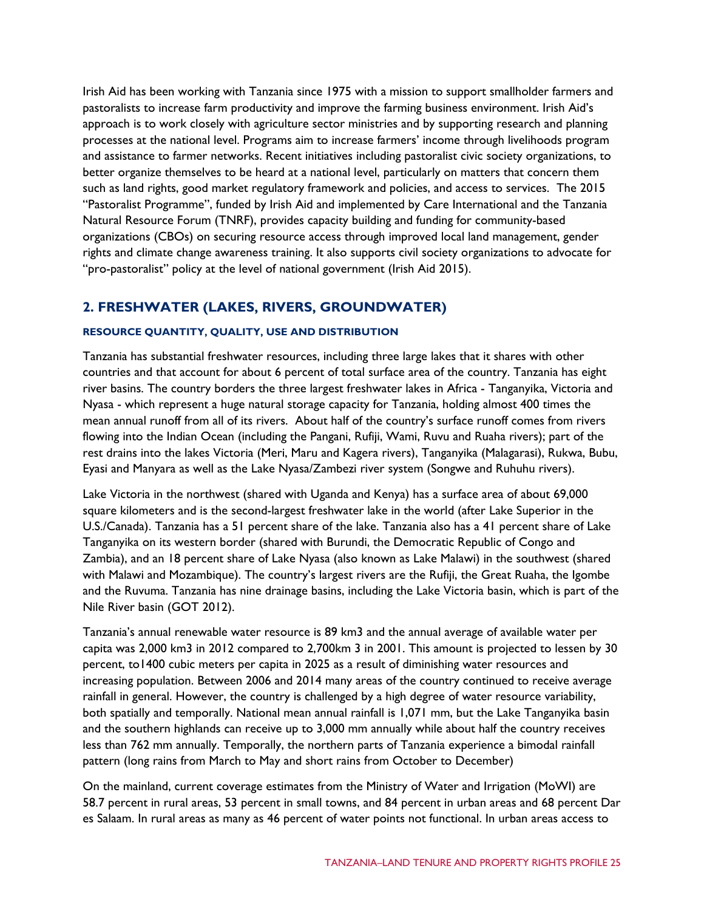Irish Aid has been working with Tanzania since 1975 with a mission to support smallholder farmers and pastoralists to increase farm productivity and improve the farming business environment. Irish Aid's approach is to work closely with agriculture sector ministries and by supporting research and planning processes at the national level. Programs aim to increase farmers' income through livelihoods program and assistance to farmer networks. Recent initiatives including pastoralist civic society organizations, to better organize themselves to be heard at a national level, particularly on matters that concern them such as land rights, good market regulatory framework and policies, and access to services. The 2015 "Pastoralist Programme", funded by Irish Aid and implemented by Care International and the Tanzania Natural Resource Forum (TNRF), provides capacity building and funding for community-based organizations (CBOs) on securing resource access through improved local land management, gender rights and climate change awareness training. It also supports civil society organizations to advocate for "pro-pastoralist" policy at the level of national government (Irish Aid 2015).

## **2. FRESHWATER (LAKES, RIVERS, GROUNDWATER)**

#### **RESOURCE QUANTITY, QUALITY, USE AND DISTRIBUTION**

Tanzania has substantial freshwater resources, including three large lakes that it shares with other countries and that account for about 6 percent of total surface area of the country. Tanzania has eight river basins. The country borders the three largest freshwater lakes in Africa - Tanganyika, Victoria and Nyasa - which represent a huge natural storage capacity for Tanzania, holding almost 400 times the mean annual runoff from all of its rivers. About half of the country's surface runoff comes from rivers flowing into the Indian Ocean (including the Pangani, Rufiji, Wami, Ruvu and Ruaha rivers); part of the rest drains into the lakes Victoria (Meri, Maru and Kagera rivers), Tanganyika (Malagarasi), Rukwa, Bubu, Eyasi and Manyara as well as the Lake Nyasa/Zambezi river system (Songwe and Ruhuhu rivers).

Lake Victoria in the northwest (shared with Uganda and Kenya) has a surface area of about 69,000 square kilometers and is the second-largest freshwater lake in the world (after Lake Superior in the U.S./Canada). Tanzania has a 51 percent share of the lake. Tanzania also has a 41 percent share of Lake Tanganyika on its western border (shared with Burundi, the Democratic Republic of Congo and Zambia), and an 18 percent share of Lake Nyasa (also known as Lake Malawi) in the southwest (shared with Malawi and Mozambique). The country's largest rivers are the Rufiji, the Great Ruaha, the Igombe and the Ruvuma. Tanzania has nine drainage basins, including the Lake Victoria basin, which is part of the Nile River basin (GOT 2012).

Tanzania's annual renewable water resource is 89 km3 and the annual average of available water per capita was 2,000 km3 in 2012 compared to 2,700km 3 in 2001. This amount is projected to lessen by 30 percent, to1400 cubic meters per capita in 2025 as a result of diminishing water resources and increasing population. Between 2006 and 2014 many areas of the country continued to receive average rainfall in general. However, the country is challenged by a high degree of water resource variability, both spatially and temporally. National mean annual rainfall is 1,071 mm, but the Lake Tanganyika basin and the southern highlands can receive up to 3,000 mm annually while about half the country receives less than 762 mm annually. Temporally, the northern parts of Tanzania experience a bimodal rainfall pattern (long rains from March to May and short rains from October to December)

On the mainland, current coverage estimates from the Ministry of Water and Irrigation (MoWI) are 58.7 percent in rural areas, 53 percent in small towns, and 84 percent in urban areas and 68 percent Dar es Salaam. In rural areas as many as 46 percent of water points not functional. In urban areas access to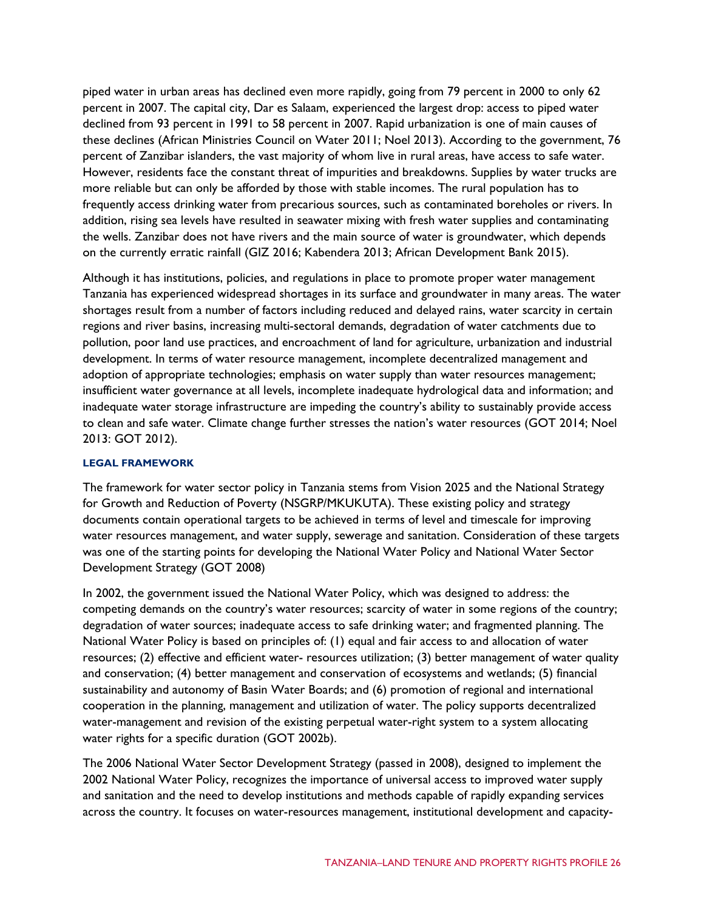piped water in urban areas has declined even more rapidly, going from 79 percent in 2000 to only 62 percent in 2007. The capital city, Dar es Salaam, experienced the largest drop: access to piped water declined from 93 percent in 1991 to 58 percent in 2007. Rapid urbanization is one of main causes of these declines (African Ministries Council on Water 2011; Noel 2013). According to the government, 76 percent of Zanzibar islanders, the vast majority of whom live in rural areas, have access to safe water. However, residents face the constant threat of impurities and breakdowns. Supplies by water trucks are more reliable but can only be afforded by those with stable incomes. The rural population has to frequently access drinking water from precarious sources, such as contaminated boreholes or rivers. In addition, rising sea levels have resulted in seawater mixing with fresh water supplies and contaminating the wells. Zanzibar does not have rivers and the main source of water is groundwater, which depends on the currently erratic rainfall (GIZ 2016; Kabendera 2013; African Development Bank 2015).

Although it has institutions, policies, and regulations in place to promote proper water management Tanzania has experienced widespread shortages in its surface and groundwater in many areas. The water shortages result from a number of factors including reduced and delayed rains, water scarcity in certain regions and river basins, increasing multi-sectoral demands, degradation of water catchments due to pollution, poor land use practices, and encroachment of land for agriculture, urbanization and industrial development. In terms of water resource management, incomplete decentralized management and adoption of appropriate technologies; emphasis on water supply than water resources management; insufficient water governance at all levels, incomplete inadequate hydrological data and information; and inadequate water storage infrastructure are impeding the country's ability to sustainably provide access to clean and safe water. Climate change further stresses the nation's water resources (GOT 2014; Noel 2013: GOT 2012).

#### **LEGAL FRAMEWORK**

The framework for water sector policy in Tanzania stems from Vision 2025 and the National Strategy for Growth and Reduction of Poverty (NSGRP/MKUKUTA). These existing policy and strategy documents contain operational targets to be achieved in terms of level and timescale for improving water resources management, and water supply, sewerage and sanitation. Consideration of these targets was one of the starting points for developing the National Water Policy and National Water Sector Development Strategy (GOT 2008)

In 2002, the government issued the National Water Policy, which was designed to address: the competing demands on the country's water resources; scarcity of water in some regions of the country; degradation of water sources; inadequate access to safe drinking water; and fragmented planning. The National Water Policy is based on principles of: (1) equal and fair access to and allocation of water resources; (2) effective and efficient water- resources utilization; (3) better management of water quality and conservation; (4) better management and conservation of ecosystems and wetlands; (5) financial sustainability and autonomy of Basin Water Boards; and (6) promotion of regional and international cooperation in the planning, management and utilization of water. The policy supports decentralized water-management and revision of the existing perpetual water-right system to a system allocating water rights for a specific duration (GOT 2002b).

The 2006 National Water Sector Development Strategy (passed in 2008), designed to implement the 2002 National Water Policy, recognizes the importance of universal access to improved water supply and sanitation and the need to develop institutions and methods capable of rapidly expanding services across the country. It focuses on water-resources management, institutional development and capacity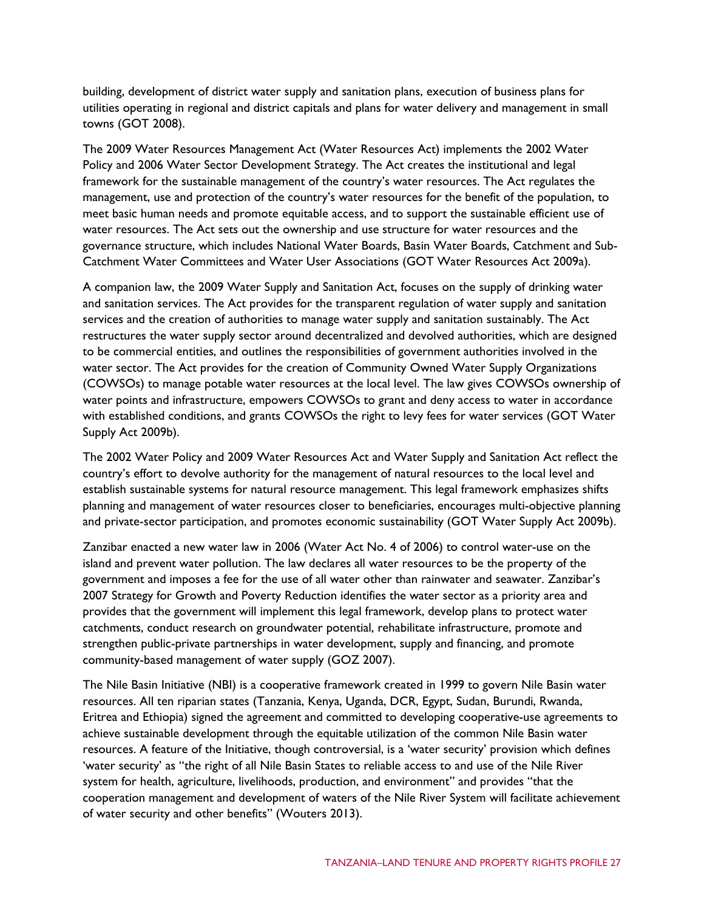building, development of district water supply and sanitation plans, execution of business plans for utilities operating in regional and district capitals and plans for water delivery and management in small towns (GOT 2008).

The 2009 Water Resources Management Act (Water Resources Act) implements the 2002 Water Policy and 2006 Water Sector Development Strategy. The Act creates the institutional and legal framework for the sustainable management of the country's water resources. The Act regulates the management, use and protection of the country's water resources for the benefit of the population, to meet basic human needs and promote equitable access, and to support the sustainable efficient use of water resources. The Act sets out the ownership and use structure for water resources and the governance structure, which includes National Water Boards, Basin Water Boards, Catchment and Sub-Catchment Water Committees and Water User Associations (GOT Water Resources Act 2009a).

A companion law, the 2009 Water Supply and Sanitation Act, focuses on the supply of drinking water and sanitation services. The Act provides for the transparent regulation of water supply and sanitation services and the creation of authorities to manage water supply and sanitation sustainably. The Act restructures the water supply sector around decentralized and devolved authorities, which are designed to be commercial entities, and outlines the responsibilities of government authorities involved in the water sector. The Act provides for the creation of Community Owned Water Supply Organizations (COWSOs) to manage potable water resources at the local level. The law gives COWSOs ownership of water points and infrastructure, empowers COWSOs to grant and deny access to water in accordance with established conditions, and grants COWSOs the right to levy fees for water services (GOT Water Supply Act 2009b).

The 2002 Water Policy and 2009 Water Resources Act and Water Supply and Sanitation Act reflect the country's effort to devolve authority for the management of natural resources to the local level and establish sustainable systems for natural resource management. This legal framework emphasizes shifts planning and management of water resources closer to beneficiaries, encourages multi-objective planning and private-sector participation, and promotes economic sustainability (GOT Water Supply Act 2009b).

Zanzibar enacted a new water law in 2006 (Water Act No. 4 of 2006) to control water-use on the island and prevent water pollution. The law declares all water resources to be the property of the government and imposes a fee for the use of all water other than rainwater and seawater. Zanzibar's 2007 Strategy for Growth and Poverty Reduction identifies the water sector as a priority area and provides that the government will implement this legal framework, develop plans to protect water catchments, conduct research on groundwater potential, rehabilitate infrastructure, promote and strengthen public-private partnerships in water development, supply and financing, and promote community-based management of water supply (GOZ 2007).

The Nile Basin Initiative (NBI) is a cooperative framework created in 1999 to govern Nile Basin water resources. All ten riparian states (Tanzania, Kenya, Uganda, DCR, Egypt, Sudan, Burundi, Rwanda, Eritrea and Ethiopia) signed the agreement and committed to developing cooperative-use agreements to achieve sustainable development through the equitable utilization of the common Nile Basin water resources. A feature of the Initiative, though controversial, is a 'water security' provision which defines 'water security' as "the right of all Nile Basin States to reliable access to and use of the Nile River system for health, agriculture, livelihoods, production, and environment" and provides "that the cooperation management and development of waters of the Nile River System will facilitate achievement of water security and other benefits" (Wouters 2013).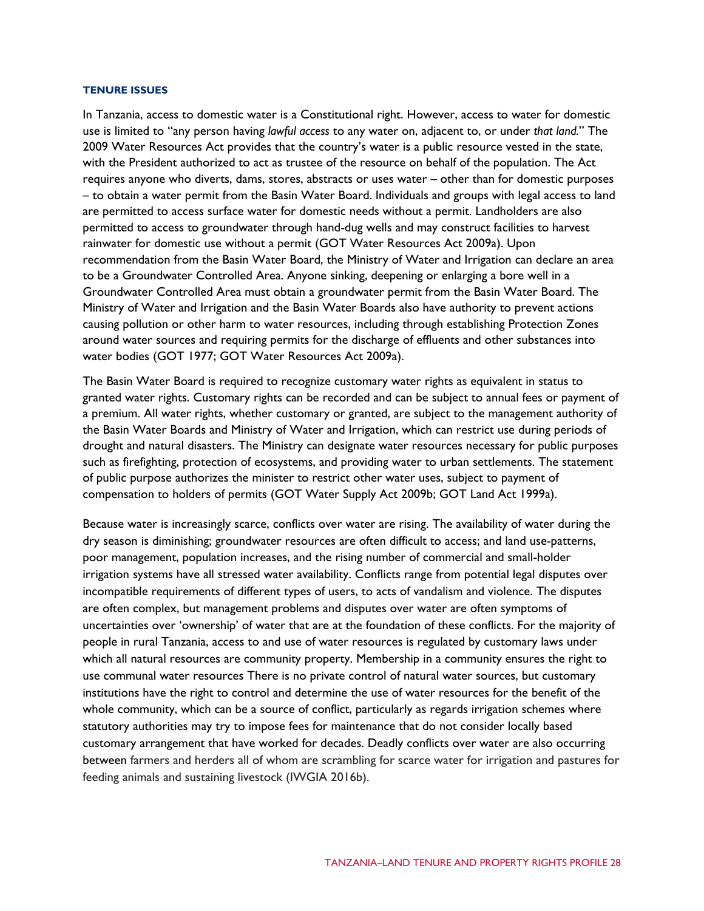#### **TENURE ISSUES**

In Tanzania, access to domestic water is a Constitutional right. However, access to water for domestic use is limited to "any person having *lawful access* to any water on, adjacent to, or under *that land.*" The 2009 Water Resources Act provides that the country's water is a public resource vested in the state, with the President authorized to act as trustee of the resource on behalf of the population. The Act requires anyone who diverts, dams, stores, abstracts or uses water – other than for domestic purposes – to obtain a water permit from the Basin Water Board. Individuals and groups with legal access to land are permitted to access surface water for domestic needs without a permit. Landholders are also permitted to access to groundwater through hand-dug wells and may construct facilities to harvest rainwater for domestic use without a permit (GOT Water Resources Act 2009a). Upon recommendation from the Basin Water Board, the Ministry of Water and Irrigation can declare an area to be a Groundwater Controlled Area. Anyone sinking, deepening or enlarging a bore well in a Groundwater Controlled Area must obtain a groundwater permit from the Basin Water Board. The Ministry of Water and Irrigation and the Basin Water Boards also have authority to prevent actions causing pollution or other harm to water resources, including through establishing Protection Zones around water sources and requiring permits for the discharge of effluents and other substances into water bodies (GOT 1977; GOT Water Resources Act 2009a).

The Basin Water Board is required to recognize customary water rights as equivalent in status to granted water rights. Customary rights can be recorded and can be subject to annual fees or payment of a premium. All water rights, whether customary or granted, are subject to the management authority of the Basin Water Boards and Ministry of Water and Irrigation, which can restrict use during periods of drought and natural disasters. The Ministry can designate water resources necessary for public purposes such as firefighting, protection of ecosystems, and providing water to urban settlements. The statement of public purpose authorizes the minister to restrict other water uses, subject to payment of compensation to holders of permits (GOT Water Supply Act 2009b; GOT Land Act 1999a).

Because water is increasingly scarce, conflicts over water are rising. The availability of water during the dry season is diminishing; groundwater resources are often difficult to access; and land use-patterns, poor management, population increases, and the rising number of commercial and small-holder irrigation systems have all stressed water availability. Conflicts range from potential legal disputes over incompatible requirements of different types of users, to acts of vandalism and violence. The disputes are often complex, but management problems and disputes over water are often symptoms of uncertainties over 'ownership' of water that are at the foundation of these conflicts. For the majority of people in rural Tanzania, access to and use of water resources is regulated by customary laws under which all natural resources are community property. Membership in a community ensures the right to use communal water resources There is no private control of natural water sources, but customary institutions have the right to control and determine the use of water resources for the benefit of the whole community, which can be a source of conflict, particularly as regards irrigation schemes where statutory authorities may try to impose fees for maintenance that do not consider locally based customary arrangement that have worked for decades. Deadly conflicts over water are also occurring between farmers and herders all of whom are scrambling for scarce water for irrigation and pastures for feeding animals and sustaining livestock (IWGIA 2016b).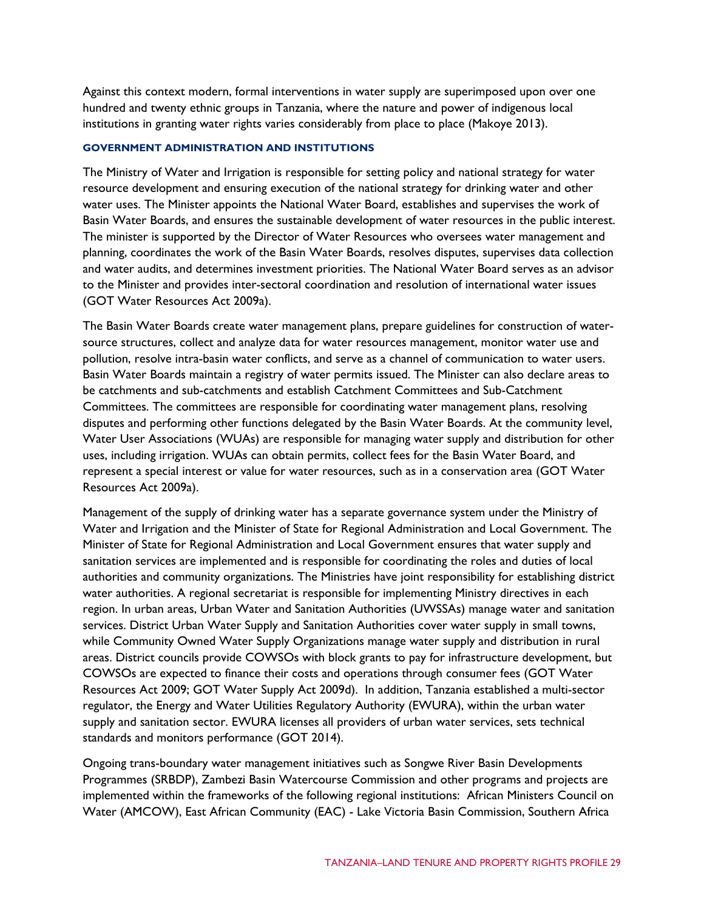Against this context modern, formal interventions in water supply are superimposed upon over one hundred and twenty ethnic groups in Tanzania, where the nature and power of indigenous local institutions in granting water rights varies considerably from place to place (Makoye 2013).

#### **GOVERNMENT ADMINISTRATION AND INSTITUTIONS**

The Ministry of Water and Irrigation is responsible for setting policy and national strategy for water resource development and ensuring execution of the national strategy for drinking water and other water uses. The Minister appoints the National Water Board, establishes and supervises the work of Basin Water Boards, and ensures the sustainable development of water resources in the public interest. The minister is supported by the Director of Water Resources who oversees water management and planning, coordinates the work of the Basin Water Boards, resolves disputes, supervises data collection and water audits, and determines investment priorities. The National Water Board serves as an advisor to the Minister and provides inter-sectoral coordination and resolution of international water issues (GOT Water Resources Act 2009a).

The Basin Water Boards create water management plans, prepare guidelines for construction of watersource structures, collect and analyze data for water resources management, monitor water use and pollution, resolve intra-basin water conflicts, and serve as a channel of communication to water users. Basin Water Boards maintain a registry of water permits issued. The Minister can also declare areas to be catchments and sub-catchments and establish Catchment Committees and Sub-Catchment Committees. The committees are responsible for coordinating water management plans, resolving disputes and performing other functions delegated by the Basin Water Boards. At the community level, Water User Associations (WUAs) are responsible for managing water supply and distribution for other uses, including irrigation. WUAs can obtain permits, collect fees for the Basin Water Board, and represent a special interest or value for water resources, such as in a conservation area (GOT Water Resources Act 2009a).

Management of the supply of drinking water has a separate governance system under the Ministry of Water and Irrigation and the Minister of State for Regional Administration and Local Government. The Minister of State for Regional Administration and Local Government ensures that water supply and sanitation services are implemented and is responsible for coordinating the roles and duties of local authorities and community organizations. The Ministries have joint responsibility for establishing district water authorities. A regional secretariat is responsible for implementing Ministry directives in each region. In urban areas, Urban Water and Sanitation Authorities (UWSSAs) manage water and sanitation services. District Urban Water Supply and Sanitation Authorities cover water supply in small towns, while Community Owned Water Supply Organizations manage water supply and distribution in rural areas. District councils provide COWSOs with block grants to pay for infrastructure development, but COWSOs are expected to finance their costs and operations through consumer fees (GOT Water Resources Act 2009; GOT Water Supply Act 2009d). In addition, Tanzania established a multi-sector regulator, the Energy and Water Utilities Regulatory Authority (EWURA), within the urban water supply and sanitation sector. EWURA licenses all providers of urban water services, sets technical standards and monitors performance (GOT 2014).

Ongoing trans-boundary water management initiatives such as Songwe River Basin Developments Programmes (SRBDP), Zambezi Basin Watercourse Commission and other programs and projects are implemented within the frameworks of the following regional institutions: African Ministers Council on Water (AMCOW), East African Community (EAC) - Lake Victoria Basin Commission, Southern Africa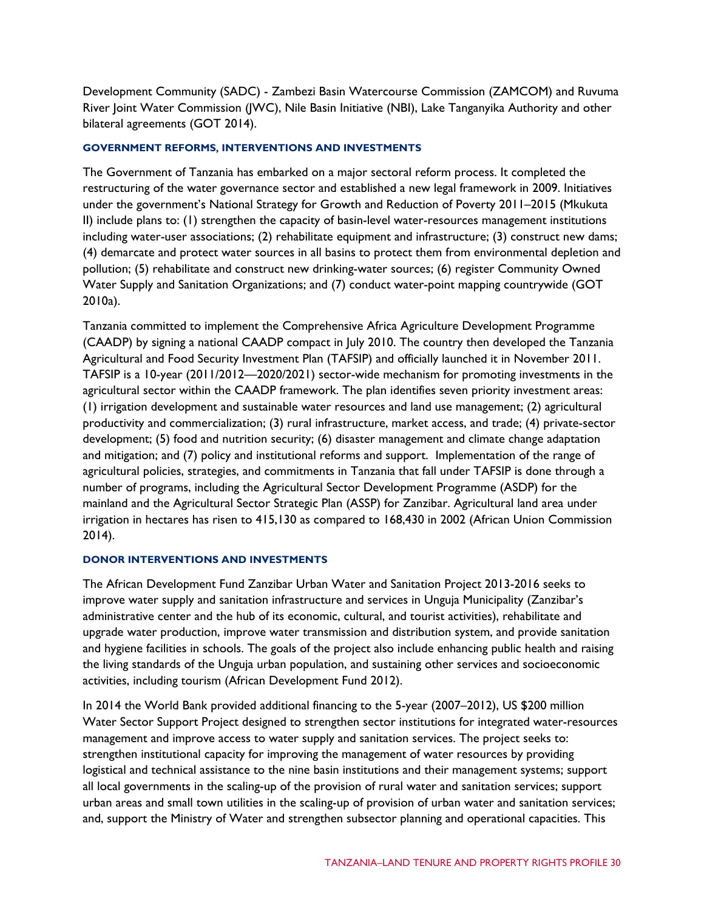Development Community (SADC) - Zambezi Basin Watercourse Commission (ZAMCOM) and Ruvuma River Joint Water Commission (JWC), Nile Basin Initiative (NBI), Lake Tanganyika Authority and other bilateral agreements (GOT 2014).

#### **GOVERNMENT REFORMS, INTERVENTIONS AND INVESTMENTS**

The Government of Tanzania has embarked on a major sectoral reform process. It completed the restructuring of the water governance sector and established a new legal framework in 2009. Initiatives under the government's National Strategy for Growth and Reduction of Poverty 2011–2015 (Mkukuta II) include plans to: (1) strengthen the capacity of basin-level water-resources management institutions including water-user associations; (2) rehabilitate equipment and infrastructure; (3) construct new dams; (4) demarcate and protect water sources in all basins to protect them from environmental depletion and pollution; (5) rehabilitate and construct new drinking-water sources; (6) register Community Owned Water Supply and Sanitation Organizations; and (7) conduct water-point mapping countrywide (GOT 2010a).

Tanzania committed to implement the Comprehensive Africa Agriculture Development Programme (CAADP) by signing a national CAADP compact in July 2010. The country then developed the Tanzania Agricultural and Food Security Investment Plan (TAFSIP) and officially launched it in November 2011. TAFSIP is a 10-year (2011/2012—2020/2021) sector-wide mechanism for promoting investments in the agricultural sector within the CAADP framework. The plan identifies seven priority investment areas: (1) irrigation development and sustainable water resources and land use management; (2) agricultural productivity and commercialization; (3) rural infrastructure, market access, and trade; (4) private-sector development; (5) food and nutrition security; (6) disaster management and climate change adaptation and mitigation; and (7) policy and institutional reforms and support. Implementation of the range of agricultural policies, strategies, and commitments in Tanzania that fall under TAFSIP is done through a number of programs, including the Agricultural Sector Development Programme (ASDP) for the mainland and the Agricultural Sector Strategic Plan (ASSP) for Zanzibar. Agricultural land area under irrigation in hectares has risen to 415,130 as compared to 168,430 in 2002 (African Union Commission 2014).

### **DONOR INTERVENTIONS AND INVESTMENTS**

The African Development Fund Zanzibar Urban Water and Sanitation Project 2013-2016 seeks to improve water supply and sanitation infrastructure and services in Unguja Municipality (Zanzibar's administrative center and the hub of its economic, cultural, and tourist activities), rehabilitate and upgrade water production, improve water transmission and distribution system, and provide sanitation and hygiene facilities in schools. The goals of the project also include enhancing public health and raising the living standards of the Unguja urban population, and sustaining other services and socioeconomic activities, including tourism (African Development Fund 2012).

In 2014 the World Bank provided additional financing to the 5-year (2007–2012), US \$200 million Water Sector Support Project designed to strengthen sector institutions for integrated water-resources management and improve access to water supply and sanitation services. The project seeks to: strengthen institutional capacity for improving the management of water resources by providing logistical and technical assistance to the nine basin institutions and their management systems; support all local governments in the scaling-up of the provision of rural water and sanitation services; support urban areas and small town utilities in the scaling-up of provision of urban water and sanitation services; and, support the Ministry of Water and strengthen subsector planning and operational capacities. This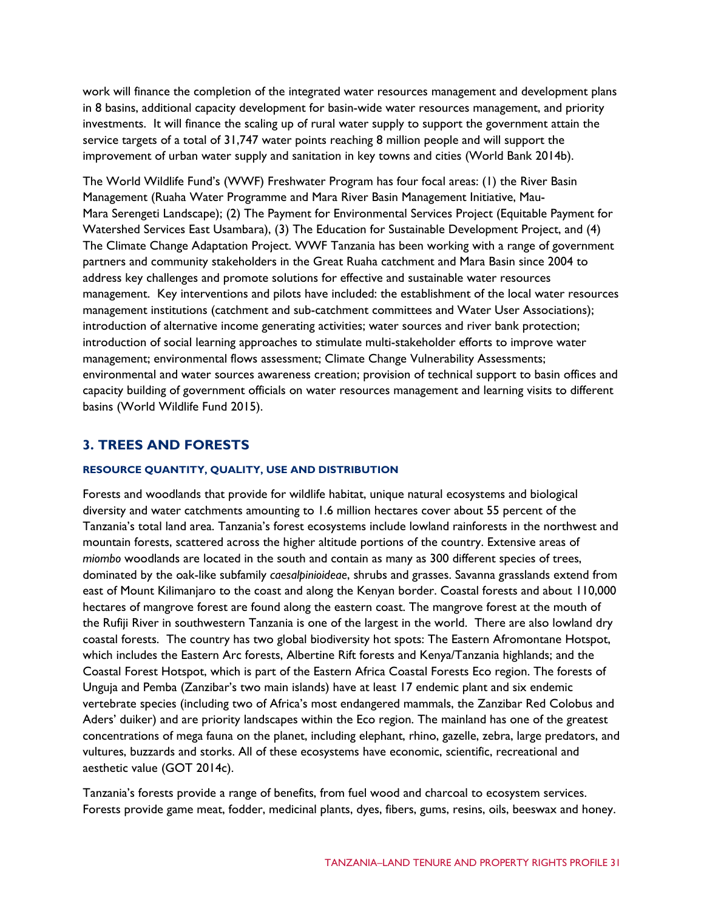work will finance the completion of the integrated water resources management and development plans in 8 basins, additional capacity development for basin-wide water resources management, and priority investments. It will finance the scaling up of rural water supply to support the government attain the service targets of a total of 31,747 water points reaching 8 million people and will support the improvement of urban water supply and sanitation in key towns and cities (World Bank 2014b).

The World Wildlife Fund's (WWF) Freshwater Program has four focal areas: (1) the River Basin Management (Ruaha Water Programme and Mara River Basin Management Initiative, Mau-Mara Serengeti Landscape); (2) The Payment for Environmental Services Project (Equitable Payment for Watershed Services East Usambara), (3) The Education for Sustainable Development Project, and (4) The Climate Change Adaptation Project. WWF Tanzania has been working with a range of government partners and community stakeholders in the Great Ruaha catchment and Mara Basin since 2004 to address key challenges and promote solutions for effective and sustainable water resources management. Key interventions and pilots have included: the establishment of the local water resources management institutions (catchment and sub-catchment committees and Water User Associations); introduction of alternative income generating activities; water sources and river bank protection; introduction of social learning approaches to stimulate multi-stakeholder efforts to improve water management; environmental flows assessment; Climate Change Vulnerability Assessments; environmental and water sources awareness creation; provision of technical support to basin offices and capacity building of government officials on water resources management and learning visits to different basins (World Wildlife Fund 2015).

## **3. TREES AND FORESTS**

#### **RESOURCE QUANTITY, QUALITY, USE AND DISTRIBUTION**

Forests and woodlands that provide for wildlife habitat, unique natural ecosystems and biological diversity and water catchments amounting to 1.6 million hectares cover about 55 percent of the Tanzania's total land area. Tanzania's forest ecosystems include lowland rainforests in the northwest and mountain forests, scattered across the higher altitude portions of the country. Extensive areas of *miombo* woodlands are located in the south and contain as many as 300 different species of trees, dominated by the oak-like subfamily *caesalpinioideae*, shrubs and grasses. Savanna grasslands extend from east of Mount Kilimanjaro to the coast and along the Kenyan border. Coastal forests and about 110,000 hectares of mangrove forest are found along the eastern coast. The mangrove forest at the mouth of the Rufiji River in southwestern Tanzania is one of the largest in the world. There are also lowland dry coastal forests. The country has two global biodiversity hot spots: The Eastern Afromontane Hotspot, which includes the Eastern Arc forests, Albertine Rift forests and Kenya/Tanzania highlands; and the Coastal Forest Hotspot, which is part of the Eastern Africa Coastal Forests Eco region. The forests of Unguja and Pemba (Zanzibar's two main islands) have at least 17 endemic plant and six endemic vertebrate species (including two of Africa's most endangered mammals, the Zanzibar Red Colobus and Aders' duiker) and are priority landscapes within the Eco region. The mainland has one of the greatest concentrations of mega fauna on the planet, including elephant, rhino, gazelle, zebra, large predators, and vultures, buzzards and storks. All of these ecosystems have economic, scientific, recreational and aesthetic value (GOT 2014c).

Tanzania's forests provide a range of benefits, from fuel wood and charcoal to ecosystem services. Forests provide game meat, fodder, medicinal plants, dyes, fibers, gums, resins, oils, beeswax and honey.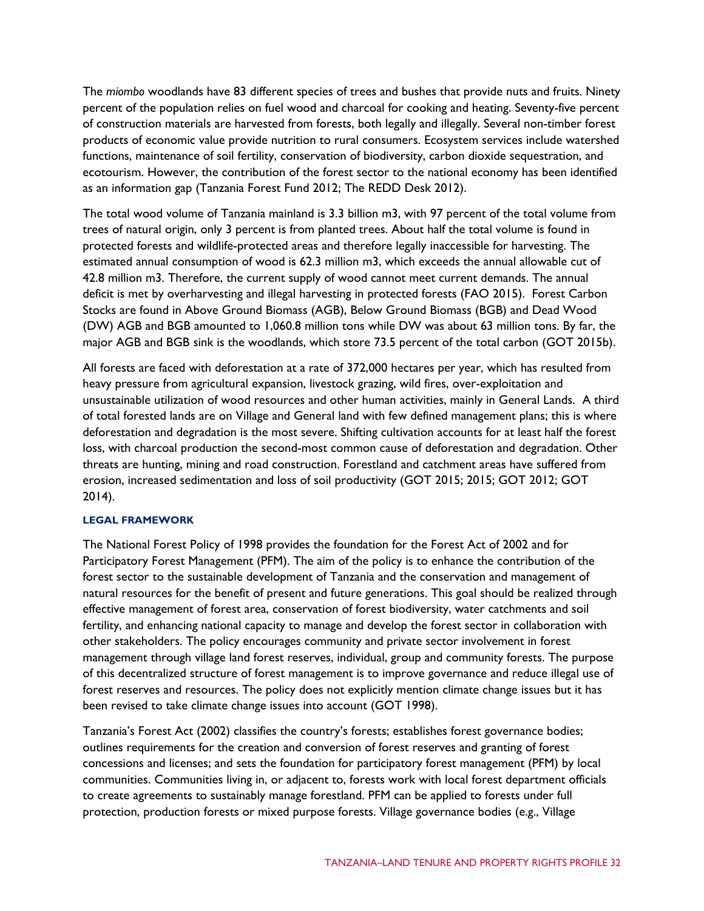The *miombo* woodlands have 83 different species of trees and bushes that provide nuts and fruits. Ninety percent of the population relies on fuel wood and charcoal for cooking and heating. Seventy-five percent of construction materials are harvested from forests, both legally and illegally. Several non-timber forest products of economic value provide nutrition to rural consumers. Ecosystem services include watershed functions, maintenance of soil fertility, conservation of biodiversity, carbon dioxide sequestration, and ecotourism. However, the contribution of the forest sector to the national economy has been identified as an information gap (Tanzania Forest Fund 2012; The REDD Desk 2012).

The total wood volume of Tanzania mainland is 3.3 billion m3, with 97 percent of the total volume from trees of natural origin, only 3 percent is from planted trees. About half the total volume is found in protected forests and wildlife-protected areas and therefore legally inaccessible for harvesting. The estimated annual consumption of wood is 62.3 million m3, which exceeds the annual allowable cut of 42.8 million m3. Therefore, the current supply of wood cannot meet current demands. The annual deficit is met by overharvesting and illegal harvesting in protected forests (FAO 2015). Forest Carbon Stocks are found in Above Ground Biomass (AGB), Below Ground Biomass (BGB) and Dead Wood (DW) AGB and BGB amounted to 1,060.8 million tons while DW was about 63 million tons. By far, the major AGB and BGB sink is the woodlands, which store 73.5 percent of the total carbon (GOT 2015b).

All forests are faced with deforestation at a rate of 372,000 hectares per year, which has resulted from heavy pressure from agricultural expansion, livestock grazing, wild fires, over-exploitation and unsustainable utilization of wood resources and other human activities, mainly in General Lands. A third of total forested lands are on Village and General land with few defined management plans; this is where deforestation and degradation is the most severe. Shifting cultivation accounts for at least half the forest loss, with charcoal production the second-most common cause of deforestation and degradation. Other threats are hunting, mining and road construction. Forestland and catchment areas have suffered from erosion, increased sedimentation and loss of soil productivity (GOT 2015; 2015; GOT 2012; GOT 2014).

#### **LEGAL FRAMEWORK**

The National Forest Policy of 1998 provides the foundation for the Forest Act of 2002 and for Participatory Forest Management (PFM). The aim of the policy is to enhance the contribution of the forest sector to the sustainable development of Tanzania and the conservation and management of natural resources for the benefit of present and future generations. This goal should be realized through effective management of forest area, conservation of forest biodiversity, water catchments and soil fertility, and enhancing national capacity to manage and develop the forest sector in collaboration with other stakeholders. The policy encourages community and private sector involvement in forest management through village land forest reserves, individual, group and community forests. The purpose of this decentralized structure of forest management is to improve governance and reduce illegal use of forest reserves and resources. The policy does not explicitly mention climate change issues but it has been revised to take climate change issues into account (GOT 1998).

Tanzania's Forest Act (2002) classifies the country's forests; establishes forest governance bodies; outlines requirements for the creation and conversion of forest reserves and granting of forest concessions and licenses; and sets the foundation for participatory forest management (PFM) by local communities. Communities living in, or adjacent to, forests work with local forest department officials to create agreements to sustainably manage forestland. PFM can be applied to forests under full protection, production forests or mixed purpose forests. Village governance bodies (e.g., Village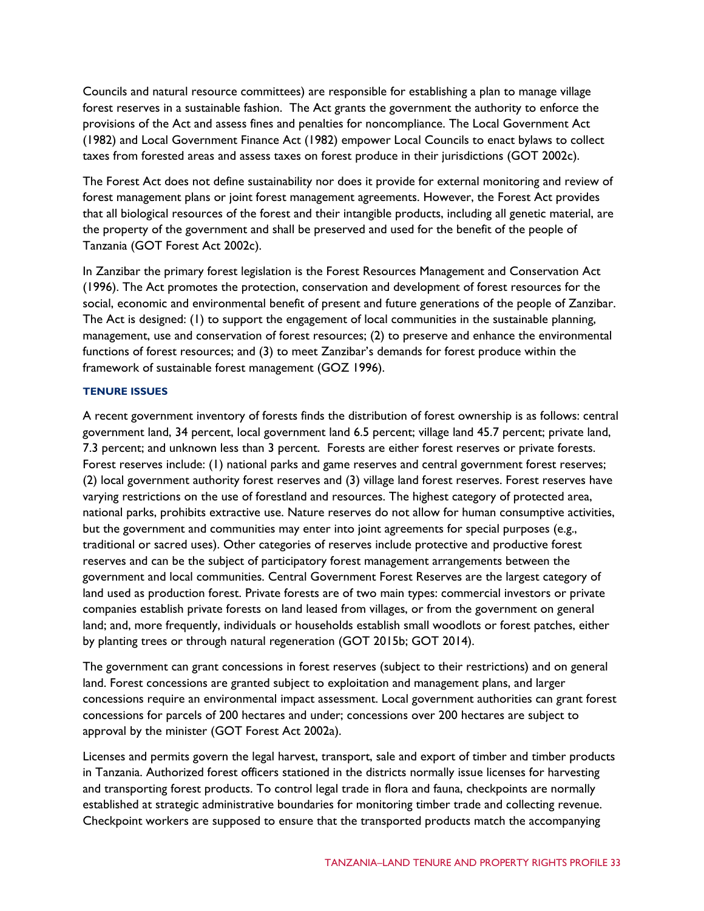Councils and natural resource committees) are responsible for establishing a plan to manage village forest reserves in a sustainable fashion. The Act grants the government the authority to enforce the provisions of the Act and assess fines and penalties for noncompliance. The Local Government Act (1982) and Local Government Finance Act (1982) empower Local Councils to enact bylaws to collect taxes from forested areas and assess taxes on forest produce in their jurisdictions (GOT 2002c).

The Forest Act does not define sustainability nor does it provide for external monitoring and review of forest management plans or joint forest management agreements. However, the Forest Act provides that all biological resources of the forest and their intangible products, including all genetic material, are the property of the government and shall be preserved and used for the benefit of the people of Tanzania (GOT Forest Act 2002c).

In Zanzibar the primary forest legislation is the Forest Resources Management and Conservation Act (1996). The Act promotes the protection, conservation and development of forest resources for the social, economic and environmental benefit of present and future generations of the people of Zanzibar. The Act is designed: (1) to support the engagement of local communities in the sustainable planning, management, use and conservation of forest resources; (2) to preserve and enhance the environmental functions of forest resources; and (3) to meet Zanzibar's demands for forest produce within the framework of sustainable forest management (GOZ 1996).

#### **TENURE ISSUES**

A recent government inventory of forests finds the distribution of forest ownership is as follows: central government land, 34 percent, local government land 6.5 percent; village land 45.7 percent; private land, 7.3 percent; and unknown less than 3 percent. Forests are either forest reserves or private forests. Forest reserves include: (1) national parks and game reserves and central government forest reserves; (2) local government authority forest reserves and (3) village land forest reserves. Forest reserves have varying restrictions on the use of forestland and resources. The highest category of protected area, national parks, prohibits extractive use. Nature reserves do not allow for human consumptive activities, but the government and communities may enter into joint agreements for special purposes (e.g., traditional or sacred uses). Other categories of reserves include protective and productive forest reserves and can be the subject of participatory forest management arrangements between the government and local communities. Central Government Forest Reserves are the largest category of land used as production forest. Private forests are of two main types: commercial investors or private companies establish private forests on land leased from villages, or from the government on general land; and, more frequently, individuals or households establish small woodlots or forest patches, either by planting trees or through natural regeneration (GOT 2015b; GOT 2014).

The government can grant concessions in forest reserves (subject to their restrictions) and on general land. Forest concessions are granted subject to exploitation and management plans, and larger concessions require an environmental impact assessment. Local government authorities can grant forest concessions for parcels of 200 hectares and under; concessions over 200 hectares are subject to approval by the minister (GOT Forest Act 2002a).

Licenses and permits govern the legal harvest, transport, sale and export of timber and timber products in Tanzania. Authorized forest officers stationed in the districts normally issue licenses for harvesting and transporting forest products. To control legal trade in flora and fauna, checkpoints are normally established at strategic administrative boundaries for monitoring timber trade and collecting revenue. Checkpoint workers are supposed to ensure that the transported products match the accompanying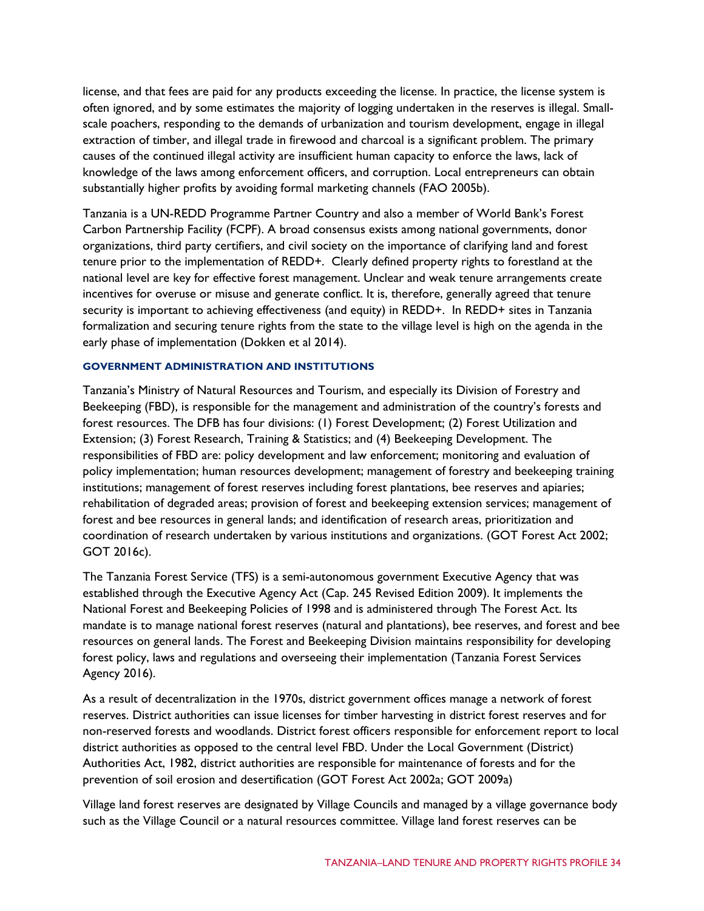license, and that fees are paid for any products exceeding the license. In practice, the license system is often ignored, and by some estimates the majority of logging undertaken in the reserves is illegal. Smallscale poachers, responding to the demands of urbanization and tourism development, engage in illegal extraction of timber, and illegal trade in firewood and charcoal is a significant problem. The primary causes of the continued illegal activity are insufficient human capacity to enforce the laws, lack of knowledge of the laws among enforcement officers, and corruption. Local entrepreneurs can obtain substantially higher profits by avoiding formal marketing channels (FAO 2005b).

Tanzania is a UN-REDD Programme Partner Country and also a member of World Bank's Forest Carbon Partnership Facility (FCPF). A broad consensus exists among national governments, donor organizations, third party certifiers, and civil society on the importance of clarifying land and forest tenure prior to the implementation of REDD+. Clearly defined property rights to forestland at the national level are key for effective forest management. Unclear and weak tenure arrangements create incentives for overuse or misuse and generate conflict. It is, therefore, generally agreed that tenure security is important to achieving effectiveness (and equity) in REDD+. In REDD+ sites in Tanzania formalization and securing tenure rights from the state to the village level is high on the agenda in the early phase of implementation (Dokken et al 2014).

#### **GOVERNMENT ADMINISTRATION AND INSTITUTIONS**

Tanzania's Ministry of Natural Resources and Tourism, and especially its Division of Forestry and Beekeeping (FBD), is responsible for the management and administration of the country's forests and forest resources. The DFB has four divisions: (1) Forest Development; (2) Forest Utilization and Extension; (3) Forest Research, Training & Statistics; and (4) Beekeeping Development. The responsibilities of FBD are: policy development and law enforcement; monitoring and evaluation of policy implementation; human resources development; management of forestry and beekeeping training institutions; management of forest reserves including forest plantations, bee reserves and apiaries; rehabilitation of degraded areas; provision of forest and beekeeping extension services; management of forest and bee resources in general lands; and identification of research areas, prioritization and coordination of research undertaken by various institutions and organizations. (GOT Forest Act 2002; GOT 2016c).

The Tanzania Forest Service (TFS) is a semi-autonomous government Executive Agency that was established through the Executive Agency Act (Cap. 245 Revised Edition 2009). It implements the National Forest and Beekeeping Policies of 1998 and is administered through The Forest Act. Its mandate is to manage national forest reserves (natural and plantations), bee reserves, and forest and bee resources on general lands. The Forest and Beekeeping Division maintains responsibility for developing forest policy, laws and regulations and overseeing their implementation (Tanzania Forest Services Agency 2016).

As a result of decentralization in the 1970s, district government offices manage a network of forest reserves. District authorities can issue licenses for timber harvesting in district forest reserves and for non-reserved forests and woodlands. District forest officers responsible for enforcement report to local district authorities as opposed to the central level FBD. Under the Local Government (District) Authorities Act, 1982, district authorities are responsible for maintenance of forests and for the prevention of soil erosion and desertification (GOT Forest Act 2002a; GOT 2009a)

Village land forest reserves are designated by Village Councils and managed by a village governance body such as the Village Council or a natural resources committee. Village land forest reserves can be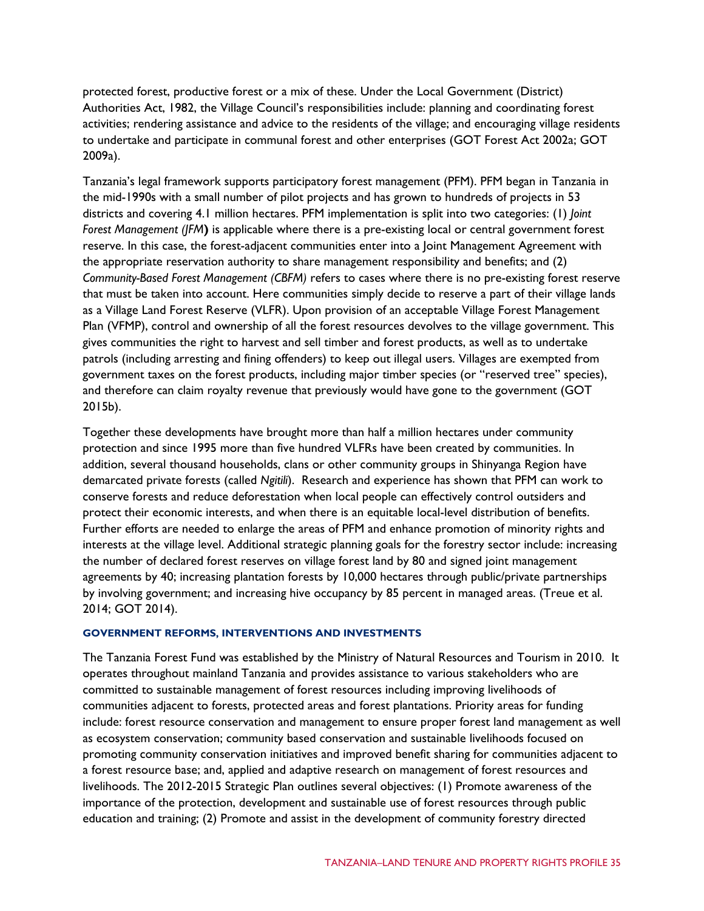protected forest, productive forest or a mix of these. Under the Local Government (District) Authorities Act, 1982, the Village Council's responsibilities include: planning and coordinating forest activities; rendering assistance and advice to the residents of the village; and encouraging village residents to undertake and participate in communal forest and other enterprises (GOT Forest Act 2002a; GOT 2009a).

Tanzania's legal framework supports participatory forest management (PFM). PFM began in Tanzania in the mid-1990s with a small number of pilot projects and has grown to hundreds of projects in 53 districts and covering 4.1 million hectares. PFM implementation is split into two categories: (1) *Joint Forest Management (JFM***)** is applicable where there is a pre-existing local or central government forest reserve. In this case, the forest-adjacent communities enter into a Joint Management Agreement with the appropriate reservation authority to share management responsibility and benefits; and (2) *Community-Based Forest Management (CBFM)* refers to cases where there is no pre-existing forest reserve that must be taken into account. Here communities simply decide to reserve a part of their village lands as a Village Land Forest Reserve (VLFR). Upon provision of an acceptable Village Forest Management Plan (VFMP), control and ownership of all the forest resources devolves to the village government. This gives communities the right to harvest and sell timber and forest products, as well as to undertake patrols (including arresting and fining offenders) to keep out illegal users. Villages are exempted from government taxes on the forest products, including major timber species (or "reserved tree" species), and therefore can claim royalty revenue that previously would have gone to the government (GOT 2015b).

Together these developments have brought more than half a million hectares under community protection and since 1995 more than five hundred VLFRs have been created by communities. In addition, several thousand households, clans or other community groups in Shinyanga Region have demarcated private forests (called *Ngitili*). Research and experience has shown that PFM can work to conserve forests and reduce deforestation when local people can effectively control outsiders and protect their economic interests, and when there is an equitable local-level distribution of benefits. Further efforts are needed to enlarge the areas of PFM and enhance promotion of minority rights and interests at the village level. Additional strategic planning goals for the forestry sector include: increasing the number of declared forest reserves on village forest land by 80 and signed joint management agreements by 40; increasing plantation forests by 10,000 hectares through public/private partnerships by involving government; and increasing hive occupancy by 85 percent in managed areas. (Treue et al. 2014; GOT 2014).

#### **GOVERNMENT REFORMS, INTERVENTIONS AND INVESTMENTS**

The Tanzania Forest Fund was established by the Ministry of Natural Resources and Tourism in 2010. It operates throughout mainland Tanzania and provides assistance to various stakeholders who are committed to sustainable management of forest resources including improving livelihoods of communities adjacent to forests, protected areas and forest plantations. Priority areas for funding include: forest resource conservation and management to ensure proper forest land management as well as ecosystem conservation; community based conservation and sustainable livelihoods focused on promoting community conservation initiatives and improved benefit sharing for communities adjacent to a forest resource base; and, applied and adaptive research on management of forest resources and livelihoods. The 2012-2015 Strategic Plan outlines several objectives: (1) Promote awareness of the importance of the protection, development and sustainable use of forest resources through public education and training; (2) Promote and assist in the development of community forestry directed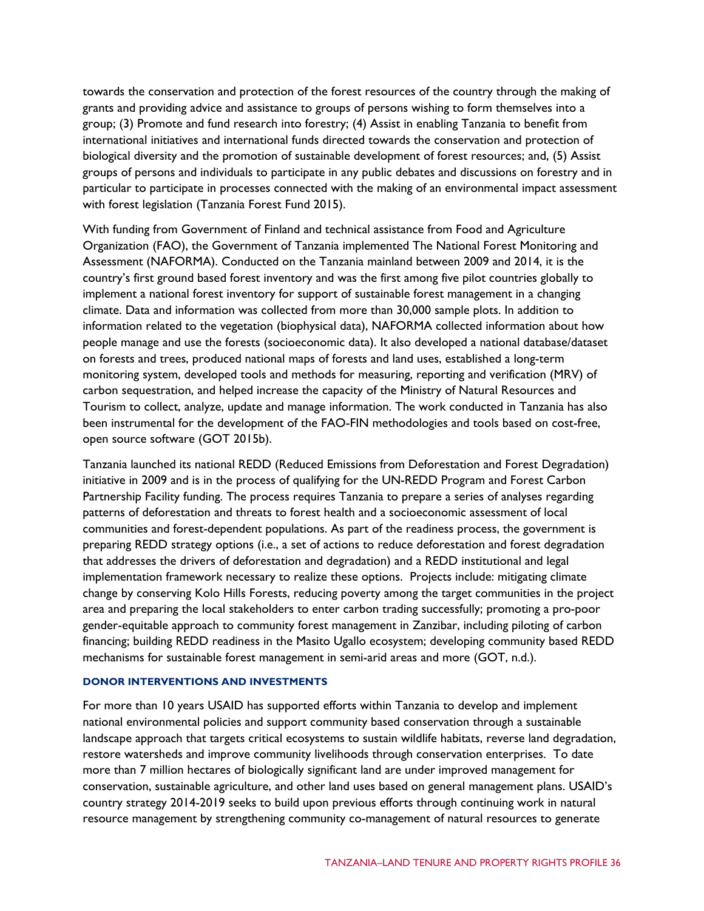towards the conservation and protection of the forest resources of the country through the making of grants and providing advice and assistance to groups of persons wishing to form themselves into a group; (3) Promote and fund research into forestry; (4) Assist in enabling Tanzania to benefit from international initiatives and international funds directed towards the conservation and protection of biological diversity and the promotion of sustainable development of forest resources; and, (5) Assist groups of persons and individuals to participate in any public debates and discussions on forestry and in particular to participate in processes connected with the making of an environmental impact assessment with forest legislation (Tanzania Forest Fund 2015).

With funding from Government of Finland and technical assistance from Food and Agriculture Organization (FAO), the Government of Tanzania implemented The National Forest Monitoring and Assessment (NAFORMA). Conducted on the Tanzania mainland between 2009 and 2014, it is the country's first ground based forest inventory and was the first among five pilot countries globally to implement a national forest inventory for support of sustainable forest management in a changing climate. Data and information was collected from more than 30,000 sample plots. In addition to information related to the vegetation (biophysical data), NAFORMA collected information about how people manage and use the forests (socioeconomic data). It also developed a national database/dataset on forests and trees, produced national maps of forests and land uses, established a long-term monitoring system, developed tools and methods for measuring, reporting and verification (MRV) of carbon sequestration, and helped increase the capacity of the Ministry of Natural Resources and Tourism to collect, analyze, update and manage information. The work conducted in Tanzania has also been instrumental for the development of the FAO-FIN methodologies and tools based on cost-free, open source software (GOT 2015b).

Tanzania launched its national REDD (Reduced Emissions from Deforestation and Forest Degradation) initiative in 2009 and is in the process of qualifying for the UN-REDD Program and Forest Carbon Partnership Facility funding. The process requires Tanzania to prepare a series of analyses regarding patterns of deforestation and threats to forest health and a socioeconomic assessment of local communities and forest-dependent populations. As part of the readiness process, the government is preparing REDD strategy options (i.e., a set of actions to reduce deforestation and forest degradation that addresses the drivers of deforestation and degradation) and a REDD institutional and legal implementation framework necessary to realize these options. Projects include: mitigating climate change by conserving Kolo Hills Forests, reducing poverty among the target communities in the project area and preparing the local stakeholders to enter carbon trading successfully; promoting a pro-poor gender-equitable approach to community forest management in Zanzibar, including piloting of carbon financing; building REDD readiness in the Masito Ugallo ecosystem; developing community based REDD mechanisms for sustainable forest management in semi-arid areas and more (GOT, n.d.).

#### **DONOR INTERVENTIONS AND INVESTMENTS**

For more than 10 years USAID has supported efforts within Tanzania to develop and implement national environmental policies and support community based conservation through a sustainable landscape approach that targets critical ecosystems to sustain wildlife habitats, reverse land degradation, restore watersheds and improve community livelihoods through conservation enterprises. To date more than 7 million hectares of biologically significant land are under improved management for conservation, sustainable agriculture, and other land uses based on general management plans. USAID's country strategy 2014-2019 seeks to build upon previous efforts through continuing work in natural resource management by strengthening community co-management of natural resources to generate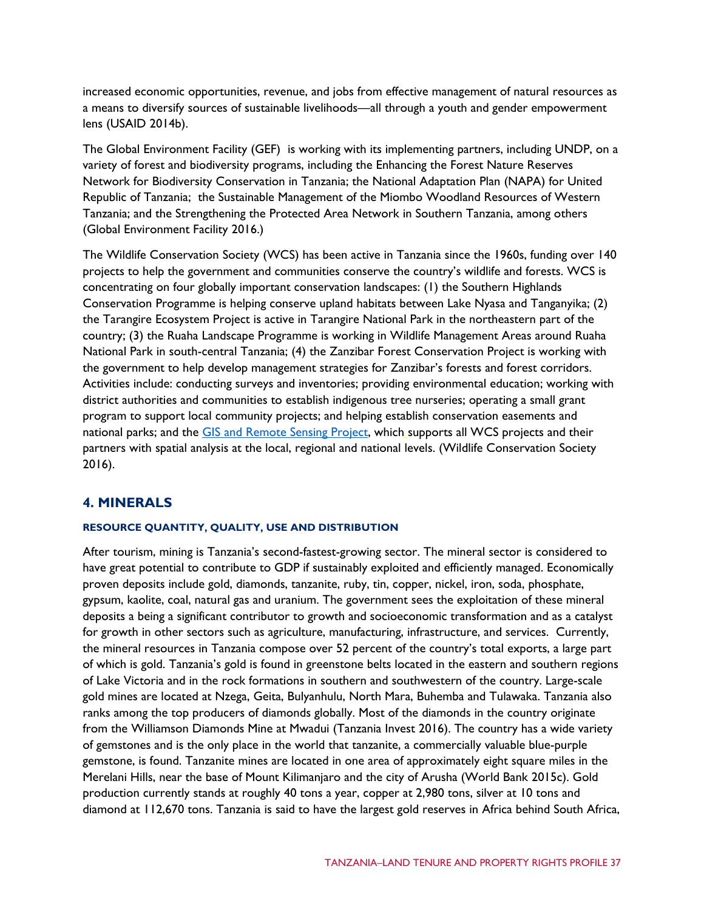increased economic opportunities, revenue, and jobs from effective management of natural resources as a means to diversify sources of sustainable livelihoods—all through a youth and gender empowerment lens (USAID 2014b).

The Global Environment Facility (GEF) is working with its implementing partners, including UNDP, on a variety of forest and biodiversity programs, including the Enhancing the Forest Nature Reserves Network for Biodiversity Conservation in Tanzania; the National Adaptation Plan (NAPA) for United Republic of Tanzania; the Sustainable Management of the Miombo Woodland Resources of Western Tanzania; and the Strengthening the Protected Area Network in Southern Tanzania, among others (Global Environment Facility 2016.)

The Wildlife Conservation Society (WCS) has been active in Tanzania since the 1960s, funding over 140 projects to help the government and communities conserve the country's wildlife and forests. WCS is concentrating on four globally important conservation landscapes: (1) the Southern Highlands Conservation Programme is helping conserve upland habitats between Lake Nyasa and Tanganyika; (2) the Tarangire Ecosystem Project is active in Tarangire National Park in the northeastern part of the country; (3) the Ruaha Landscape Programme is working in Wildlife Management Areas around Ruaha National Park in south-central Tanzania; (4) the Zanzibar Forest Conservation Project is working with the government to help develop management strategies for Zanzibar's forests and forest corridors. Activities include: conducting surveys and inventories; providing environmental education; working with district authorities and communities to establish indigenous tree nurseries; operating a small grant program to support local community projects; and helping establish conservation easements and national parks; and the [GIS and Remote Sensing Project,](http://www.wcstanzania.org/RS-GIS.htm) which supports all WCS projects and their partners with spatial analysis at the local, regional and national levels. (Wildlife Conservation Society 2016).

## **4. MINERALS**

#### **RESOURCE QUANTITY, QUALITY, USE AND DISTRIBUTION**

After tourism, mining is Tanzania's second-fastest-growing sector. The mineral sector is considered to have great potential to contribute to GDP if sustainably exploited and efficiently managed. Economically proven deposits include gold, diamonds, tanzanite, ruby, tin, copper, nickel, iron, soda, phosphate, gypsum, kaolite, coal, natural gas and uranium. The government sees the exploitation of these mineral deposits a being a significant contributor to growth and socioeconomic transformation and as a catalyst for growth in other sectors such as agriculture, manufacturing, infrastructure, and services. Currently, the mineral resources in Tanzania compose over 52 percent of the country's total exports, a large part of which is gold. Tanzania's gold is found in greenstone belts located in the eastern and southern regions of Lake Victoria and in the rock formations in southern and southwestern of the country. Large-scale gold mines are located at Nzega, Geita, Bulyanhulu, North Mara, Buhemba and Tulawaka. Tanzania also ranks among the top producers of diamonds globally. Most of the diamonds in the country originate from the Williamson Diamonds Mine at Mwadui (Tanzania Invest 2016). The country has a wide variety of gemstones and is the only place in the world that tanzanite, a commercially valuable blue-purple gemstone, is found. Tanzanite mines are located in one area of approximately eight square miles in the Merelani Hills, near the base of Mount Kilimanjaro and the city of Arusha (World Bank 2015c). Gold production currently stands at roughly 40 tons a year, copper at 2,980 tons, silver at 10 tons and diamond at 112,670 tons. Tanzania is said to have the largest gold reserves in Africa behind South Africa,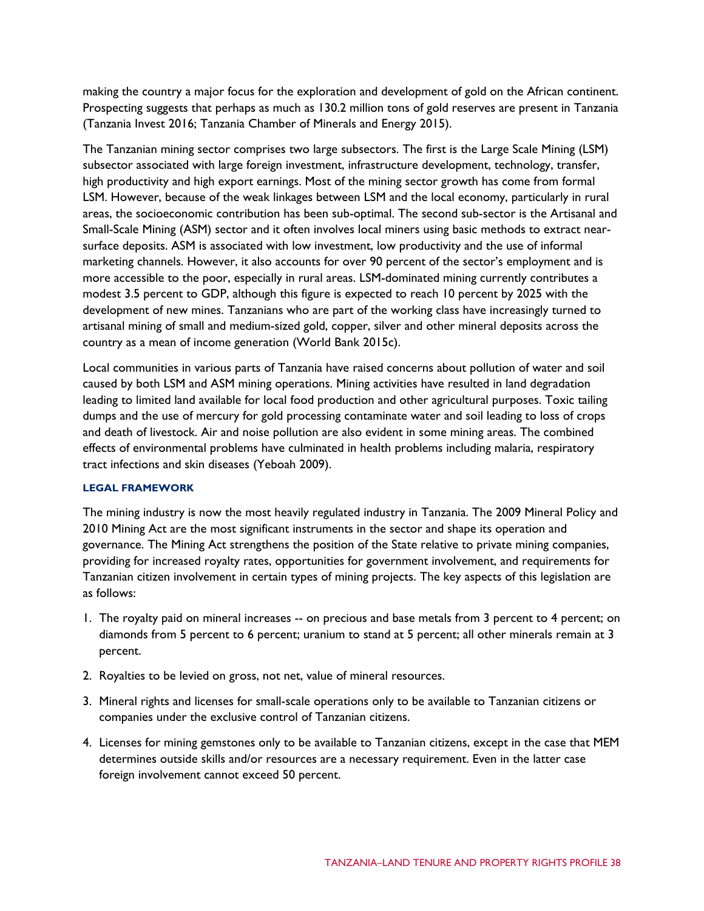making the country a major focus for the exploration and development of gold on the African continent. Prospecting suggests that perhaps as much as 130.2 million tons of gold reserves are present in Tanzania (Tanzania Invest 2016; Tanzania Chamber of Minerals and Energy 2015).

The Tanzanian mining sector comprises two large subsectors. The first is the Large Scale Mining (LSM) subsector associated with large foreign investment, infrastructure development, technology, transfer, high productivity and high export earnings. Most of the mining sector growth has come from formal LSM. However, because of the weak linkages between LSM and the local economy, particularly in rural areas, the socioeconomic contribution has been sub-optimal. The second sub-sector is the Artisanal and Small-Scale Mining (ASM) sector and it often involves local miners using basic methods to extract nearsurface deposits. ASM is associated with low investment, low productivity and the use of informal marketing channels. However, it also accounts for over 90 percent of the sector's employment and is more accessible to the poor, especially in rural areas. LSM-dominated mining currently contributes a modest 3.5 percent to GDP, although this figure is expected to reach 10 percent by 2025 with the development of new mines. Tanzanians who are part of the working class have increasingly turned to artisanal mining of small and medium-sized gold, copper, silver and other mineral deposits across the country as a mean of income generation (World Bank 2015c).

Local communities in various parts of Tanzania have raised concerns about pollution of water and soil caused by both LSM and ASM mining operations. Mining activities have resulted in land degradation leading to limited land available for local food production and other agricultural purposes. Toxic tailing dumps and the use of mercury for gold processing contaminate water and soil leading to loss of crops and death of livestock. Air and noise pollution are also evident in some mining areas. The combined effects of environmental problems have culminated in health problems including malaria, respiratory tract infections and skin diseases (Yeboah 2009).

#### **LEGAL FRAMEWORK**

The mining industry is now the most heavily regulated industry in Tanzania. The 2009 Mineral Policy and 2010 Mining Act are the most significant instruments in the sector and shape its operation and governance. The Mining Act strengthens the position of the State relative to private mining companies, providing for increased royalty rates, opportunities for government involvement, and requirements for Tanzanian citizen involvement in certain types of mining projects. The key aspects of this legislation are as follows:

- 1. The royalty paid on mineral increases -- on precious and base metals from 3 percent to 4 percent; on diamonds from 5 percent to 6 percent; uranium to stand at 5 percent; all other minerals remain at 3 percent.
- 2. Royalties to be levied on gross, not net, value of mineral resources.
- 3. Mineral rights and licenses for small-scale operations only to be available to Tanzanian citizens or companies under the exclusive control of Tanzanian citizens.
- 4. Licenses for mining gemstones only to be available to Tanzanian citizens, except in the case that MEM determines outside skills and/or resources are a necessary requirement. Even in the latter case foreign involvement cannot exceed 50 percent.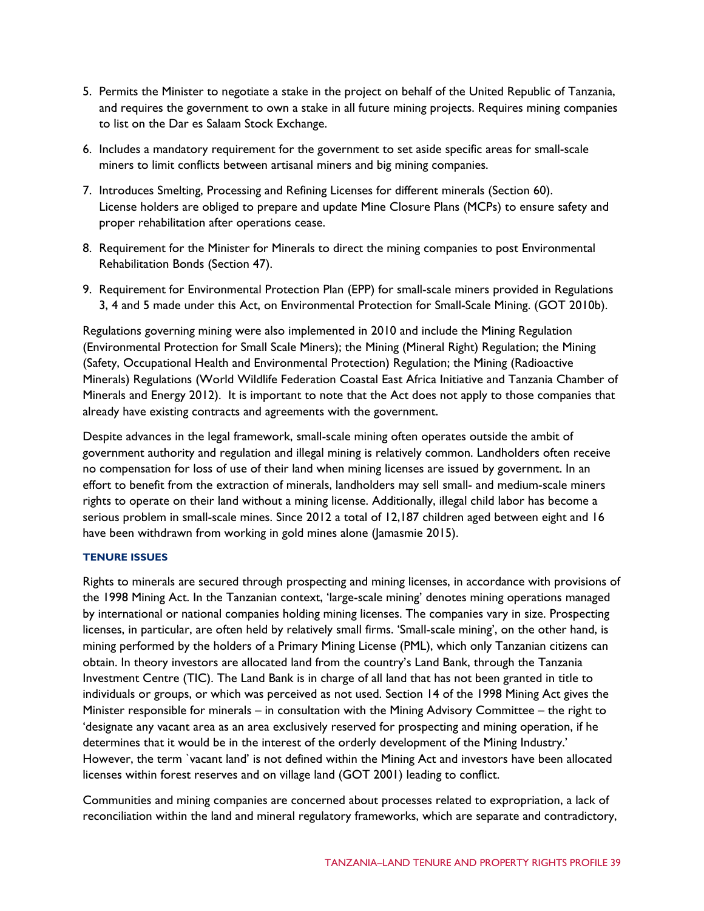- 5. Permits the Minister to negotiate a stake in the project on behalf of the United Republic of Tanzania, and requires the government to own a stake in all future mining projects. Requires mining companies to list on the Dar es Salaam Stock Exchange.
- 6. Includes a mandatory requirement for the government to set aside specific areas for small-scale miners to limit conflicts between artisanal miners and big mining companies.
- 7. Introduces Smelting, Processing and Refining Licenses for different minerals (Section 60). License holders are obliged to prepare and update Mine Closure Plans (MCPs) to ensure safety and proper rehabilitation after operations cease.
- 8. Requirement for the Minister for Minerals to direct the mining companies to post Environmental Rehabilitation Bonds (Section 47).
- 9. Requirement for Environmental Protection Plan (EPP) for small-scale miners provided in Regulations 3, 4 and 5 made under this Act, on Environmental Protection for Small-Scale Mining. (GOT 2010b).

Regulations governing mining were also implemented in 2010 and include the Mining Regulation (Environmental Protection for Small Scale Miners); the Mining (Mineral Right) Regulation; the Mining (Safety, Occupational Health and Environmental Protection) Regulation; the Mining (Radioactive Minerals) Regulations (World Wildlife Federation Coastal East Africa Initiative and Tanzania Chamber of Minerals and Energy 2012). It is important to note that the Act does not apply to those companies that already have existing contracts and agreements with the government.

Despite advances in the legal framework, small-scale mining often operates outside the ambit of government authority and regulation and illegal mining is relatively common. Landholders often receive no compensation for loss of use of their land when mining licenses are issued by government. In an effort to benefit from the extraction of minerals, landholders may sell small- and medium-scale miners rights to operate on their land without a mining license. Additionally, illegal child labor has become a serious problem in small-scale mines. Since 2012 a total of 12,187 children aged between eight and 16 have been withdrawn from working in gold mines alone (Jamasmie 2015).

#### **TENURE ISSUES**

Rights to minerals are secured through prospecting and mining licenses, in accordance with provisions of the 1998 Mining Act. In the Tanzanian context, 'large-scale mining' denotes mining operations managed by international or national companies holding mining licenses. The companies vary in size. Prospecting licenses, in particular, are often held by relatively small firms. 'Small-scale mining', on the other hand, is mining performed by the holders of a Primary Mining License (PML), which only Tanzanian citizens can obtain. In theory investors are allocated land from the country's Land Bank, through the Tanzania Investment Centre (TIC). The Land Bank is in charge of all land that has not been granted in title to individuals or groups, or which was perceived as not used. Section 14 of the 1998 Mining Act gives the Minister responsible for minerals – in consultation with the Mining Advisory Committee – the right to 'designate any vacant area as an area exclusively reserved for prospecting and mining operation, if he determines that it would be in the interest of the orderly development of the Mining Industry.' However, the term `vacant land' is not defined within the Mining Act and investors have been allocated licenses within forest reserves and on village land (GOT 2001) leading to conflict.

Communities and mining companies are concerned about processes related to expropriation, a lack of reconciliation within the land and mineral regulatory frameworks, which are separate and contradictory,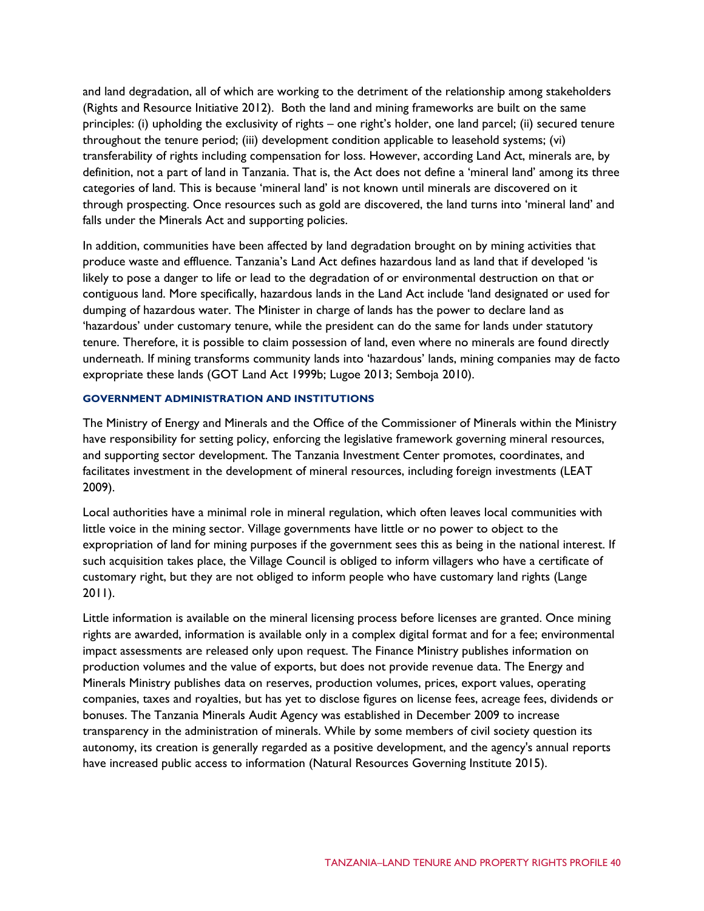and land degradation, all of which are working to the detriment of the relationship among stakeholders (Rights and Resource Initiative 2012). Both the land and mining frameworks are built on the same principles: (i) upholding the exclusivity of rights – one right's holder, one land parcel; (ii) secured tenure throughout the tenure period; (iii) development condition applicable to leasehold systems; (vi) transferability of rights including compensation for loss. However, according Land Act, minerals are, by definition, not a part of land in Tanzania. That is, the Act does not define a 'mineral land' among its three categories of land. This is because 'mineral land' is not known until minerals are discovered on it through prospecting. Once resources such as gold are discovered, the land turns into 'mineral land' and falls under the Minerals Act and supporting policies.

In addition, communities have been affected by land degradation brought on by mining activities that produce waste and effluence. Tanzania's Land Act defines hazardous land as land that if developed 'is likely to pose a danger to life or lead to the degradation of or environmental destruction on that or contiguous land. More specifically, hazardous lands in the Land Act include 'land designated or used for dumping of hazardous water. The Minister in charge of lands has the power to declare land as 'hazardous' under customary tenure, while the president can do the same for lands under statutory tenure. Therefore, it is possible to claim possession of land, even where no minerals are found directly underneath. If mining transforms community lands into 'hazardous' lands, mining companies may de facto expropriate these lands (GOT Land Act 1999b; Lugoe 2013; Semboja 2010).

#### **GOVERNMENT ADMINISTRATION AND INSTITUTIONS**

The Ministry of Energy and Minerals and the Office of the Commissioner of Minerals within the Ministry have responsibility for setting policy, enforcing the legislative framework governing mineral resources, and supporting sector development. The Tanzania Investment Center promotes, coordinates, and facilitates investment in the development of mineral resources, including foreign investments (LEAT 2009).

Local authorities have a minimal role in mineral regulation, which often leaves local communities with little voice in the mining sector. Village governments have little or no power to object to the expropriation of land for mining purposes if the government sees this as being in the national interest. If such acquisition takes place, the Village Council is obliged to inform villagers who have a certificate of customary right, but they are not obliged to inform people who have customary land rights (Lange 2011).

Little information is available on the mineral licensing process before licenses are granted. Once mining rights are awarded, information is available only in a complex digital format and for a fee; environmental impact assessments are released only upon request. The Finance Ministry publishes information on production volumes and the value of exports, but does not provide revenue data. The Energy and Minerals Ministry publishes data on reserves, production volumes, prices, export values, operating companies, taxes and royalties, but has yet to disclose figures on license fees, acreage fees, dividends or bonuses. The Tanzania Minerals Audit Agency was established in December 2009 to increase transparency in the administration of minerals. While by some members of civil society question its autonomy, its creation is generally regarded as a positive development, and the agency's annual reports have increased public access to information (Natural Resources Governing Institute 2015).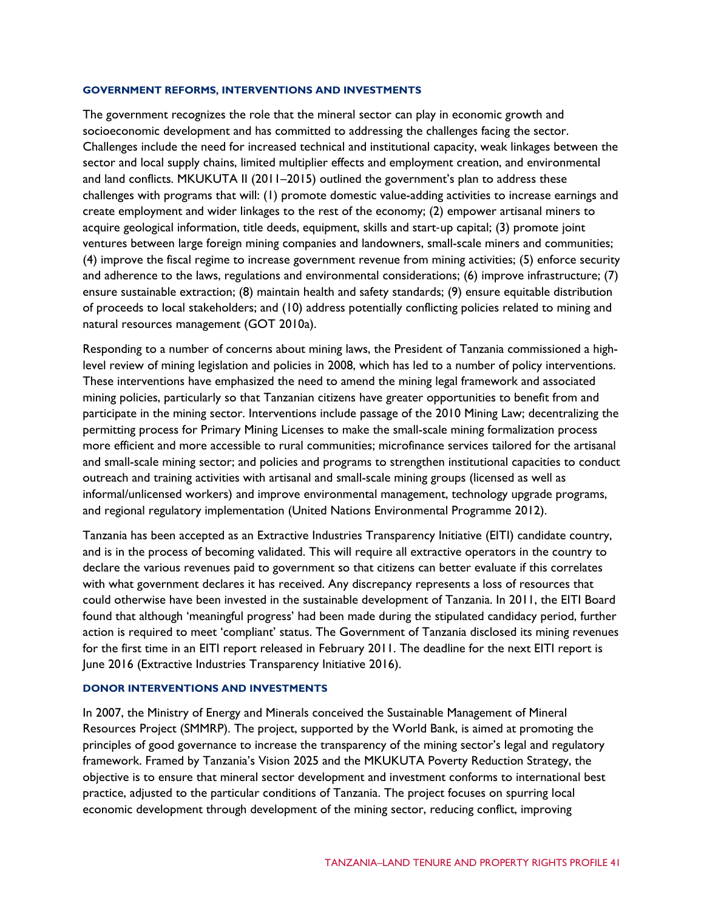#### **GOVERNMENT REFORMS, INTERVENTIONS AND INVESTMENTS**

The government recognizes the role that the mineral sector can play in economic growth and socioeconomic development and has committed to addressing the challenges facing the sector. Challenges include the need for increased technical and institutional capacity, weak linkages between the sector and local supply chains, limited multiplier effects and employment creation, and environmental and land conflicts. MKUKUTA II (2011–2015) outlined the government's plan to address these challenges with programs that will: (1) promote domestic value-adding activities to increase earnings and create employment and wider linkages to the rest of the economy; (2) empower artisanal miners to acquire geological information, title deeds, equipment, skills and start-up capital; (3) promote joint ventures between large foreign mining companies and landowners, small-scale miners and communities; (4) improve the fiscal regime to increase government revenue from mining activities; (5) enforce security and adherence to the laws, regulations and environmental considerations; (6) improve infrastructure; (7) ensure sustainable extraction; (8) maintain health and safety standards; (9) ensure equitable distribution of proceeds to local stakeholders; and (10) address potentially conflicting policies related to mining and natural resources management (GOT 2010a).

Responding to a number of concerns about mining laws, the President of Tanzania commissioned a highlevel review of mining legislation and policies in 2008, which has led to a number of policy interventions. These interventions have emphasized the need to amend the mining legal framework and associated mining policies, particularly so that Tanzanian citizens have greater opportunities to benefit from and participate in the mining sector. Interventions include passage of the 2010 Mining Law; decentralizing the permitting process for Primary Mining Licenses to make the small-scale mining formalization process more efficient and more accessible to rural communities; microfinance services tailored for the artisanal and small-scale mining sector; and policies and programs to strengthen institutional capacities to conduct outreach and training activities with artisanal and small-scale mining groups (licensed as well as informal/unlicensed workers) and improve environmental management, technology upgrade programs, and regional regulatory implementation (United Nations Environmental Programme 2012).

Tanzania has been accepted as an Extractive Industries Transparency Initiative (EITI) candidate country, and is in the process of becoming validated. This will require all extractive operators in the country to declare the various revenues paid to government so that citizens can better evaluate if this correlates with what government declares it has received. Any discrepancy represents a loss of resources that could otherwise have been invested in the sustainable development of Tanzania. In 2011, the EITI Board found that although 'meaningful progress' had been made during the stipulated candidacy period, further action is required to meet 'compliant' status. The Government of Tanzania disclosed its mining revenues for the first time in an EITI report released in February 2011. The deadline for the next EITI report is June 2016 (Extractive Industries Transparency Initiative 2016).

#### **DONOR INTERVENTIONS AND INVESTMENTS**

In 2007, the Ministry of Energy and Minerals conceived the Sustainable Management of Mineral Resources Project (SMMRP). The project, supported by the World Bank, is aimed at promoting the principles of good governance to increase the transparency of the mining sector's legal and regulatory framework. Framed by Tanzania's Vision 2025 and the MKUKUTA Poverty Reduction Strategy, the objective is to ensure that mineral sector development and investment conforms to international best practice, adjusted to the particular conditions of Tanzania. The project focuses on spurring local economic development through development of the mining sector, reducing conflict, improving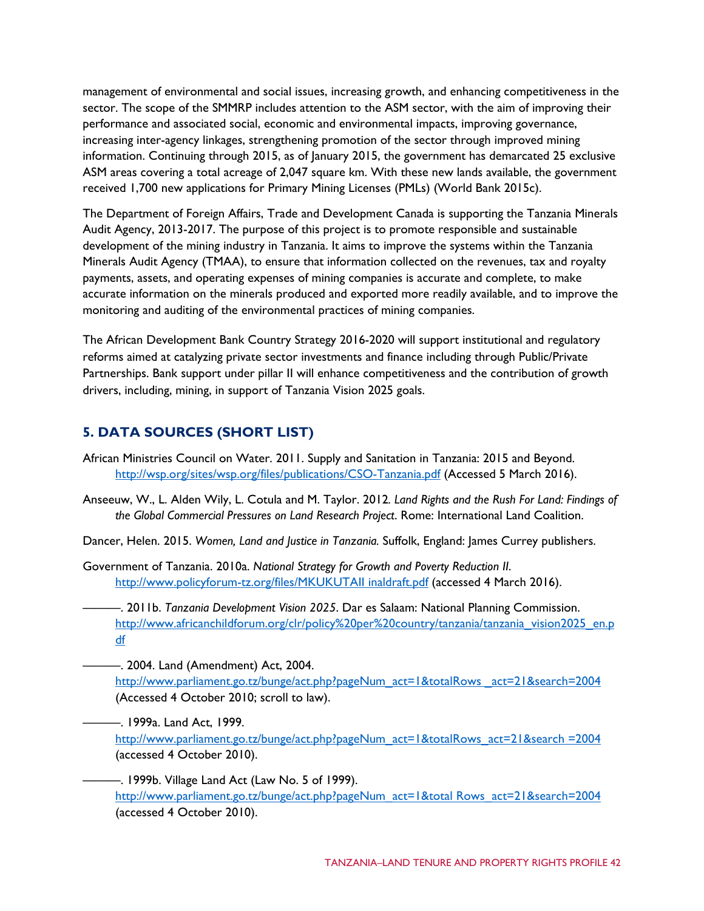management of environmental and social issues, increasing growth, and enhancing competitiveness in the sector. The scope of the SMMRP includes attention to the ASM sector, with the aim of improving their performance and associated social, economic and environmental impacts, improving governance, increasing inter-agency linkages, strengthening promotion of the sector through improved mining information. Continuing through 2015, as of January 2015, the government has demarcated 25 exclusive ASM areas covering a total acreage of 2,047 square km. With these new lands available, the government received 1,700 new applications for Primary Mining Licenses (PMLs) (World Bank 2015c).

The Department of Foreign Affairs, Trade and Development Canada is supporting the Tanzania Minerals Audit Agency, 2013-2017. The purpose of this project is to promote responsible and sustainable development of the mining industry in Tanzania. It aims to improve the systems within the Tanzania Minerals Audit Agency (TMAA), to ensure that information collected on the revenues, tax and royalty payments, assets, and operating expenses of mining companies is accurate and complete, to make accurate information on the minerals produced and exported more readily available, and to improve the monitoring and auditing of the environmental practices of mining companies.

The African Development Bank Country Strategy 2016-2020 will support institutional and regulatory reforms aimed at catalyzing private sector investments and finance including through Public/Private Partnerships. Bank support under pillar II will enhance competitiveness and the contribution of growth drivers, including, mining, in support of Tanzania Vision 2025 goals.

# **5. DATA SOURCES (SHORT LIST)**

- African Ministries Council on Water. 2011. Supply and Sanitation in Tanzania: 2015 and Beyond. <http://wsp.org/sites/wsp.org/files/publications/CSO-Tanzania.pdf> (Accessed 5 March 2016).
- Anseeuw, W., L. Alden Wily, L. Cotula and M. Taylor. 2012*. Land Rights and the Rush For Land: Findings of the Global Commercial Pressures on Land Research Project*. Rome: International Land Coalition.
- Dancer, Helen. 2015. *[Women, Land and Justice in Tanzania.](http://www.jamescurrey.com/store/viewItem.asp?idProduct=14812)* Suffolk, England: James Currey publishers.
- Government of Tanzania. 2010a. *National Strategy for Growth and Poverty Reduction II*. [http://www.policyforum-tz.org/files/MKUKUTAII inaldraft.pdf](http://www.policyforum-tz.org/files/MKUKUTAII%20inaldraft.pdf) (accessed 4 March 2016).
- ———. 2011b. *Tanzania Development Vision 2025*. Dar es Salaam: National Planning Commission. [http://www.africanchildforum.org/clr/policy%20per%20country/tanzania/tanzania\\_vision2025\\_en.p](http://www.africanchildforum.org/clr/policy%20per%20country/tanzania/tanzania_vision2025_en.pdf) [df](http://www.africanchildforum.org/clr/policy%20per%20country/tanzania/tanzania_vision2025_en.pdf)
- ———. 2004. Land (Amendment) Act, 2004. http://www.parliament.go.tz/bunge/act.php?pageNum\_act=1&totalRows\_act=21&search=2004 (Accessed 4 October 2010; scroll to law).
	- ———. 1999a. Land Act, 1999. [http://www.parliament.go.tz/bunge/act.php?pageNum\\_act=1&totalRows\\_act=21&search =2004](http://www.parliament.go.tz/bunge/act.php?pageNum_act=1&totalRows_act=21&search%20=2004) (accessed 4 October 2010).
		- —. 1999b. Village Land Act (Law No. 5 of 1999). [http://www.parliament.go.tz/bunge/act.php?pageNum\\_act=1&total Rows\\_act=21&search=2004](http://www.parliament.go.tz/bunge/act.php?pageNum_act=1&total%20Rows_act=21&search=2004) (accessed 4 October 2010).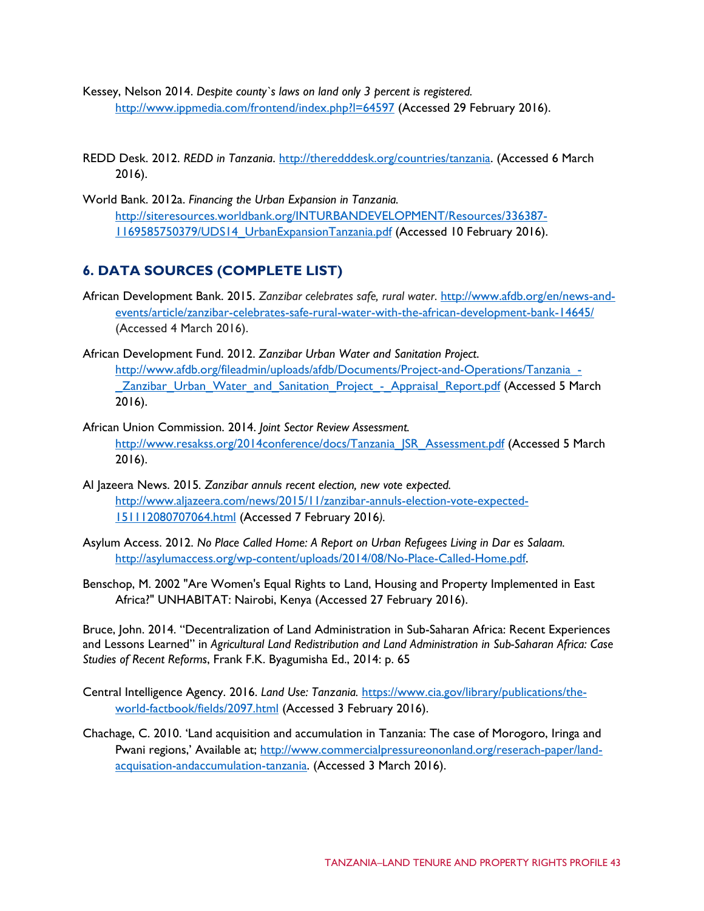Kessey, Nelson 2014. *Despite county`s laws on land only 3 percent is registered.* <http://www.ippmedia.com/frontend/index.php?l=64597> (Accessed 29 February 2016).

REDD Desk. 2012. *REDD in Tanzania*. [http://theredddesk.org/countries/tanzania.](http://theredddesk.org/countries/tanzania) (Accessed 6 March 2016).

World Bank. 2012a. *Financing the Urban Expansion in Tanzania.* [http://siteresources.worldbank.org/INTURBANDEVELOPMENT/Resources/336387-](http://siteresources.worldbank.org/INTURBANDEVELOPMENT/Resources/336387-1169585750379/UDS14_UrbanExpansionTanzania.pdf) [1169585750379/UDS14\\_UrbanExpansionTanzania.pdf](http://siteresources.worldbank.org/INTURBANDEVELOPMENT/Resources/336387-1169585750379/UDS14_UrbanExpansionTanzania.pdf) (Accessed 10 February 2016).

## **6. DATA SOURCES (COMPLETE LIST)**

- African Development Bank. 2015. *Zanzibar celebrates safe, rural water*. [http://www.afdb.org/en/news-and](http://www.afdb.org/en/news-and-events/article/zanzibar-celebrates-safe-rural-water-with-the-african-development-bank-14645/)[events/article/zanzibar-celebrates-safe-rural-water-with-the-african-development-bank-14645/](http://www.afdb.org/en/news-and-events/article/zanzibar-celebrates-safe-rural-water-with-the-african-development-bank-14645/) (Accessed 4 March 2016).
- African Development Fund. 2012. *Zanzibar Urban Water and Sanitation Project*. [http://www.afdb.org/fileadmin/uploads/afdb/Documents/Project-and-Operations/Tanzania\\_-](http://www.afdb.org/fileadmin/uploads/afdb/Documents/Project-and-Operations/Tanzania_-_Zanzibar_Urban_Water_and_Sanitation_Project_-_Appraisal_Report.pdf) **Zanzibar** Urban Water and Sanitation Project - Appraisal Report.pdf (Accessed 5 March 2016).
- African Union Commission. 2014. *Joint Sector Review Assessment.* [http://www.resakss.org/2014conference/docs/Tanzania\\_JSR\\_Assessment.pdf](http://www.resakss.org/2014conference/docs/Tanzania_JSR_Assessment.pdf) (Accessed 5 March 2016).
- Al Jazeera News. 2015*. Zanzibar annuls recent election, new vote expected.*  [http://www.aljazeera.com/news/2015/11/zanzibar-annuls-election-vote-expected-](http://www.aljazeera.com/news/2015/11/zanzibar-annuls-election-vote-expected-151112080707064.html)[151112080707064.html](http://www.aljazeera.com/news/2015/11/zanzibar-annuls-election-vote-expected-151112080707064.html) (Accessed 7 February 2016*).*
- Asylum Access. 2012. *No Place Called Home: A Report on Urban Refugees Living in Dar es Salaam.*  [http://asylumaccess.org/wp-content/uploads/2014/08/No-Place-Called-Home.pdf.](http://asylumaccess.org/wp-content/uploads/2014/08/No-Place-Called-Home.pdf)
- Benschop, M. 2002 "Are Women's Equal Rights to Land, Housing and Property Implemented in East Africa?" UNHABITAT: Nairobi, Kenya (Accessed 27 February 2016).

Bruce, John. 2014. "Decentralization of Land Administration in Sub-Saharan Africa: Recent Experiences and Lessons Learned" in *Agricultural Land Redistribution and Land Administration in Sub-Saharan Africa: Case Studies of Recent Reforms*, Frank F.K. Byagumisha Ed., 2014: p. 65

- Central Intelligence Agency. 2016. *Land Use: Tanzania.* [https://www.cia.gov/library/publications/the](https://www.cia.gov/library/publications/the-world-factbook/fields/2097.html)[world-factbook/fields/2097.html](https://www.cia.gov/library/publications/the-world-factbook/fields/2097.html) (Accessed 3 February 2016).
- Chachage, C. 2010. 'Land acquisition and accumulation in Tanzania: The case of Morogoro, Iringa and Pwani regions,' Available at; [http://www.commercialpressureononland.org/reserach-paper/land](http://www.commercialpressureononland.org/reserach-paper/land-acquisation-andaccumulation-tanzania)[acquisation-andaccumulation-tanzania.](http://www.commercialpressureononland.org/reserach-paper/land-acquisation-andaccumulation-tanzania) (Accessed 3 March 2016).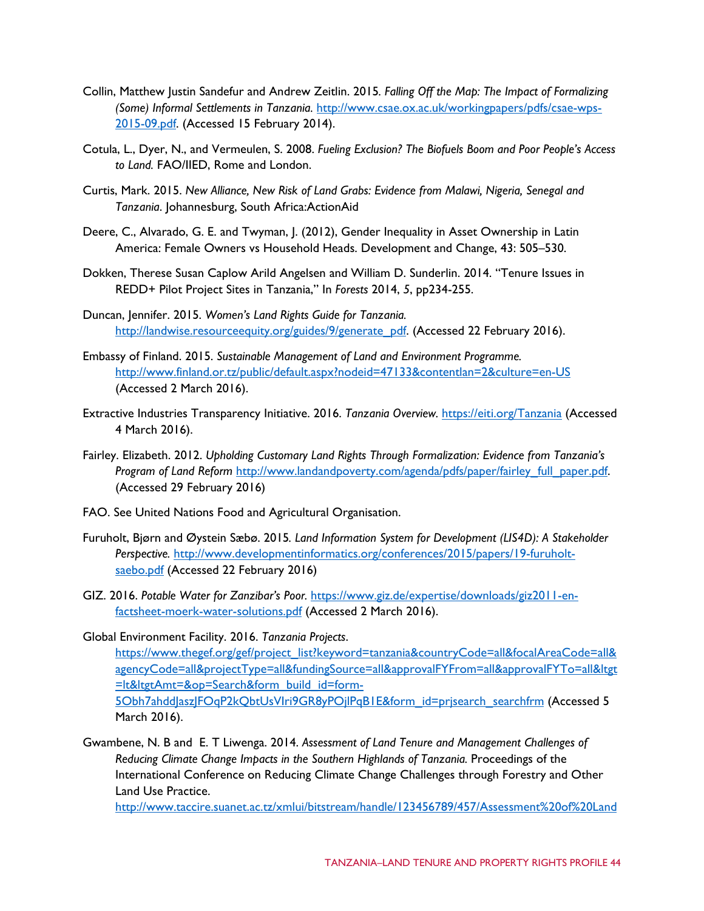- Collin, Matthew Justin Sandefur and Andrew Zeitlin. 2015*. Falling Off the Map: The Impact of Formalizing (Some) Informal Settlements in Tanzania.* [http://www.csae.ox.ac.uk/workingpapers/pdfs/csae-wps-](http://www.csae.ox.ac.uk/workingpapers/pdfs/csae-wps-2015-09.pdf)[2015-09.pdf.](http://www.csae.ox.ac.uk/workingpapers/pdfs/csae-wps-2015-09.pdf) (Accessed 15 February 2014).
- Cotula, L., Dyer, N., and Vermeulen, S. 2008. *Fueling Exclusion? The Biofuels Boom and Poor People's Access to Land.* FAO/IIED, Rome and London.
- Curtis, Mark. 2015. *New Alliance, New Risk of Land Grabs: Evidence from Malawi, Nigeria, Senegal and Tanzania*. Johannesburg, South Africa:ActionAid
- Deere, C., Alvarado, G. E. and Twyman, J. (2012), Gender Inequality in Asset Ownership in Latin America: Female Owners vs Household Heads. Development and Change, 43: 505–530.
- Dokken, Therese Susan Caplow Arild Angelsen and William D. Sunderlin. 2014. "Tenure Issues in REDD+ Pilot Project Sites in Tanzania," In *Forests* 2014, *5*, pp234-255.
- Duncan, Jennifer. 2015. *Women's Land Rights Guide for Tanzania.*  [http://landwise.resourceequity.org/guides/9/generate\\_pdf.](http://landwise.resourceequity.org/guides/9/generate_pdf) (Accessed 22 February 2016).
- Embassy of Finland. 2015. *Sustainable Management of Land and Environment Programme.* <http://www.finland.or.tz/public/default.aspx?nodeid=47133&contentlan=2&culture=en-US> (Accessed 2 March 2016).
- Extractive Industries Transparency Initiative. 2016. *Tanzania Overview.* <https://eiti.org/Tanzania> (Accessed 4 March 2016).
- Fairley. Elizabeth. 2012. *Upholding Customary Land Rights Through Formalization: Evidence from Tanzania's Program of Land Reform* [http://www.landandpoverty.com/agenda/pdfs/paper/fairley\\_full\\_paper.pdf.](http://www.landandpoverty.com/agenda/pdfs/paper/fairley_full_paper.pdf) (Accessed 29 February 2016)
- FAO. See United Nations Food and Agricultural Organisation.
- Furuholt, Bjørn and Øystein Sæbø. 2015*. Land Information System for Development (LIS4D): A Stakeholder Perspective.* [http://www.developmentinformatics.org/conferences/2015/papers/19-furuholt](http://www.developmentinformatics.org/conferences/2015/papers/19-furuholt-saebo.pdf)[saebo.pdf](http://www.developmentinformatics.org/conferences/2015/papers/19-furuholt-saebo.pdf) (Accessed 22 February 2016)
- GIZ. 2016. *Potable Water for Zanzibar's Poor.* [https://www.giz.de/expertise/downloads/giz2011-en](https://www.giz.de/expertise/downloads/giz2011-en-factsheet-moerk-water-solutions.pdf)[factsheet-moerk-water-solutions.pdf](https://www.giz.de/expertise/downloads/giz2011-en-factsheet-moerk-water-solutions.pdf) (Accessed 2 March 2016).

Global Environment Facility. 2016. *Tanzania Projects*. [https://www.thegef.org/gef/project\\_list?keyword=tanzania&countryCode=all&focalAreaCode=all&](https://www.thegef.org/gef/project_list?keyword=tanzania&countryCode=all&focalAreaCode=all&agencyCode=all&projectType=all&fundingSource=all&approvalFYFrom=all&approvalFYTo=all<gt=lt<gtAmt=&op=Search&form_build_id=form-5Obh7ahddJaszJFOqP2kQbtUsVIri9GR8yPOjlPqB1E&form_id=prjsearch_searchfrm) [agencyCode=all&projectType=all&fundingSource=all&approvalFYFrom=all&approvalFYTo=all&ltgt](https://www.thegef.org/gef/project_list?keyword=tanzania&countryCode=all&focalAreaCode=all&agencyCode=all&projectType=all&fundingSource=all&approvalFYFrom=all&approvalFYTo=all<gt=lt<gtAmt=&op=Search&form_build_id=form-5Obh7ahddJaszJFOqP2kQbtUsVIri9GR8yPOjlPqB1E&form_id=prjsearch_searchfrm) [=lt&ltgtAmt=&op=Search&form\\_build\\_id=form-](https://www.thegef.org/gef/project_list?keyword=tanzania&countryCode=all&focalAreaCode=all&agencyCode=all&projectType=all&fundingSource=all&approvalFYFrom=all&approvalFYTo=all<gt=lt<gtAmt=&op=Search&form_build_id=form-5Obh7ahddJaszJFOqP2kQbtUsVIri9GR8yPOjlPqB1E&form_id=prjsearch_searchfrm)[5Obh7ahddJaszJFOqP2kQbtUsVIri9GR8yPOjlPqB1E&form\\_id=prjsearch\\_searchfrm](https://www.thegef.org/gef/project_list?keyword=tanzania&countryCode=all&focalAreaCode=all&agencyCode=all&projectType=all&fundingSource=all&approvalFYFrom=all&approvalFYTo=all<gt=lt<gtAmt=&op=Search&form_build_id=form-5Obh7ahddJaszJFOqP2kQbtUsVIri9GR8yPOjlPqB1E&form_id=prjsearch_searchfrm) (Accessed 5 March 2016).

Gwambene, N. B and E. T Liwenga. 2014. *Assessment of Land Tenure and Management Challenges of Reducing Climate Change Impacts in the Southern Highlands of Tanzania.* Proceedings of the International Conference on Reducing Climate Change Challenges through Forestry and Other Land Use Practice.

[http://www.taccire.suanet.ac.tz/xmlui/bitstream/handle/123456789/457/Assessment%20of%20Land](http://www.taccire.suanet.ac.tz/xmlui/bitstream/handle/123456789/457/Assessment%20of%20Land%20Tenure%20and%20Management%20Challenges%20of%20Reducing%20Climate%20ChangeImpacts%20in%20the%20Southern%20Highlands%20of%20Tanzania.pdf?sequence=1)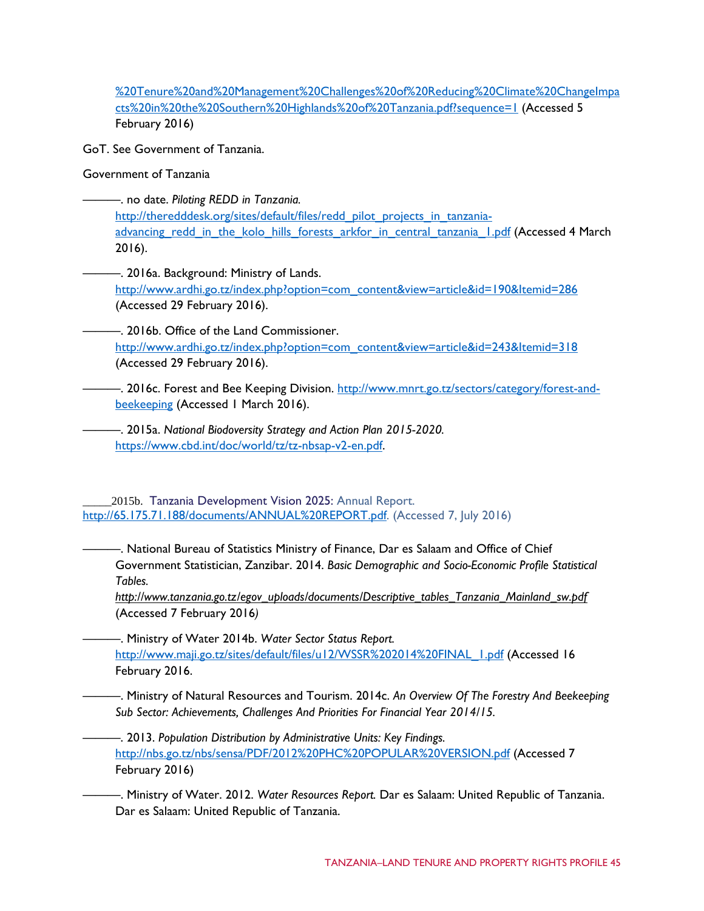[%20Tenure%20and%20Management%20Challenges%20of%20Reducing%20Climate%20ChangeImpa](http://www.taccire.suanet.ac.tz/xmlui/bitstream/handle/123456789/457/Assessment%20of%20Land%20Tenure%20and%20Management%20Challenges%20of%20Reducing%20Climate%20ChangeImpacts%20in%20the%20Southern%20Highlands%20of%20Tanzania.pdf?sequence=1) [cts%20in%20the%20Southern%20Highlands%20of%20Tanzania.pdf?sequence=1](http://www.taccire.suanet.ac.tz/xmlui/bitstream/handle/123456789/457/Assessment%20of%20Land%20Tenure%20and%20Management%20Challenges%20of%20Reducing%20Climate%20ChangeImpacts%20in%20the%20Southern%20Highlands%20of%20Tanzania.pdf?sequence=1) (Accessed 5 February 2016)

GoT. See Government of Tanzania.

Government of Tanzania

———. no date. *Piloting REDD in Tanzania.*  [http://theredddesk.org/sites/default/files/redd\\_pilot\\_projects\\_in\\_tanzania](http://theredddesk.org/sites/default/files/redd_pilot_projects_in_tanzania-advancing_redd_in_the_kolo_hills_forests_arkfor_in_central_tanzania_1.pdf)[advancing\\_redd\\_in\\_the\\_kolo\\_hills\\_forests\\_arkfor\\_in\\_central\\_tanzania\\_1.pdf](http://theredddesk.org/sites/default/files/redd_pilot_projects_in_tanzania-advancing_redd_in_the_kolo_hills_forests_arkfor_in_central_tanzania_1.pdf) (Accessed 4 March 2016).

———. 2016a. Background: Ministry of Lands. [http://www.ardhi.go.tz/index.php?option=com\\_content&view=article&id=190&Itemid=286](http://www.ardhi.go.tz/index.php?option=com_content&view=article&id=190&Itemid=286) (Accessed 29 February 2016).

———. 2016b. Office of the Land Commissioner. [http://www.ardhi.go.tz/index.php?option=com\\_content&view=article&id=243&Itemid=318](http://www.ardhi.go.tz/index.php?option=com_content&view=article&id=243&Itemid=318) (Accessed 29 February 2016).

—. 2016c. Forest and Bee Keeping Division. [http://www.mnrt.go.tz/sectors/category/forest-and](http://www.mnrt.go.tz/sectors/category/forest-and-beekeeping)[beekeeping](http://www.mnrt.go.tz/sectors/category/forest-and-beekeeping) (Accessed 1 March 2016).

———. 2015a. *National Biodoversity Strategy and Action Plan 2015-2020.* [https://www.cbd.int/doc/world/tz/tz-nbsap-v2-en.pdf.](https://www.cbd.int/doc/world/tz/tz-nbsap-v2-en.pdf)

2015b. Tanzania Development Vision 2025: Annual Report. [http://65.175.71.188/documents/ANNUAL%20REPORT.pdf.](http://65.175.71.188/documents/ANNUAL%20REPORT.pdf) (Accessed 7, July 2016)

———. National Bureau of Statistics Ministry of Finance, Dar es Salaam and Office of Chief Government Statistician, Zanzibar. 2014. *Basic Demographic and Socio-Economic Profile Statistical Tables.* 

*[http://www.tanzania.go.tz/egov\\_uploads/documents/Descriptive\\_tables\\_Tanzania\\_Mainland\\_sw.pdf](http://www.tanzania.go.tz/egov_uploads/documents/Descriptive_tables_Tanzania_Mainland_sw.pdf)* (Accessed 7 February 2016*)*

———. Ministry of Water 2014b. *Water Sector Status Report.*  [http://www.maji.go.tz/sites/default/files/u12/WSSR%202014%20FINAL\\_1.pdf](http://www.maji.go.tz/sites/default/files/u12/WSSR%202014%20FINAL_1.pdf) (Accessed 16 February 2016.

———. Ministry of Natural Resources and Tourism. 2014c. *An Overview Of The Forestry And Beekeeping Sub Sector: Achievements, Challenges And Priorities For Financial Year 2014/15.*

———. 2013. *Population Distribution by Administrative Units: Key Findings.* <http://nbs.go.tz/nbs/sensa/PDF/2012%20PHC%20POPULAR%20VERSION.pdf> (Accessed 7 February 2016)

———. Ministry of Water. 2012. *Water Resources Report.* Dar es Salaam: United Republic of Tanzania. Dar es Salaam: United Republic of Tanzania.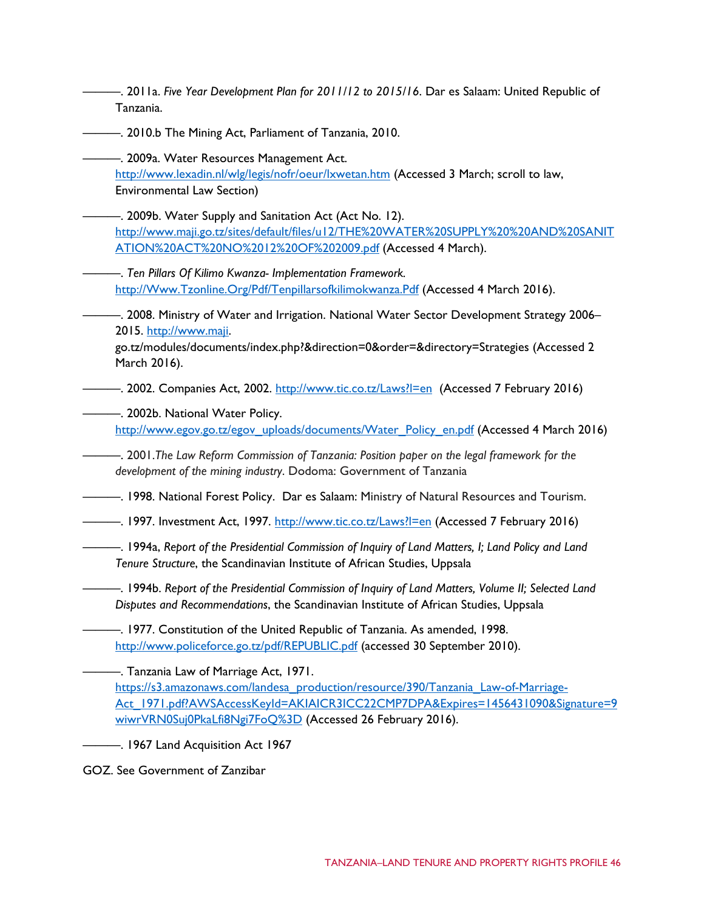- ———. 2011a. *Five Year Development Plan for 2011/12 to 2015/16*. Dar es Salaam: United Republic of Tanzania.
- $-$ . 2010.b The Mining Act, Parliament of Tanzania, 2010.
	- -. 2009a. Water Resources Management Act. <http://www.lexadin.nl/wlg/legis/nofr/oeur/lxwetan.htm> (Accessed 3 March; scroll to law, Environmental Law Section)
- $-$ . 2009b. Water Supply and Sanitation Act (Act No. 12). [http://www.maji.go.tz/sites/default/files/u12/THE%20WATER%20SUPPLY%20%20AND%20SANIT](http://www.maji.go.tz/sites/default/files/u12/THE%20WATER%20SUPPLY%20%20AND%20SANITATION%20ACT%20NO%2012%20OF%202009.pdf) [ATION%20ACT%20NO%2012%20OF%202009.pdf](http://www.maji.go.tz/sites/default/files/u12/THE%20WATER%20SUPPLY%20%20AND%20SANITATION%20ACT%20NO%2012%20OF%202009.pdf) (Accessed 4 March).
	- ———. *Ten Pillars Of Kilimo Kwanza- Implementation Framework.* [http://Www.Tzonline.Org/Pdf/Tenpillarsofkilimokwanza.Pdf](http://www.tzonline.org/Pdf/Tenpillarsofkilimokwanza.Pdf) (Accessed 4 March 2016).
- ———. 2008. Ministry of Water and Irrigation. National Water Sector Development Strategy 2006– 2015. [http://www.maji.](http://www.maji/)

go.tz/modules/documents/index.php?&direction=0&order=&directory=Strategies (Accessed 2 March 2016).

—. 2002. Companies Act, 2002.<http://www.tic.co.tz/Laws?l=en> (Accessed 7 February 2016)

———. 2002b. National Water Policy.

[http://www.egov.go.tz/egov\\_uploads/documents/Water\\_Policy\\_en.pdf](http://www.egov.go.tz/egov_uploads/documents/Water_Policy_en.pdf) (Accessed 4 March 2016)

- ———. 2001.*The Law Reform Commission of Tanzania: Position paper on the legal framework for the development of the mining industry*. Dodoma: Government of Tanzania
- ———. 1998. National Forest Policy. Dar es Salaam: Ministry of Natural Resources and Tourism.
- ——. 1997. Investment Act, 1997. http://www.tic.co.tz/Laws?I=en (Accessed 7 February 2016)
- ———. 1994a, *Report of the Presidential Commission of Inquiry of Land Matters, I; Land Policy and Land Tenure Structure*, the Scandinavian Institute of African Studies, Uppsala
- ———. 1994b. *Report of the Presidential Commission of Inquiry of Land Matters, Volume II; Selected Land Disputes and Recommendations*, the Scandinavian Institute of African Studies, Uppsala
- ———. 1977. Constitution of the United Republic of Tanzania. As amended, 1998. <http://www.policeforce.go.tz/pdf/REPUBLIC.pdf> (accessed 30 September 2010).

———. Tanzania Law of Marriage Act, 1971. [https://s3.amazonaws.com/landesa\\_production/resource/390/Tanzania\\_Law-of-Marriage-](https://s3.amazonaws.com/landesa_production/resource/390/Tanzania_Law-of-Marriage-Act_1971.pdf?AWSAccessKeyId=AKIAICR3ICC22CMP7DPA&Expires=1456431090&Signature=9wiwrVRN0Suj0PkaLfi8Ngi7FoQ%3D)[Act\\_1971.pdf?AWSAccessKeyId=AKIAICR3ICC22CMP7DPA&Expires=1456431090&Signature=9](https://s3.amazonaws.com/landesa_production/resource/390/Tanzania_Law-of-Marriage-Act_1971.pdf?AWSAccessKeyId=AKIAICR3ICC22CMP7DPA&Expires=1456431090&Signature=9wiwrVRN0Suj0PkaLfi8Ngi7FoQ%3D) [wiwrVRN0Suj0PkaLfi8Ngi7FoQ%3D](https://s3.amazonaws.com/landesa_production/resource/390/Tanzania_Law-of-Marriage-Act_1971.pdf?AWSAccessKeyId=AKIAICR3ICC22CMP7DPA&Expires=1456431090&Signature=9wiwrVRN0Suj0PkaLfi8Ngi7FoQ%3D) (Accessed 26 February 2016).

- ———. 1967 Land Acquisition Act 1967
- GOZ. See Government of Zanzibar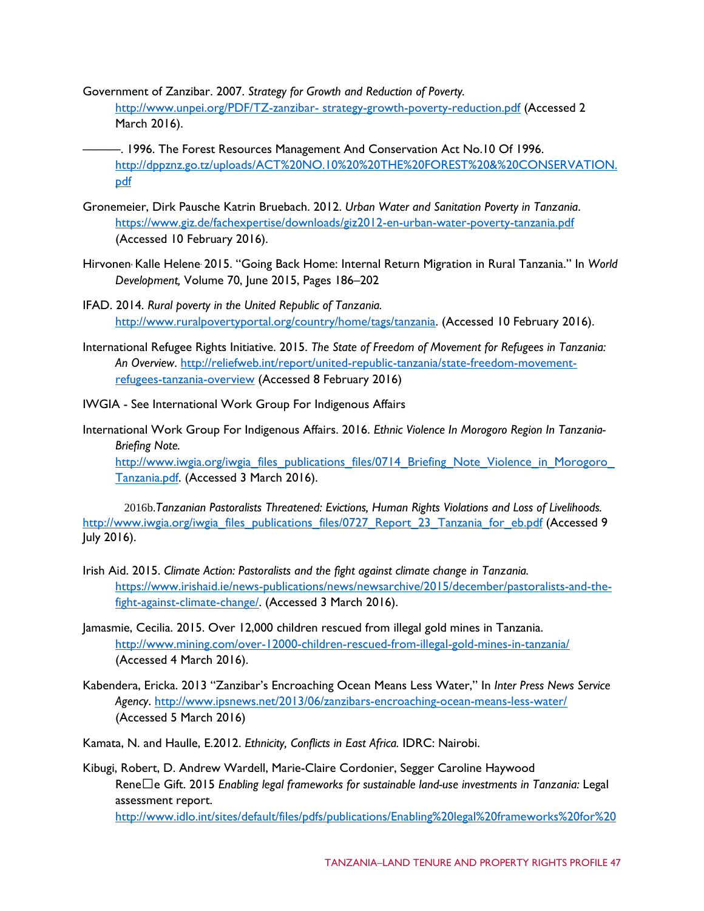- Government of Zanzibar. 2007. *Strategy for Growth and Reduction of Poverty.* [http://www.unpei.org/PDF/TZ-zanzibar-](http://www.unpei.org/PDF/TZ-zanzibar-%20strategy-growth-poverty-reduction.pdf) strategy-growth-poverty-reduction.pdf (Accessed 2 March 2016).
- ———. 1996. The Forest Resources Management And Conservation Act No.10 Of 1996. [http://dppznz.go.tz/uploads/ACT%20NO.10%20%20THE%20FOREST%20&%20CONSERVATION.](http://dppznz.go.tz/uploads/ACT%20NO.10%20%20THE%20FOREST%20&%20CONSERVATION.pdf) [pdf](http://dppznz.go.tz/uploads/ACT%20NO.10%20%20THE%20FOREST%20&%20CONSERVATION.pdf)
- Gronemeier, Dirk Pausche Katrin Bruebach. 2012. *Urban Water and Sanitation Poverty in Tanzania*. <https://www.giz.de/fachexpertise/downloads/giz2012-en-urban-water-poverty-tanzania.pdf> (Accessed 10 February 2016).
- Hirvonen, Kalle Helene. 2015. "Going Back Home: Internal Return Migration in Rural Tanzania." In *[World](http://www.sciencedirect.com/science/journal/0305750X)  [Development,](http://www.sciencedirect.com/science/journal/0305750X)* [Volume 70,](http://www.sciencedirect.com/science/journal/0305750X/70/supp/C) June 2015, Pages 186–202
- IFAD. 2014. *Rural poverty in the United Republic of Tanzania.*  [http://www.ruralpovertyportal.org/country/home/tags/tanzania.](http://www.ruralpovertyportal.org/country/home/tags/tanzania) (Accessed 10 February 2016).
- International Refugee Rights Initiative. 2015. *The State of Freedom of Movement for Refugees in Tanzania: An Overview*. [http://reliefweb.int/report/united-republic-tanzania/state-freedom-movement](http://reliefweb.int/report/united-republic-tanzania/state-freedom-movement-refugees-tanzania-overview)[refugees-tanzania-overview](http://reliefweb.int/report/united-republic-tanzania/state-freedom-movement-refugees-tanzania-overview) (Accessed 8 February 2016)
- IWGIA See International Work Group For Indigenous Affairs
- International Work Group For Indigenous Affairs. 2016. *Ethnic Violence In Morogoro Region In Tanzania-Briefing Note.* http://www.iwgia.org/iwgia\_files\_publications\_files/0714\_Briefing\_Note\_Violence\_in\_Morogoro [Tanzania.pdf.](http://www.iwgia.org/iwgia_files_publications_files/0714_Briefing_Note_Violence_in_Morogoro_Tanzania.pdf) (Accessed 3 March 2016).

2016b.*Tanzanian Pastoralists Threatened: Evictions, Human Rights Violations and Loss of Livelihoods.*  [http://www.iwgia.org/iwgia\\_files\\_publications\\_files/0727\\_Report\\_23\\_Tanzania\\_for\\_eb.pdf](http://www.iwgia.org/iwgia_files_publications_files/0727_Report_23_Tanzania_for_eb.pdf) (Accessed 9 July 2016).

- Irish Aid. 2015. *Climate Action: Pastoralists and the fight against climate change in Tanzania.* [https://www.irishaid.ie/news-publications/news/newsarchive/2015/december/pastoralists-and-the](https://www.irishaid.ie/news-publications/news/newsarchive/2015/december/pastoralists-and-the-fight-against-climate-change/)[fight-against-climate-change/.](https://www.irishaid.ie/news-publications/news/newsarchive/2015/december/pastoralists-and-the-fight-against-climate-change/) (Accessed 3 March 2016).
- Jamasmie, Cecilia. 2015. Over 12,000 children rescued from illegal gold mines in Tanzania. <http://www.mining.com/over-12000-children-rescued-from-illegal-gold-mines-in-tanzania/> (Accessed 4 March 2016).
- Kabendera, Ericka. 2013 "Zanzibar's Encroaching Ocean Means Less Water," In *Inter Press News Service Agency*.<http://www.ipsnews.net/2013/06/zanzibars-encroaching-ocean-means-less-water/> (Accessed 5 March 2016)
- Kamata, N. and Haulle, E.2012. *Ethnicity, Conflicts in East Africa.* IDRC: Nairobi.

Kibugi, Robert, D. Andrew Wardell, Marie-Claire Cordonier, Segger Caroline Haywood Rene�e Gift. 2015 *Enabling legal frameworks for sustainable land-use investments in Tanzania:* Legal assessment report. [http://www.idlo.int/sites/default/files/pdfs/publications/Enabling%20legal%20frameworks%20for%20](http://www.idlo.int/sites/default/files/pdfs/publications/Enabling%20legal%20frameworks%20for%20sustainable%20land-use%20investments%20in%20Tanzania-%20Legal%20assessment%20report.pdf)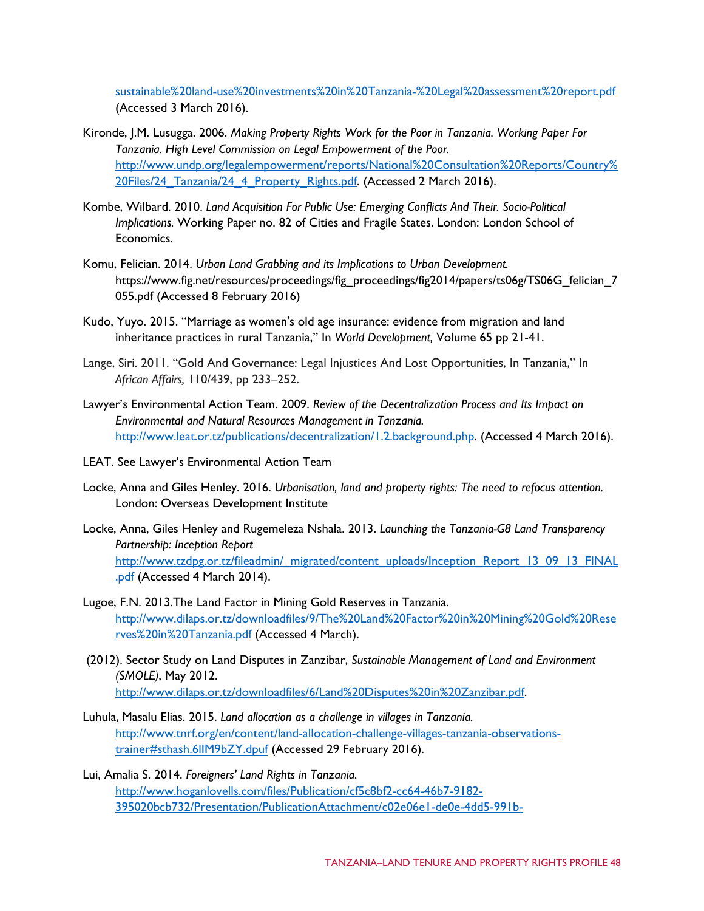[sustainable%20land-use%20investments%20in%20Tanzania-%20Legal%20assessment%20report.pdf](http://www.idlo.int/sites/default/files/pdfs/publications/Enabling%20legal%20frameworks%20for%20sustainable%20land-use%20investments%20in%20Tanzania-%20Legal%20assessment%20report.pdf) (Accessed 3 March 2016).

- Kironde, J.M. Lusugga. 2006. *Making Property Rights Work for the Poor in Tanzania. Working Paper For Tanzania. High Level Commission on Legal Empowerment of the Poor.* [http://www.undp.org/legalempowerment/reports/National%20Consultation%20Reports/Country%](http://www.undp.org/legalempowerment/reports/National%20Consultation%20Reports/Country%20Files/24_Tanzania/24_4_Property_Rights.pdf) [20Files/24\\_Tanzania/24\\_4\\_Property\\_Rights.pdf.](http://www.undp.org/legalempowerment/reports/National%20Consultation%20Reports/Country%20Files/24_Tanzania/24_4_Property_Rights.pdf) (Accessed 2 March 2016).
- Kombe, Wilbard. 2010. *Land Acquisition For Public Use: Emerging Conflicts And Their. Socio-Political Implications.* Working Paper no. 82 of Cities and Fragile States. London: London School of Economics.
- Komu, Felician. 2014. *Urban Land Grabbing and its Implications to Urban Development.* https://www.fig.net/resources/proceedings/fig\_proceedings/fig2014/papers/ts06g/TS06G\_felician\_7 055.pdf (Accessed 8 February 2016)
- Kudo, Yuyo. 2015. "Marriage as women's old age insurance: evidence from migration and land inheritance practices in rural Tanzania," In *World Development,* Volume 65 pp 21-41.
- Lange, Siri. 2011. "Gold And Governance: Legal Injustices And Lost Opportunities, In Tanzania," In *African Affairs,* 110/439, pp 233–252.
- Lawyer's Environmental Action Team. 2009. *Review of the Decentralization Process and Its Impact on Environmental and Natural Resources Management in Tanzania.* [http://www.leat.or.tz/publications/decentralization/1.2.background.php.](http://www.leat.or.tz/publications/decentralization/1.2.background.php) (Accessed 4 March 2016).
- LEAT. See Lawyer's Environmental Action Team
- Locke, Anna and Giles Henley. 2016. *Urbanisation, land and property rights: The need to refocus attention.* London: Overseas Development Institute
- Locke, Anna, Giles Henley and Rugemeleza Nshala. 2013. *Launching the Tanzania-G8 Land Transparency Partnership: Inception Report* [http://www.tzdpg.or.tz/fileadmin/\\_migrated/content\\_uploads/Inception\\_Report\\_13\\_09\\_13\\_FINAL](http://www.tzdpg.or.tz/fileadmin/_migrated/content_uploads/Inception_Report_13_09_13_FINAL.pdf) [.pdf](http://www.tzdpg.or.tz/fileadmin/_migrated/content_uploads/Inception_Report_13_09_13_FINAL.pdf) (Accessed 4 March 2014).
- Lugoe, F.N. 2013.The Land Factor in Mining Gold Reserves in Tanzania. [http://www.dilaps.or.tz/downloadfiles/9/The%20Land%20Factor%20in%20Mining%20Gold%20Rese](http://www.dilaps.or.tz/downloadfiles/9/The%20Land%20Factor%20in%20Mining%20Gold%20Reserves%20in%20Tanzania.pdf) [rves%20in%20Tanzania.pdf](http://www.dilaps.or.tz/downloadfiles/9/The%20Land%20Factor%20in%20Mining%20Gold%20Reserves%20in%20Tanzania.pdf) (Accessed 4 March).
- (2012). Sector Study on Land Disputes in Zanzibar, *Sustainable Management of Land and Environment (SMOLE)*, May 2012. [http://www.dilaps.or.tz/downloadfiles/6/Land%20Disputes%20in%20Zanzibar.pdf.](http://www.dilaps.or.tz/downloadfiles/6/Land%20Disputes%20in%20Zanzibar.pdf)
- Luhula, Masalu Elias. 2015. *Land allocation as a challenge in villages in Tanzania.* [http://www.tnrf.org/en/content/land-allocation-challenge-villages-tanzania-observations](http://www.tnrf.org/en/content/land-allocation-challenge-villages-tanzania-observations-trainer#sthash.6lIM9bZY.dpuf)[trainer#sthash.6lIM9bZY.dpuf](http://www.tnrf.org/en/content/land-allocation-challenge-villages-tanzania-observations-trainer#sthash.6lIM9bZY.dpuf) (Accessed 29 February 2016).
- Lui, Amalia S. 2014. *Foreigners' Land Rights in Tanzania.* [http://www.hoganlovells.com/files/Publication/cf5c8bf2-cc64-46b7-9182-](http://www.hoganlovells.com/files/Publication/cf5c8bf2-cc64-46b7-9182-395020bcb732/Presentation/PublicationAttachment/c02e06e1-de0e-4dd5-991b-3cbe3f8f9922/Foreigners_Land_Rights_in_Tanzania_are_they_there_May_2014.pdf) [395020bcb732/Presentation/PublicationAttachment/c02e06e1-de0e-4dd5-991b-](http://www.hoganlovells.com/files/Publication/cf5c8bf2-cc64-46b7-9182-395020bcb732/Presentation/PublicationAttachment/c02e06e1-de0e-4dd5-991b-3cbe3f8f9922/Foreigners_Land_Rights_in_Tanzania_are_they_there_May_2014.pdf)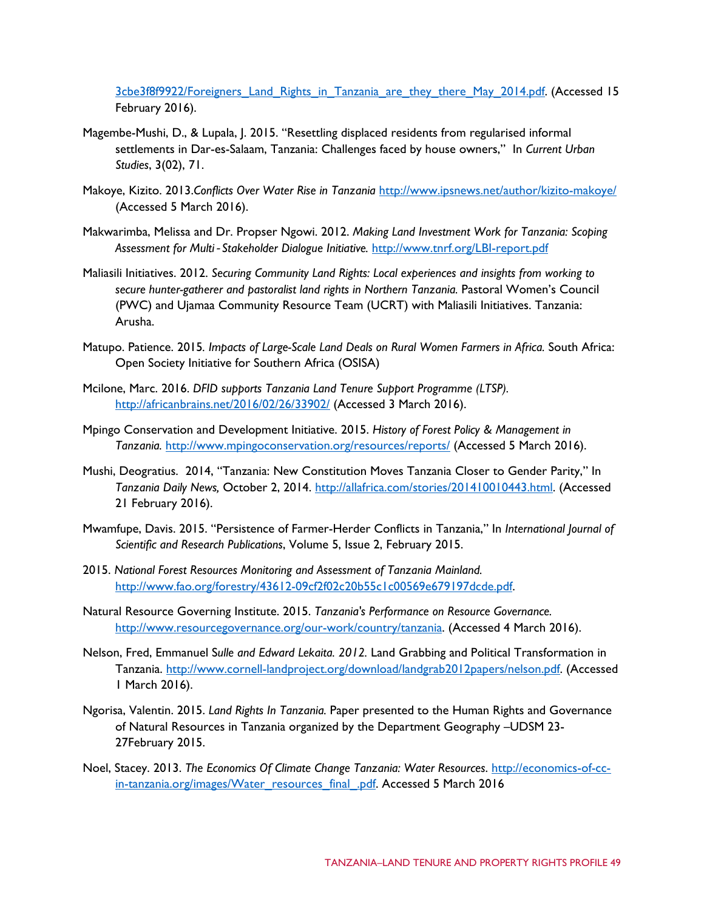[3cbe3f8f9922/Foreigners\\_Land\\_Rights\\_in\\_Tanzania\\_are\\_they\\_there\\_May\\_2014.pdf.](http://www.hoganlovells.com/files/Publication/cf5c8bf2-cc64-46b7-9182-395020bcb732/Presentation/PublicationAttachment/c02e06e1-de0e-4dd5-991b-3cbe3f8f9922/Foreigners_Land_Rights_in_Tanzania_are_they_there_May_2014.pdf) (Accessed 15 February 2016).

- Magembe-Mushi, D., & Lupala, J. 2015. "Resettling displaced residents from regularised informal settlements in Dar-es-Salaam, Tanzania: Challenges faced by house owners," In *Current Urban Studies*, 3(02), 71.
- Makoye, Kizit[o. 2013.](http://www.ipsnews.net/author/kizito-makoye/)*Conflicts Over Water Rise in Tanzania* <http://www.ipsnews.net/author/kizito-makoye/> (Accessed 5 March 2016).
- Makwarimba, Melissa and Dr. Propser Ngowi. 2012. *Making Land Investment Work for Tanzania: Scoping Assessment for Multi*‐*Stakeholder Dialogue Initiative.* <http://www.tnrf.org/LBI-report.pdf>
- Maliasili Initiatives. 2012. *Securing Community Land Rights: Local experiences and insights from working to secure hunter-gatherer and pastoralist land rights in Northern Tanzania.* Pastoral Women's Council (PWC) and Ujamaa Community Resource Team (UCRT) with Maliasili Initiatives. Tanzania: Arusha.
- Matupo. Patience. 2015*. Impacts of Large-Scale Land Deals on Rural Women Farmers in Africa.* South Africa: Open Society Initiative for Southern Africa (OSISA)
- Mcilone, Marc. 2016. *DFID supports Tanzania Land Tenure Support Programme (LTSP).* <http://africanbrains.net/2016/02/26/33902/> (Accessed 3 March 2016).
- Mpingo Conservation and Development Initiative. 2015. *History of Forest Policy & Management in Tanzania.* <http://www.mpingoconservation.org/resources/reports/> (Accessed 5 March 2016).
- Mushi, Deogratius. 2014, "Tanzania: New Constitution Moves Tanzania Closer to Gender Parity," In *Tanzania Daily News,* October 2, 2014. [http://allafrica.com/stories/201410010443.html.](http://allafrica.com/stories/201410010443.html) (Accessed 21 February 2016).
- Mwamfupe, Davis. 2015. "Persistence of Farmer-Herder Conflicts in Tanzania," In *International Journal of Scientific and Research Publications*, Volume 5, Issue 2, February 2015.
- 2015. *National Forest Resources Monitoring and Assessment of Tanzania Mainland.* [http://www.fao.org/forestry/43612-09cf2f02c20b55c1c00569e679197dcde.pdf.](http://www.fao.org/forestry/43612-09cf2f02c20b55c1c00569e679197dcde.pdf)
- Natural Resource Governing Institute. 2015. *Tanzania's Performance on Resource Governance.*  [http://www.resourcegovernance.org/our-work/country/tanzania.](http://www.resourcegovernance.org/our-work/country/tanzania) (Accessed 4 March 2016).
- Nelson, Fred, Emmanuel S*ulle and Edward Lekaita. 2012.* Land Grabbing and Political Transformation in Tanzania. [http://www.cornell-landproject.org/download/landgrab2012papers/nelson.pdf.](http://www.cornell-landproject.org/download/landgrab2012papers/nelson.pdf) (Accessed 1 March 2016).
- Ngorisa, Valentin. 2015. *Land Rights In Tanzania.* Paper presented to the Human Rights and Governance of Natural Resources in Tanzania organized by the Department Geography –UDSM 23- 27February 2015.
- Noel, Stacey. 2013. *The Economics Of Climate Change Tanzania: Water Resources*. [http://economics-of-cc](http://economics-of-cc-in-tanzania.org/images/Water_resources_final_.pdf)[in-tanzania.org/images/Water\\_resources\\_final\\_.pdf.](http://economics-of-cc-in-tanzania.org/images/Water_resources_final_.pdf) Accessed 5 March 2016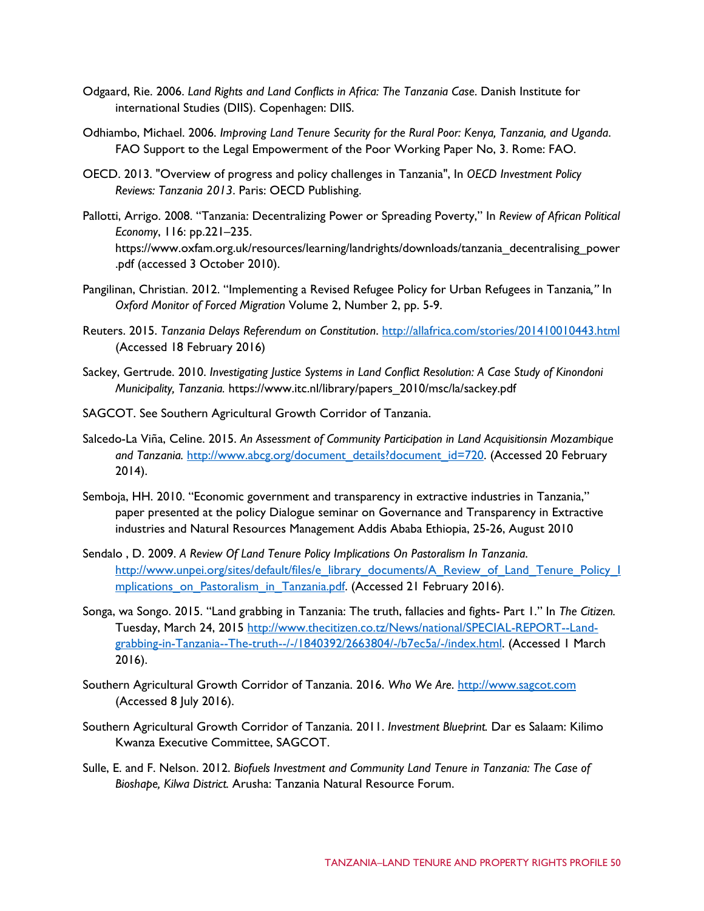- Odgaard, Rie. 2006. *Land Rights and Land Conflicts in Africa: The Tanzania Case*. Danish Institute for international Studies (DIIS). Copenhagen: DIIS.
- Odhiambo, Michael. 2006. *Improving Land Tenure Security for the Rural Poor: Kenya, Tanzania, and Uganda*. FAO Support to the Legal Empowerment of the Poor Working Paper No, 3. Rome: FAO.
- OECD. 2013. "Overview of progress and policy challenges in Tanzania", In *OECD Investment Policy Reviews: Tanzania 2013*. Paris: OECD Publishing.
- Pallotti, Arrigo. 2008. "Tanzania: Decentralizing Power or Spreading Poverty," In *Review of African Political Economy*, 116: pp.221–235. https://www.oxfam.org.uk/resources/learning/landrights/downloads/tanzania\_decentralising\_power .pdf (accessed 3 October 2010).
- Pangilinan, Christian. 2012. "Implementing a Revised Refugee Policy for Urban Refugees in Tanzania*,"* In *Oxford Monitor of Forced Migration* Volume 2, Number 2, pp. 5-9.
- Reuters. 2015. *Tanzania Delays Referendum on Constitution*.<http://allafrica.com/stories/201410010443.html> (Accessed 18 February 2016)
- Sackey, Gertrude. 2010. *Investigating Justice Systems in Land Conflict Resolution: A Case Study of Kinondoni Municipality, Tanzania.* https://www.itc.nl/library/papers\_2010/msc/la/sackey.pdf
- SAGCOT. See Southern Agricultural Growth Corridor of Tanzania.
- Salcedo-La Viña, Celine. 2015. *An Assessment of Community Participation in Land Acquisitionsin Mozambique*  and Tanzania. [http://www.abcg.org/document\\_details?document\\_id=720.](http://www.abcg.org/document_details?document_id=720) (Accessed 20 February 2014).
- Semboja, HH. 2010. "Economic government and transparency in extractive industries in Tanzania," paper presented at the policy Dialogue seminar on Governance and Transparency in Extractive industries and Natural Resources Management Addis Ababa Ethiopia, 25-26, August 2010
- Sendalo , D. 2009. *A Review Of Land Tenure Policy Implications On Pastoralism In Tanzania*. [http://www.unpei.org/sites/default/files/e\\_library\\_documents/A\\_Review\\_of\\_Land\\_Tenure\\_Policy\\_I](http://www.unpei.org/sites/default/files/e_library_documents/A_Review_of_Land_Tenure_Policy_Implications_on_Pastoralism_in_Tanzania.pdf) [mplications\\_on\\_Pastoralism\\_in\\_Tanzania.pdf.](http://www.unpei.org/sites/default/files/e_library_documents/A_Review_of_Land_Tenure_Policy_Implications_on_Pastoralism_in_Tanzania.pdf) (Accessed 21 February 2016).
- Songa, wa Songo. 2015. "Land grabbing in Tanzania: The truth, fallacies and fights- Part 1." In *The Citizen.*  Tuesday, March 24, 2015 [http://www.thecitizen.co.tz/News/national/SPECIAL-REPORT--Land](http://www.thecitizen.co.tz/News/national/SPECIAL-REPORT--Land-grabbing-in-Tanzania--The-truth--/-/1840392/2663804/-/b7ec5a/-/index.html)[grabbing-in-Tanzania--The-truth--/-/1840392/2663804/-/b7ec5a/-/index.html.](http://www.thecitizen.co.tz/News/national/SPECIAL-REPORT--Land-grabbing-in-Tanzania--The-truth--/-/1840392/2663804/-/b7ec5a/-/index.html) (Accessed 1 March 2016).
- Southern Agricultural Growth Corridor of Tanzania. 2016. *Who We Are*. [http://www.sagcot.com](http://www.sagcot.com/) (Accessed 8 July 2016).
- Southern Agricultural Growth Corridor of Tanzania. 2011. *Investment Blueprint.* Dar es Salaam: Kilimo Kwanza Executive Committee, SAGCOT.
- Sulle, E. and F. Nelson. 2012. *Biofuels Investment and Community Land Tenure in Tanzania: The Case of Bioshape, Kilwa District.* Arusha: Tanzania Natural Resource Forum.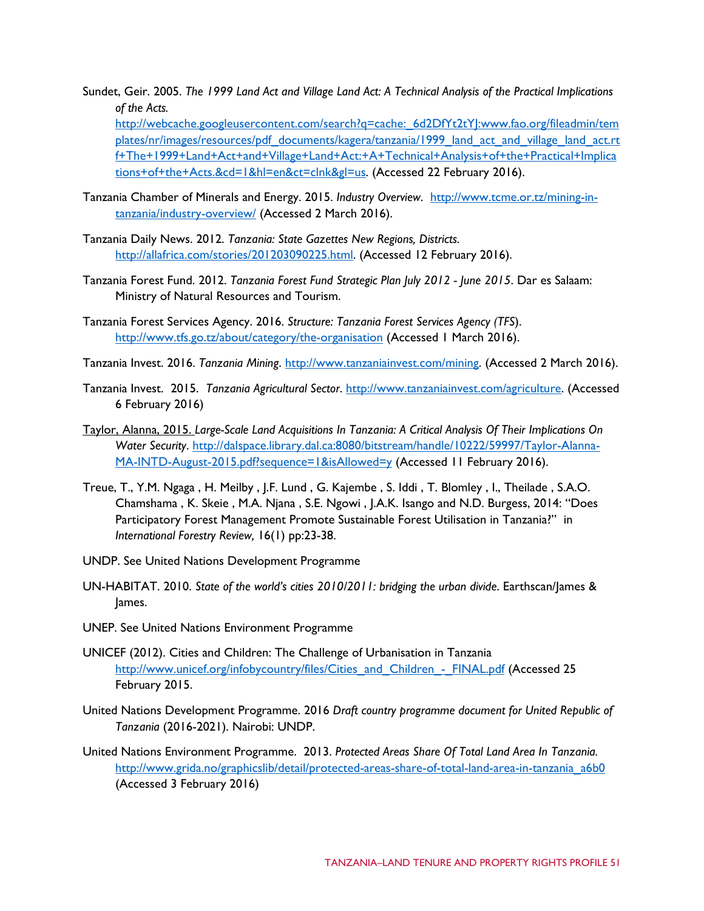Sundet, Geir. 2005. *The 1999 Land Act and Village Land Act: A Technical Analysis of the Practical Implications of the Acts.*

[http://webcache.googleusercontent.com/search?q=cache:\\_6d2DfYt2tYJ:www.fao.org/fileadmin/tem](http://webcache.googleusercontent.com/search?q=cache:_6d2DfYt2tYJ:www.fao.org/fileadmin/templates/nr/images/resources/pdf_documents/kagera/tanzania/1999_land_act_and_village_land_act.rtf+The+1999+Land+Act+and+Village+Land+Act:+A+Technical+Analysis+of+the+Practical+Implications+of+the+Acts.&cd=1&hl=en&ct=clnk&gl=us) [plates/nr/images/resources/pdf\\_documents/kagera/tanzania/1999\\_land\\_act\\_and\\_village\\_land\\_act.rt](http://webcache.googleusercontent.com/search?q=cache:_6d2DfYt2tYJ:www.fao.org/fileadmin/templates/nr/images/resources/pdf_documents/kagera/tanzania/1999_land_act_and_village_land_act.rtf+The+1999+Land+Act+and+Village+Land+Act:+A+Technical+Analysis+of+the+Practical+Implications+of+the+Acts.&cd=1&hl=en&ct=clnk&gl=us) [f+The+1999+Land+Act+and+Village+Land+Act:+A+Technical+Analysis+of+the+Practical+Implica](http://webcache.googleusercontent.com/search?q=cache:_6d2DfYt2tYJ:www.fao.org/fileadmin/templates/nr/images/resources/pdf_documents/kagera/tanzania/1999_land_act_and_village_land_act.rtf+The+1999+Land+Act+and+Village+Land+Act:+A+Technical+Analysis+of+the+Practical+Implications+of+the+Acts.&cd=1&hl=en&ct=clnk&gl=us) [tions+of+the+Acts.&cd=1&hl=en&ct=clnk&gl=us.](http://webcache.googleusercontent.com/search?q=cache:_6d2DfYt2tYJ:www.fao.org/fileadmin/templates/nr/images/resources/pdf_documents/kagera/tanzania/1999_land_act_and_village_land_act.rtf+The+1999+Land+Act+and+Village+Land+Act:+A+Technical+Analysis+of+the+Practical+Implications+of+the+Acts.&cd=1&hl=en&ct=clnk&gl=us) (Accessed 22 February 2016).

- Tanzania Chamber of Minerals and Energy. 2015. *Industry Overview*. [http://www.tcme.or.tz/mining-in](http://www.tcme.or.tz/mining-in-tanzania/industry-overview/)[tanzania/industry-overview/](http://www.tcme.or.tz/mining-in-tanzania/industry-overview/) (Accessed 2 March 2016).
- Tanzania Daily News. 2012. *Tanzania: State Gazettes New Regions, Districts.* [http://allafrica.com/stories/201203090225.html.](http://allafrica.com/stories/201203090225.html) (Accessed 12 February 2016).
- Tanzania Forest Fund. 2012. *Tanzania Forest Fund Strategic Plan July 2012 - June 2015*. Dar es Salaam: Ministry of Natural Resources and Tourism.
- Tanzania Forest Services Agency. 2016. *Structure: Tanzania Forest Services Agency (TFS*). <http://www.tfs.go.tz/about/category/the-organisation> (Accessed 1 March 2016).
- Tanzania Invest. 2016. *Tanzania Mining*. [http://www.tanzaniainvest.com/mining.](http://www.tanzaniainvest.com/mining) (Accessed 2 March 2016).
- Tanzania Invest. 2015. *Tanzania Agricultural Sector*. [http://www.tanzaniainvest.com/agriculture.](http://www.tanzaniainvest.com/agriculture) (Accessed 6 February 2016)
- Taylor, Alanna, 2015. *Large-Scale Land Acquisitions In Tanzania: A Critical Analysis Of Their Implications On Water Security*. [http://dalspace.library.dal.ca:8080/bitstream/handle/10222/59997/Taylor-Alanna-](http://dalspace.library.dal.ca:8080/bitstream/handle/10222/59997/Taylor-Alanna-MA-INTD-August-2015.pdf?sequence=1&isAllowed=y)[MA-INTD-August-2015.pdf?sequence=1&isAllowed=y](http://dalspace.library.dal.ca:8080/bitstream/handle/10222/59997/Taylor-Alanna-MA-INTD-August-2015.pdf?sequence=1&isAllowed=y) (Accessed 11 February 2016).
- Treue, T., Y.M. Ngaga , H. Meilby , J.F. Lund , G. Kajembe , S. Iddi , T. Blomley , I., Theilade , S.A.O. Chamshama , K. Skeie , M.A. Njana , S.E. Ngowi , J.A.K. Isango and N.D. Burgess, 2014: "Does Participatory Forest Management Promote Sustainable Forest Utilisation in Tanzania?" in *International Forestry Review,* 16(1) pp:23-38.
- UNDP. See United Nations Development Programme
- UN-HABITAT. 2010. *State of the world's cities 2010/2011: bridging the urban divide*. Earthscan/James & James.
- UNEP. See United Nations Environment Programme
- UNICEF (2012). Cities and Children: The Challenge of Urbanisation in Tanzania [http://www.unicef.org/infobycountry/files/Cities\\_and\\_Children\\_-\\_FINAL.pdf](http://www.unicef.org/infobycountry/files/Cities_and_Children_-_FINAL.pdf) (Accessed 25 February 2015.
- United Nations Development Programme. 2016 *Draft country programme document for United Republic of Tanzania* (2016-2021). Nairobi: UNDP.
- United Nations Environment Programme. 2013. *Protected Areas Share Of Total Land Area In Tanzania.* [http://www.grida.no/graphicslib/detail/protected-areas-share-of-total-land-area-in-tanzania\\_a6b0](http://www.grida.no/graphicslib/detail/protected-areas-share-of-total-land-area-in-tanzania_a6b0) (Accessed 3 February 2016)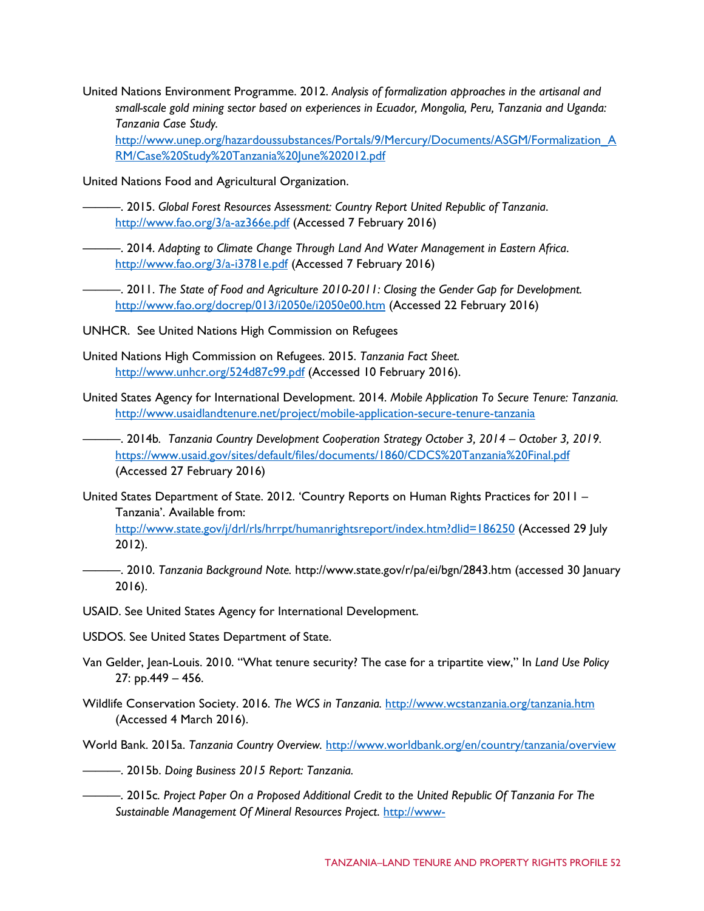United Nations Environment Programme. 2012. *Analysis of formalization approaches in the artisanal and small-scale gold mining sector based on experiences in Ecuador, Mongolia, Peru, Tanzania and Uganda: Tanzania Case Study.* [http://www.unep.org/hazardoussubstances/Portals/9/Mercury/Documents/ASGM/Formalization\\_A](http://www.unep.org/hazardoussubstances/Portals/9/Mercury/Documents/ASGM/Formalization_ARM/Case%20Study%20Tanzania%20June%202012.pdf)

[RM/Case%20Study%20Tanzania%20June%202012.pdf](http://www.unep.org/hazardoussubstances/Portals/9/Mercury/Documents/ASGM/Formalization_ARM/Case%20Study%20Tanzania%20June%202012.pdf)

United Nations Food and Agricultural Organization.

- ———. 2015. *Global Forest Resources Assessment: Country Report United Republic of Tanzania*. <http://www.fao.org/3/a-az366e.pdf> (Accessed 7 February 2016)
- ———. 2014. *Adapting to Climate Change Through Land And Water Management in Eastern Africa*. <http://www.fao.org/3/a-i3781e.pdf> (Accessed 7 February 2016)
- ———. 2011. *The State of Food and Agriculture 2010-2011: Closing the Gender Gap for Development.*  <http://www.fao.org/docrep/013/i2050e/i2050e00.htm> (Accessed 22 February 2016)
- UNHCR. See United Nations High Commission on Refugees
- United Nations High Commission on Refugees. 2015. *Tanzania Fact Sheet.* <http://www.unhcr.org/524d87c99.pdf> (Accessed 10 February 2016).
- United States Agency for International Development. 2014. *Mobile Application To Secure Tenure: Tanzania.*  <http://www.usaidlandtenure.net/project/mobile-application-secure-tenure-tanzania>
- ———. 2014b*. Tanzania Country Development Cooperation Strategy October 3, 2014 – October 3, 2019.* <https://www.usaid.gov/sites/default/files/documents/1860/CDCS%20Tanzania%20Final.pdf> (Accessed 27 February 2016)
- United States Department of State. 2012. 'Country Reports on Human Rights Practices for 2011 Tanzania'. Available from: <http://www.state.gov/j/drl/rls/hrrpt/humanrightsreport/index.htm?dlid=186250> (Accessed 29 July 2012).
- ———. 2010. *Tanzania Background Note.* http://www.state.gov/r/pa/ei/bgn/2843.htm (accessed 30 January 2016).
- USAID. See United States Agency for International Development.
- USDOS. See United States Department of State.
- Van Gelder, Jean-Louis. 2010. "What tenure security? The case for a tripartite view," In *Land Use Policy*  27: pp.449 – 456.
- Wildlife Conservation Society. 2016. *The WCS in Tanzania.* <http://www.wcstanzania.org/tanzania.htm> (Accessed 4 March 2016).
- World Bank. 2015a. *Tanzania Country Overview.* <http://www.worldbank.org/en/country/tanzania/overview>
- ———. 2015b. *Doing Business 2015 Report: Tanzania.*
- ———. 2015c*. Project Paper On a Proposed Additional Credit to the United Republic Of Tanzania For The Sustainable Management Of Mineral Resources Project*. [http://www-](http://www-wds.worldbank.org/external/default/WDSContentServer/WDSP/IB/2015/05/08/090224b082df951d/1_0/Rendered/PDF/Tanzania000The0additional0financing.pdf)